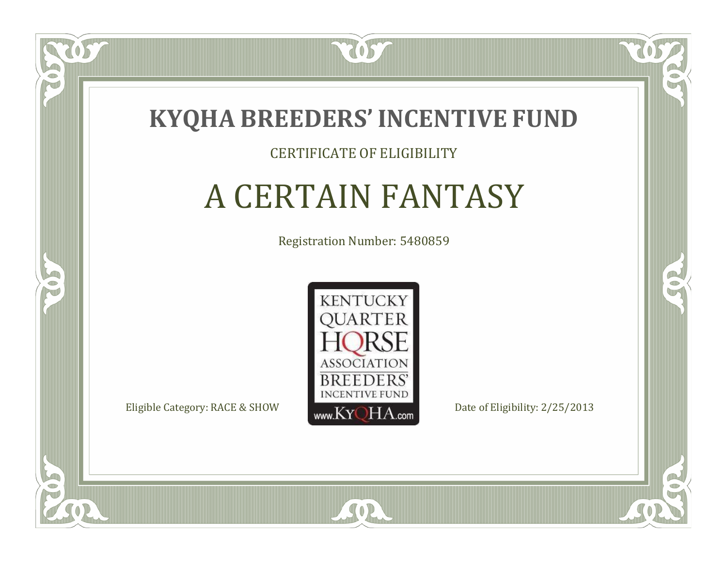

### CERTIFICATE OF ELIGIBILITY

# A CERTAIN FANTASY

Registration Number: 5480859



SOR

CO.

 $\rightarrow$ 

 $\Box$ N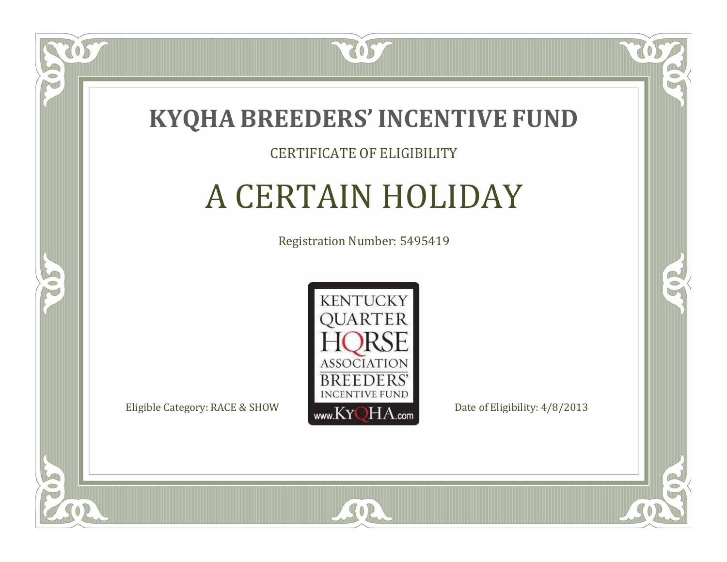

### CERTIFICATE OF ELIGIBILITY

# A CERTAIN HOLIDAY

Registration Number: 5495419



SOR

CO.

 $\rightarrow$ 

 $\delta S$ 

 $\Box$ N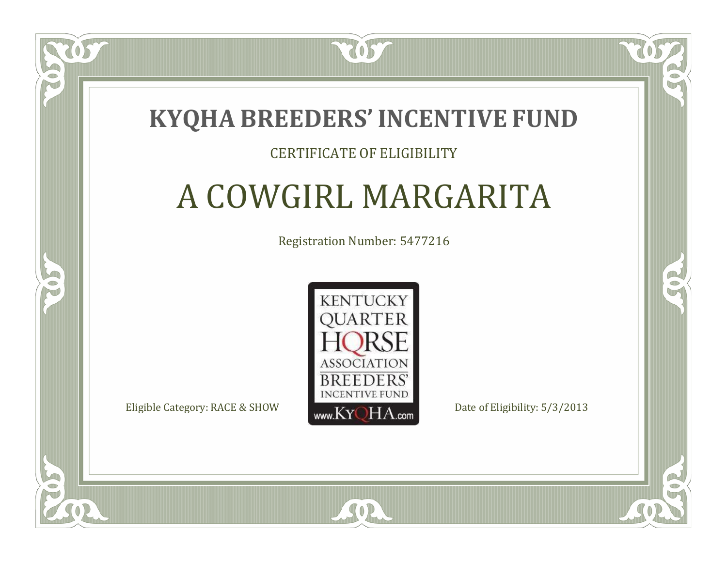

### CERTIFICATE OF ELIGIBILITY

# A COWGIRL MARGARITA

Registration Number: 5477216



RO

P.

 $\Box$ T

S

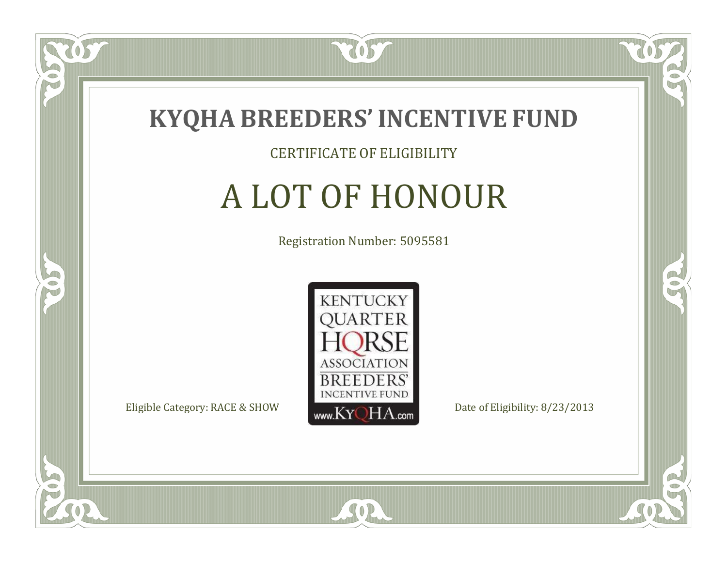

### CERTIFICATE OF ELIGIBILITY

# A LOT OF HONOUR

Registration Number: 5095581



SOR

CO.

B)

 $\Box$ NU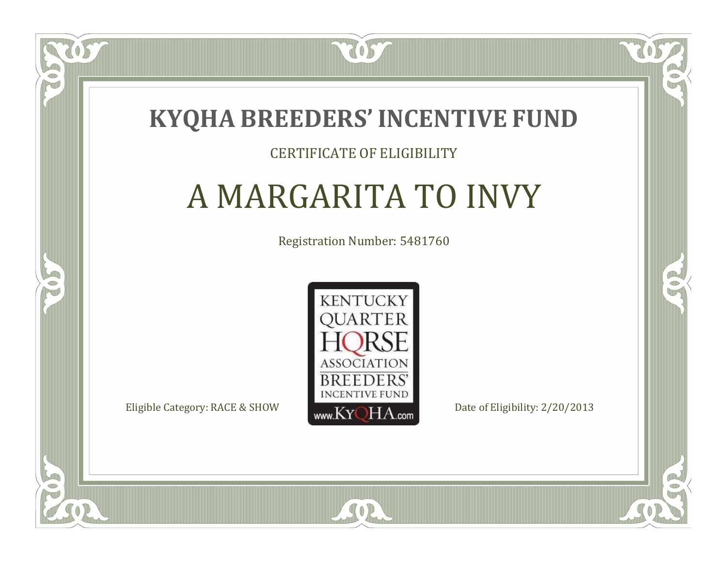

### CERTIFICATE OF ELIGIBILITY

# A MARGARITA TO INVY

Registration Number: 5481760



CO.

B)

 $\blacksquare$ N

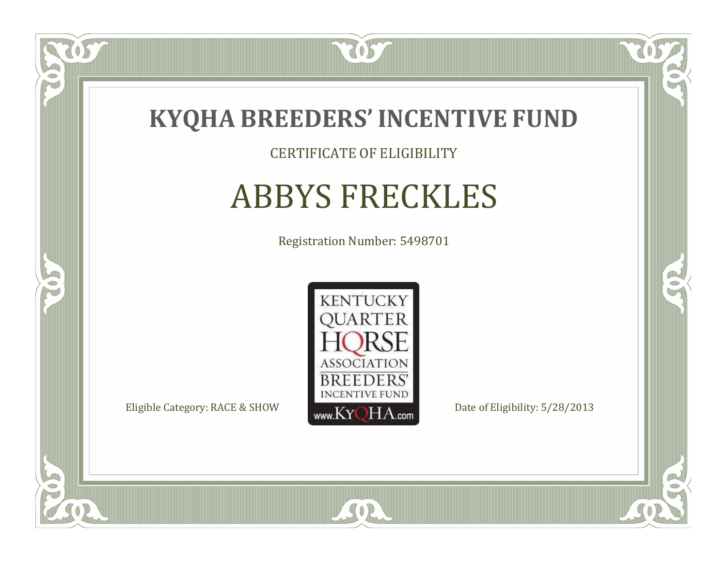

### CERTIFICATE OF ELIGIBILITY

# ABBYS FRECKLES

Registration Number: 5498701



SOR

CO.

 $\rightarrow$ 

 $\delta S$ 

 $\bullet$ NU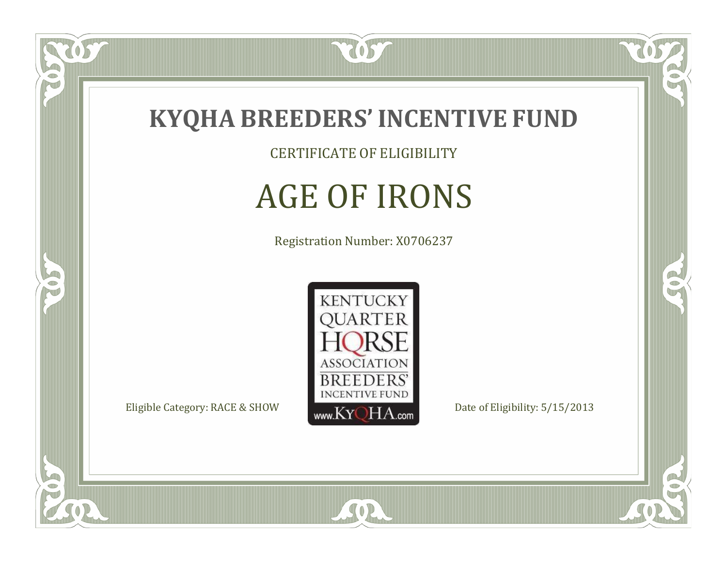

CERTIFICATE OF ELIGIBILITY

# AGE OF IRONS

Registration Number: X0706237



SOR

CO.

 $\rightarrow$ 

tos-

 $\bullet$ NU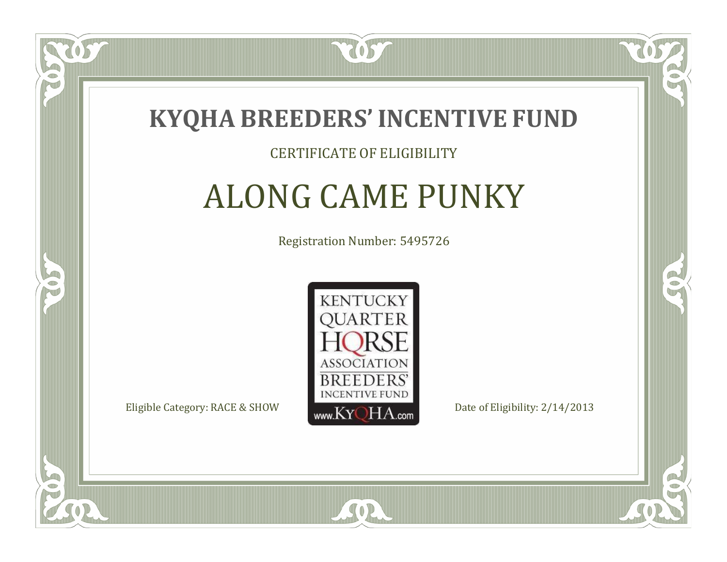

### CERTIFICATE OF ELIGIBILITY

# ALONG CAME PUNKY

Registration Number: 5495726



CO.

B)

 $\Box$ N

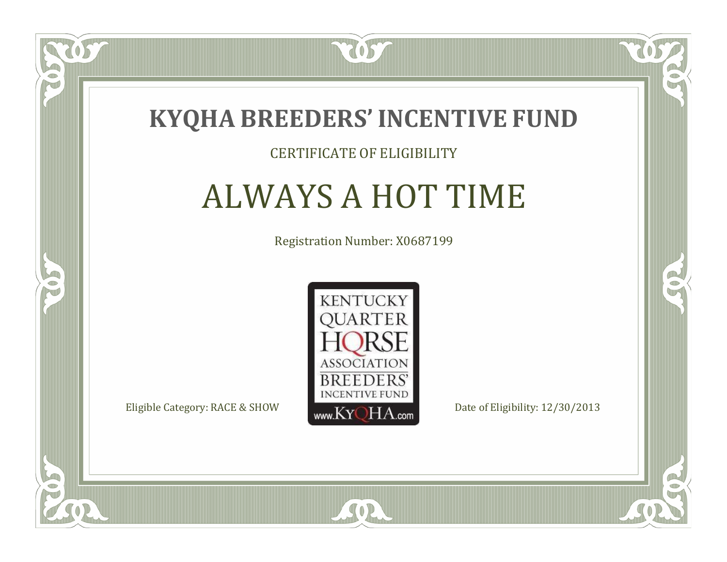

### CERTIFICATE OF ELIGIBILITY

## ALWAYS A HOT TIME

Registration Number: X0687199



SOR

CO.

 $\rightarrow$ 

 $\blacksquare$ N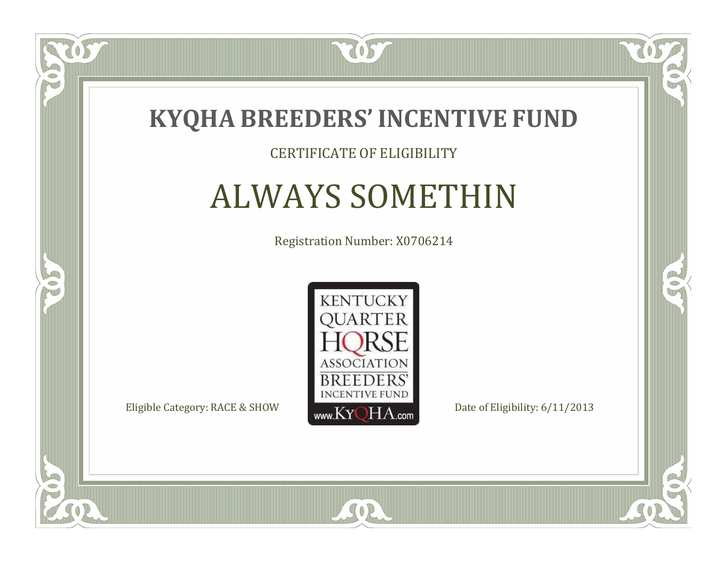

### CERTIFICATE OF ELIGIBILITY

## ALWAYS SOMETHIN

Registration Number: X0706214



SOR

CO.

 $\rightarrow$ 

 $\Box$ N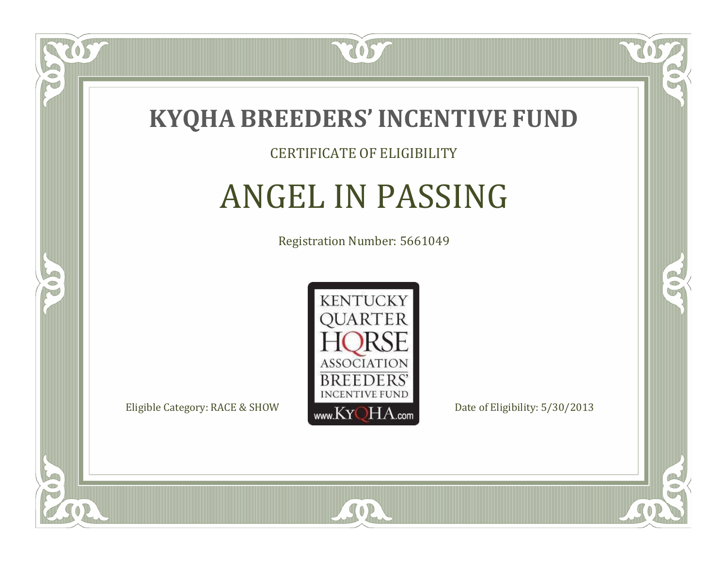

### CERTIFICATE OF ELIGIBILITY

# ANGEL IN PASSING

Registration Number: 5661049



SOR

RO

B)

 $\Box$ N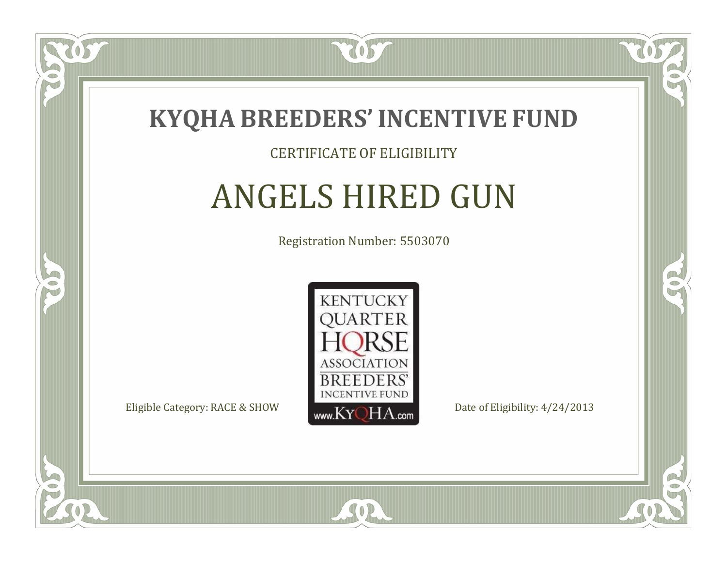

### CERTIFICATE OF ELIGIBILITY

# ANGELS HIRED GUN

Registration Number: 5503070



SOR

CO.

B)

 $\Box$ N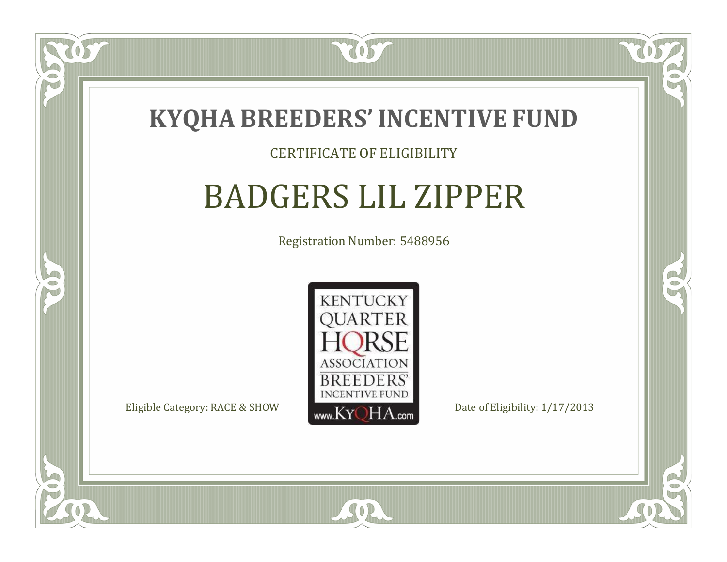

### CERTIFICATE OF ELIGIBILITY

# BADGERS LIL ZIPPER

Registration Number: 5488956



SOR

CO.

B)

 $\Box$ N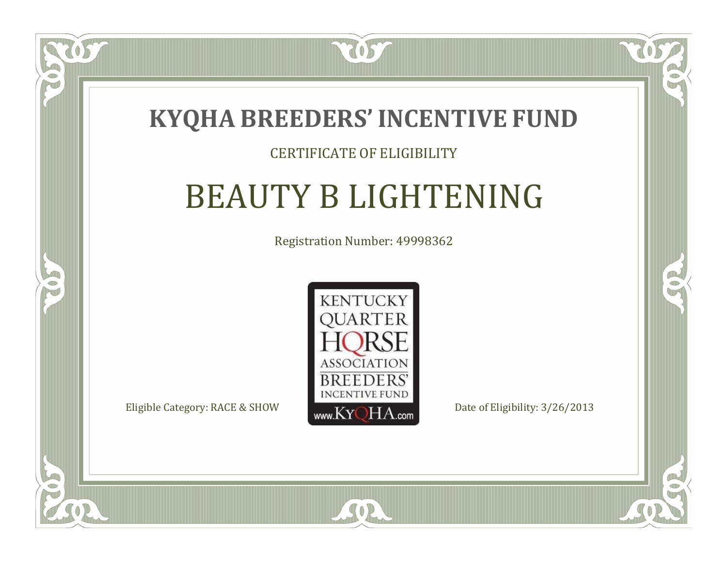### **KYQHA BREEDERS'INCENTIVE FUND**

7057

### CERTIFICATE OF ELIGIBILITY

# BEAUTY B LIGHTENING

Registration Number: 49998362



SOR

CO.

 $\rightarrow$ 

 $\blacksquare$ N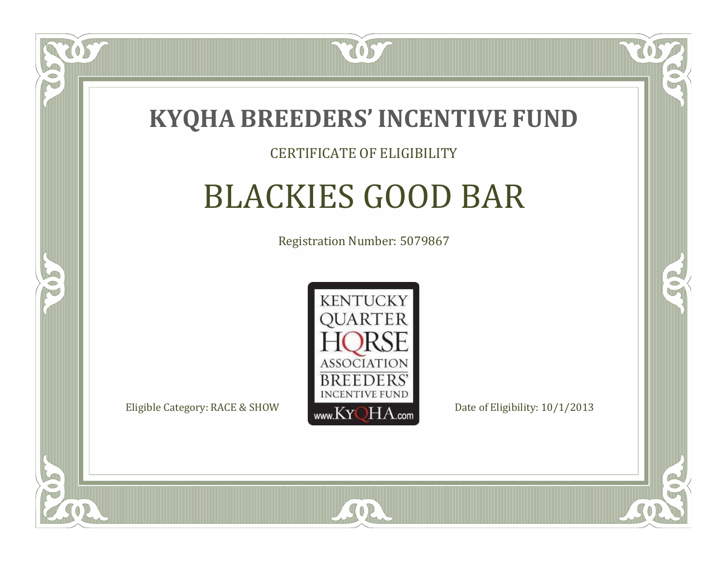

### CERTIFICATE OF ELIGIBILITY

# BLACKIES GOOD BAR

Registration Number: 5079867



SOR

RO

CO.

 $\Box$ N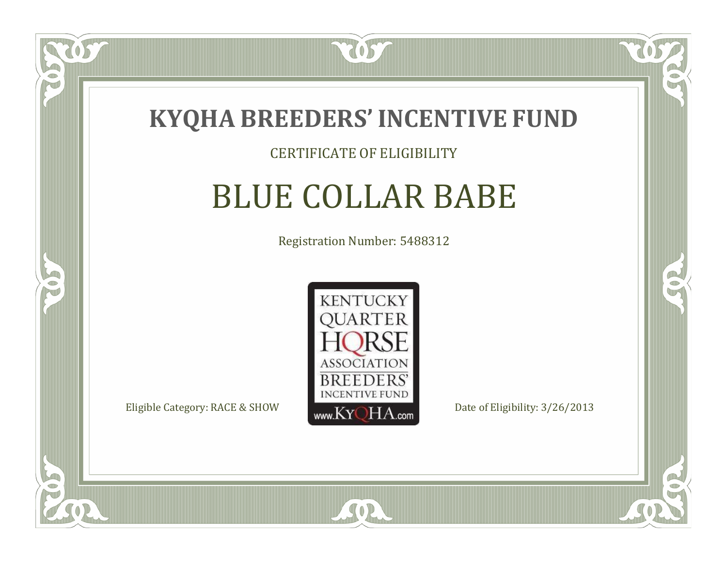

### CERTIFICATE OF ELIGIBILITY

### BLUE COLLAR BABE

Registration Number: 5488312



SOR

CO.

 $\rightarrow$ 

US

 $\Box$ NU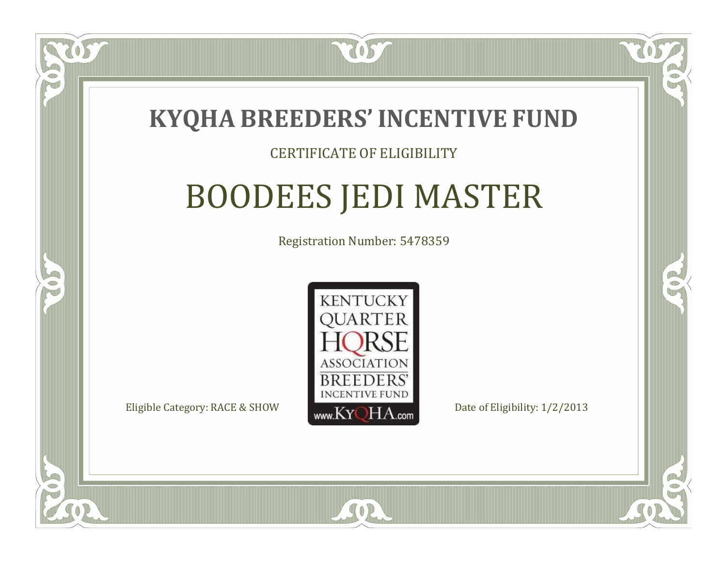

### CERTIFICATE OF ELIGIBILITY

# BOODEES JEDI MASTER

Registration Number: 5478359



SOR

RO

B.

 $\Box$ N

S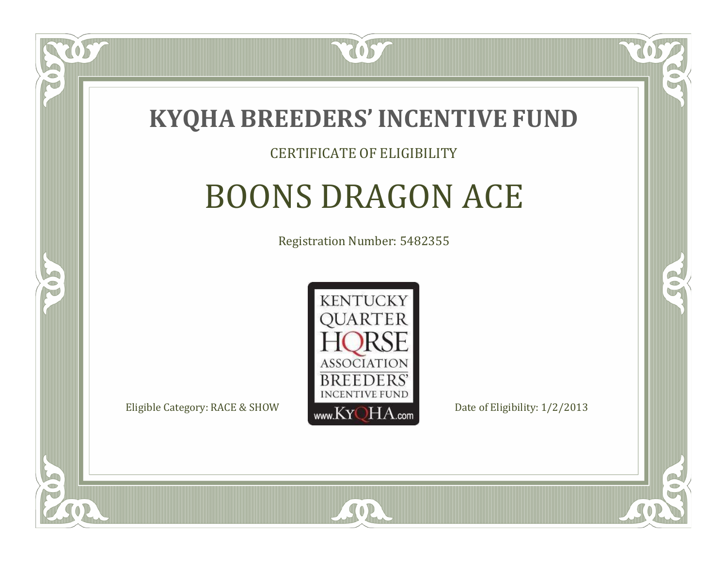

#### CERTIFICATE OF ELIGIBILITY

## BOONS DRAGON ACE

Registration Number: 5482355



SOR

RO

P.

 $\Box$ N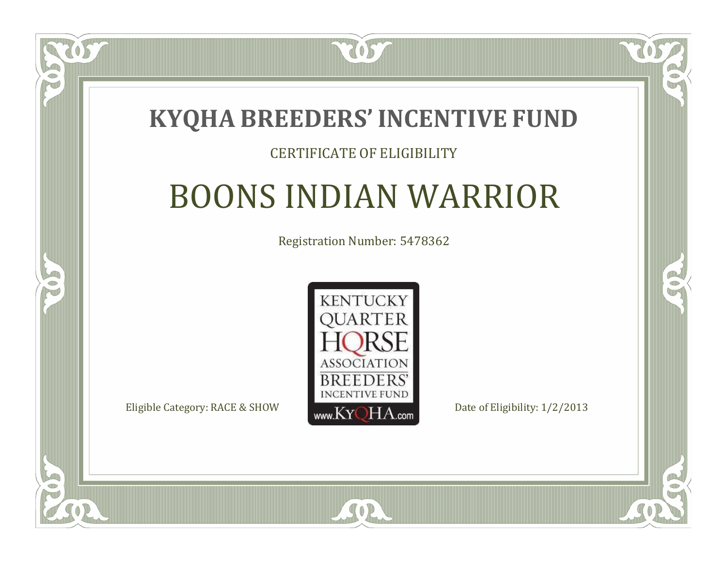

### CERTIFICATE OF ELIGIBILITY

## BOONS INDIAN WARRIOR

Registration Number: 5478362



SOR

CO.

 $\rightarrow$ 

 $\blacksquare$ N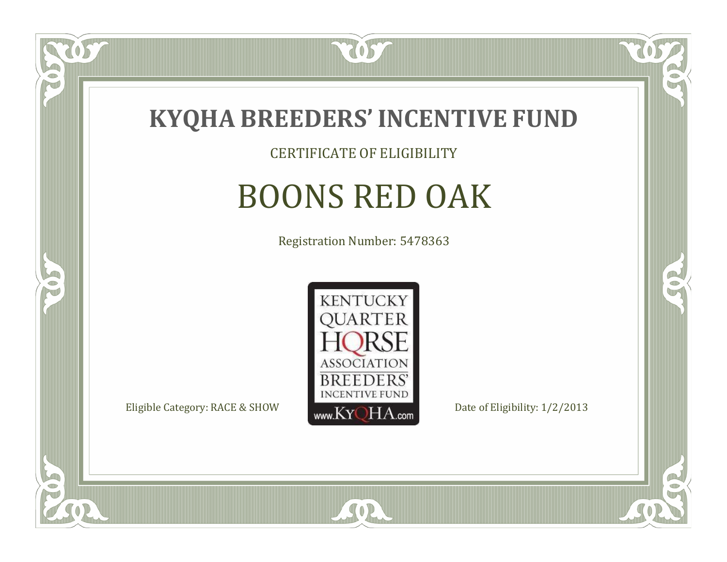

CERTIFICATE OF ELIGIBILITY

# BOONS RED OAK

Registration Number: 5478363



SOR

CO.

B

US

 $\Box$ NU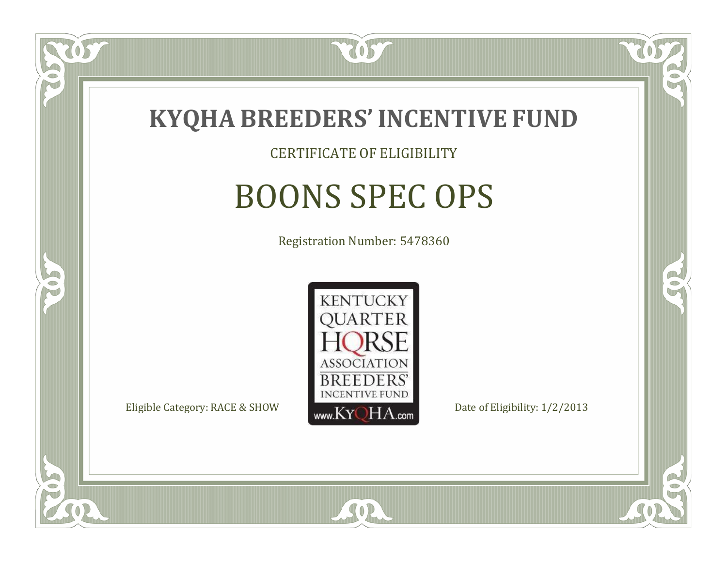

### CERTIFICATE OF ELIGIBILITY

# BOONS SPEC OPS

Registration Number: 5478360



SOR

RO

B

 $\Box$ NU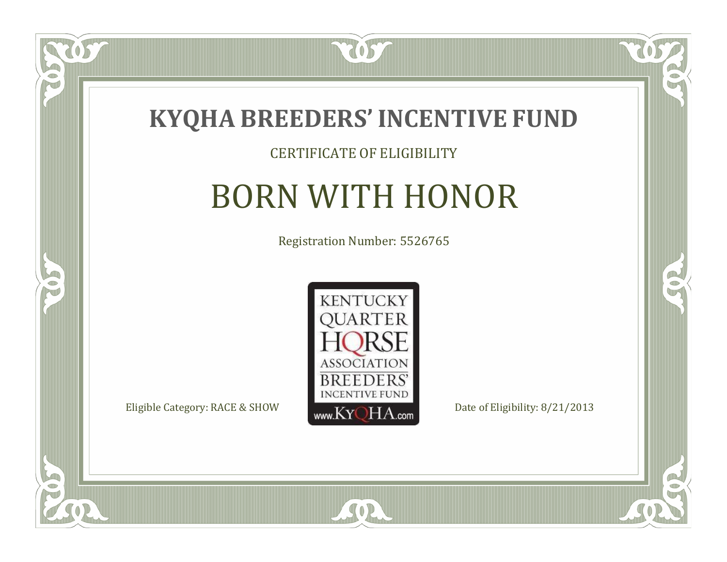

#### CERTIFICATE OF ELIGIBILITY

## BORN WITH HONOR

Registration Number: 5526765



SOR

 $\mathbb{R}$ 

 $\rightarrow$ 

US

 $\bullet$ NU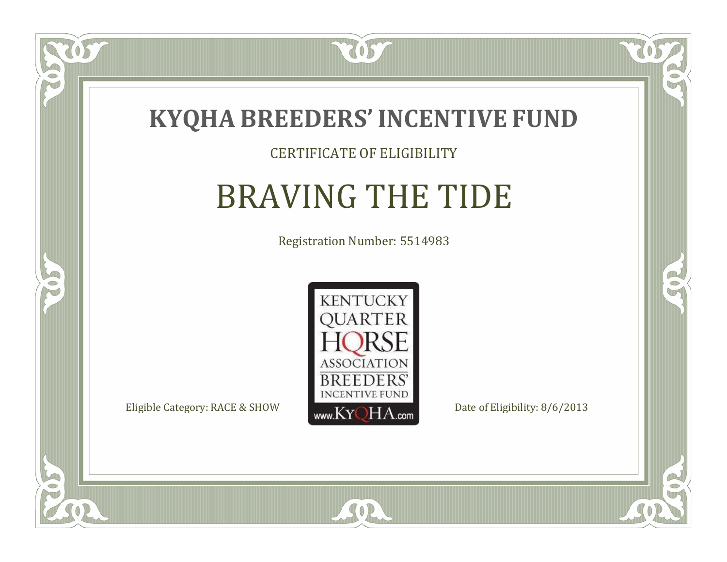

### CERTIFICATE OF ELIGIBILITY

# BRAVING THE TIDE

Registration Number: 5514983



SOR

CO.

 $\rightarrow$ 

 $\delta S$ 

 $\Box$ NU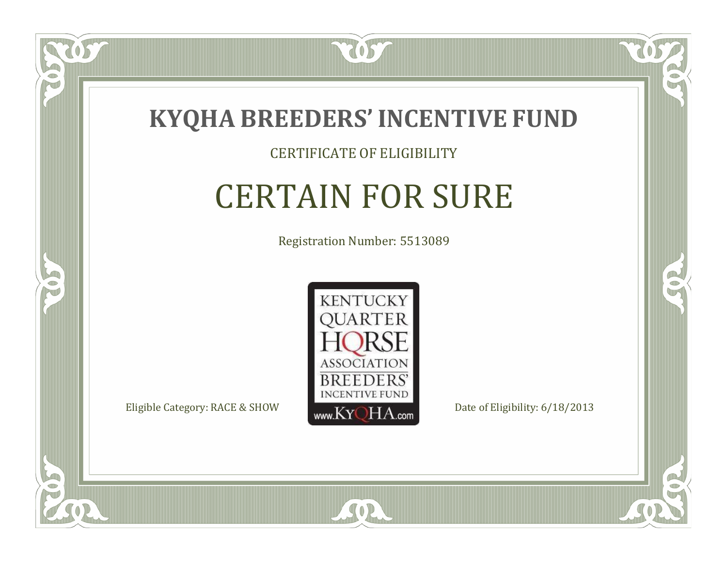

#### CERTIFICATE OF ELIGIBILITY

## CERTAIN FOR SURE

Registration Number: 5513089



SOR

RO

B

 $\Box$ NU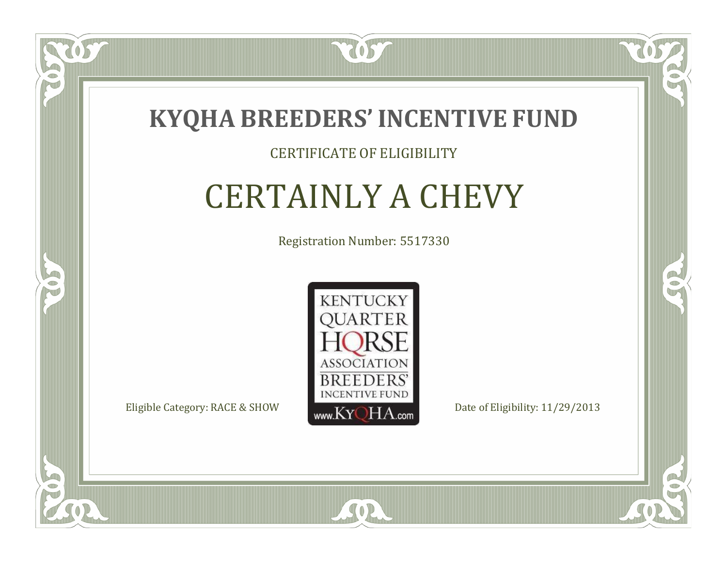

### CERTIFICATE OF ELIGIBILITY

# CERTAINLY A CHEVY

Registration Number: 5517330



SOR

RO

 $\rightarrow$ 

 $\blacksquare$ N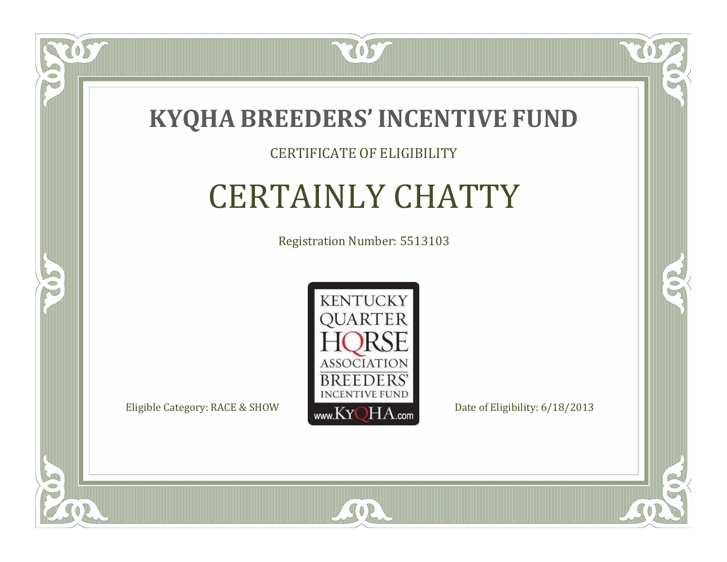

### CERTIFICATE OF ELIGIBILITY

# CERTAINLY CHATTY

Registration Number: 5513103



SOR

CO.

 $\rightarrow$ 

 $\Box$ N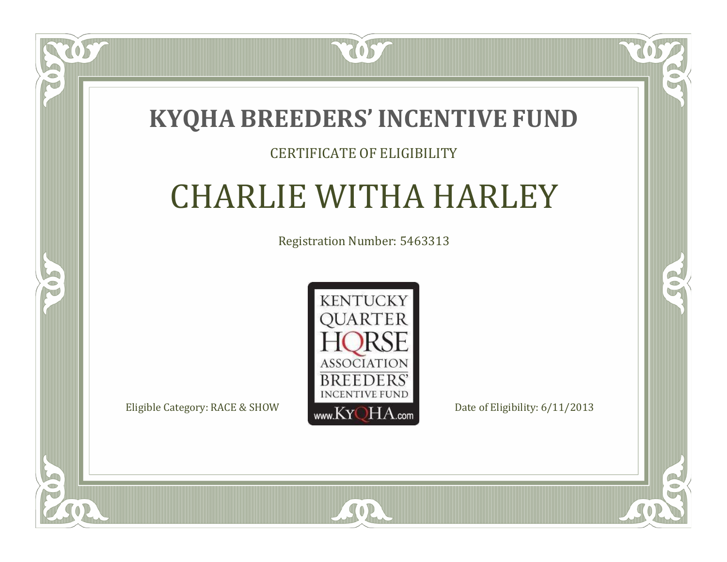### **KYQHA BREEDERS'INCENTIVE FUND**

7057

### CERTIFICATE OF ELIGIBILITY

# CHARLIE WITHA HARLEY

Registration Number: 5463313



SOR

CO.

 $\rightarrow$ 

ÒS

 $\Box$ N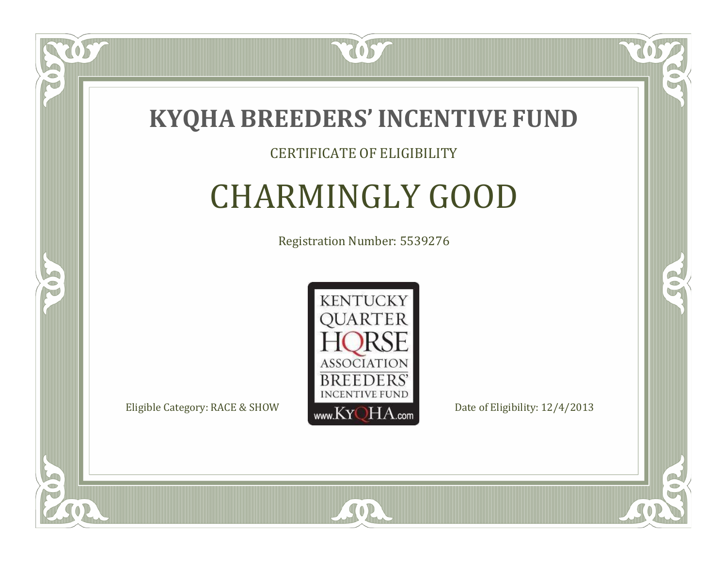

### CERTIFICATE OF ELIGIBILITY

# CHARMINGLY GOOD

Registration Number: 5539276



SOR

RO

B

US

 $\Box$ N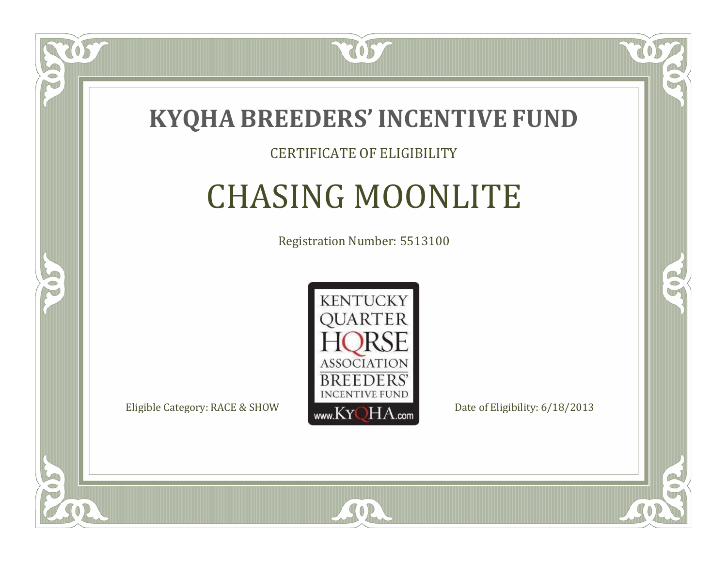

### CERTIFICATE OF ELIGIBILITY

## CHASING MOONLITE

Registration Number: 5513100



SOR

 $\Box$ N

5

CO.

B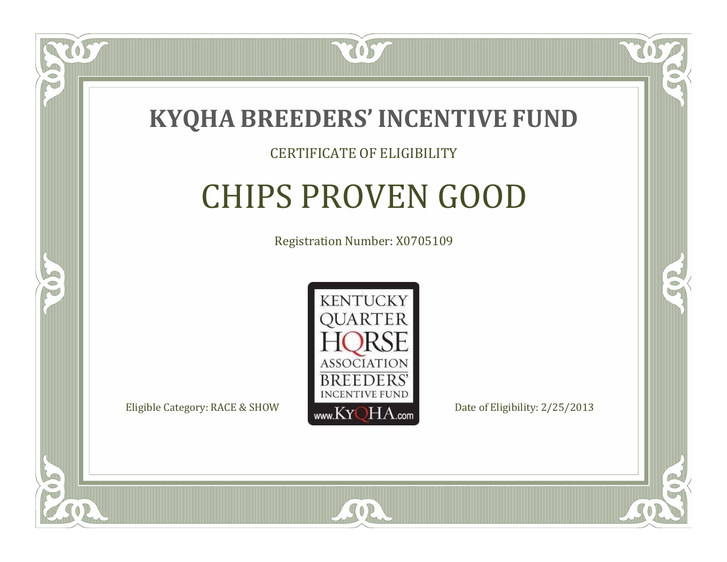

### CERTIFICATE OF ELIGIBILITY

# CHIPS PROVEN GOOD

Registration Number: X0705109



SOR

RO

B

 $\Box$ N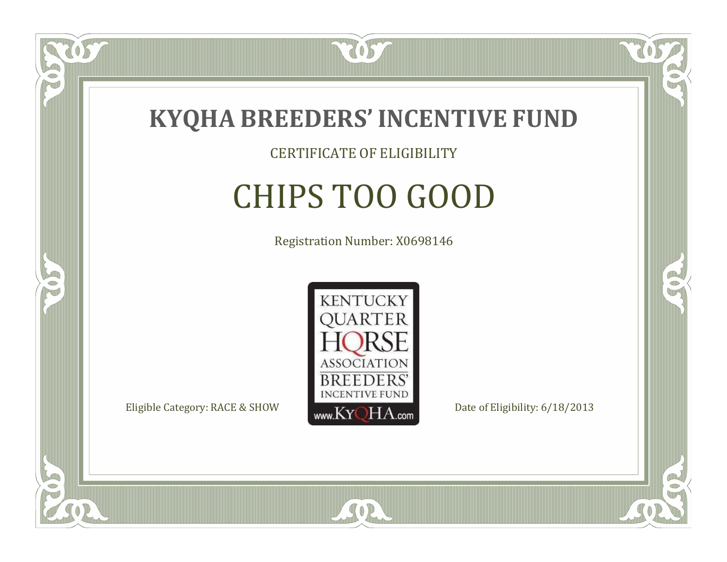

### CERTIFICATE OF ELIGIBILITY

# CHIPS TOO GOOD

Registration Number: X0698146



SOR

RO

B

057

 $\Box$ NU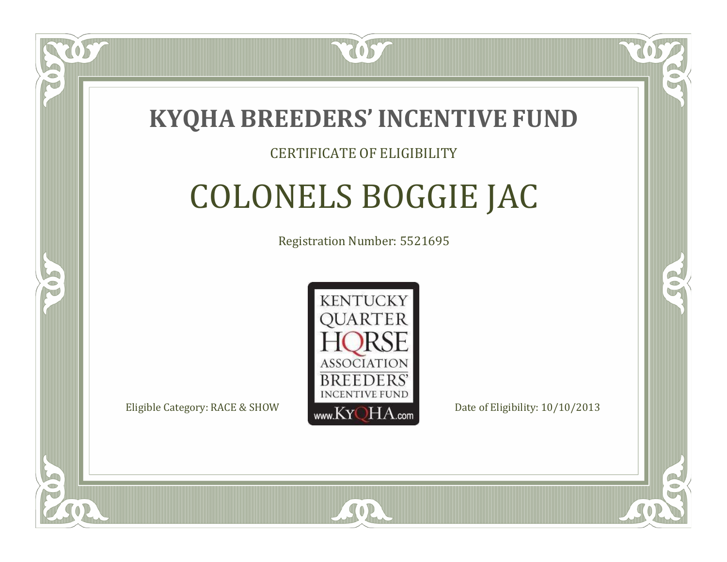

### CERTIFICATE OF ELIGIBILITY

# COLONELS BOGGIE JAC

Registration Number: 5521695



SOR

CO.

A.

 $\Box$ N

S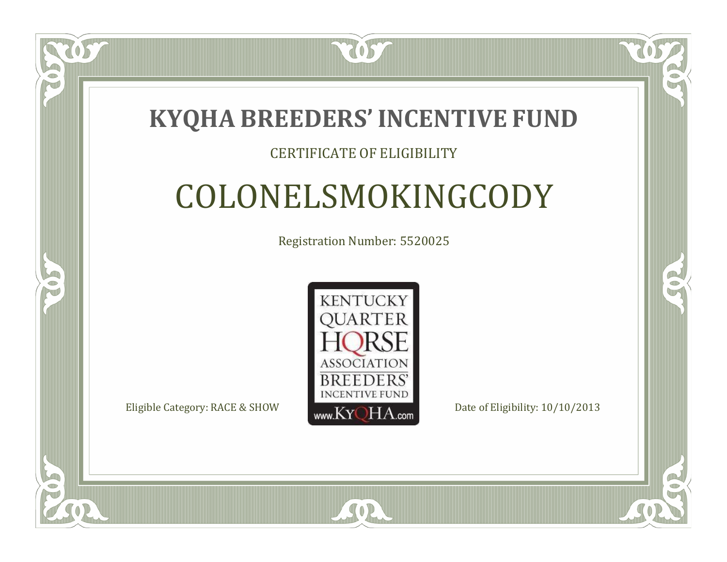### **KYQHA BREEDERS'INCENTIVE FUND**

7057

### CERTIFICATE OF ELIGIBILITY

# COLONELSMOKINGCODY

Registration Number: 5520025



 $SO<sub>2</sub>$ 

 $\Box$ N

S

CO.

P.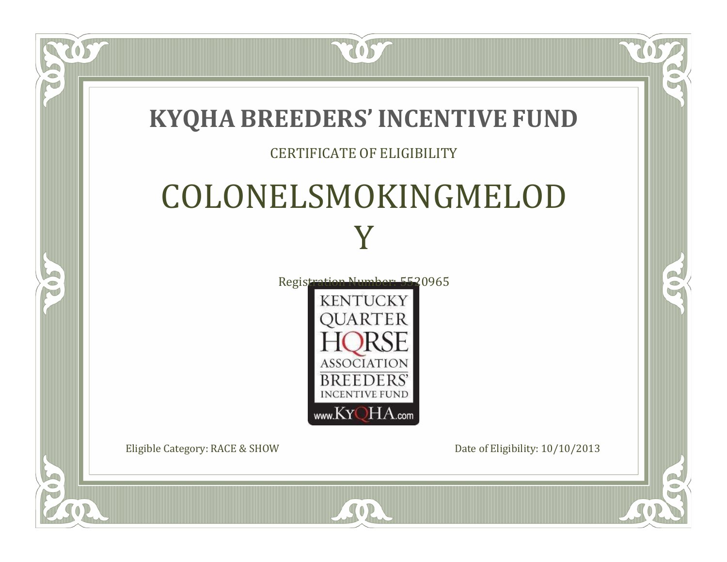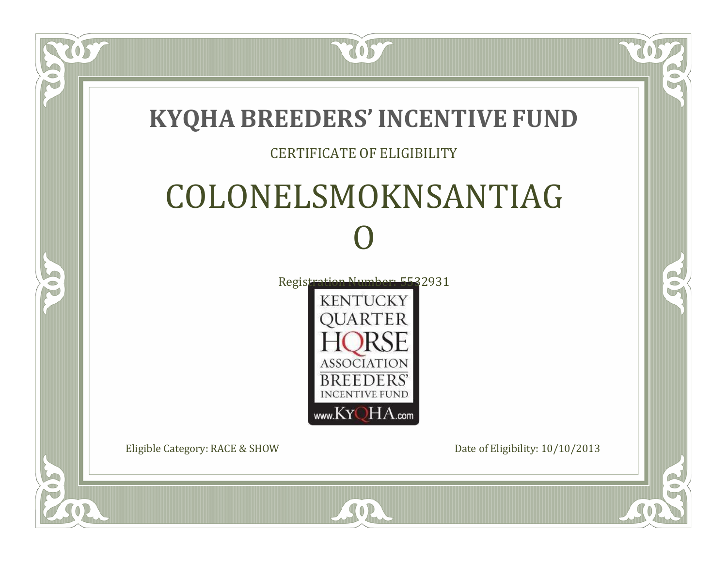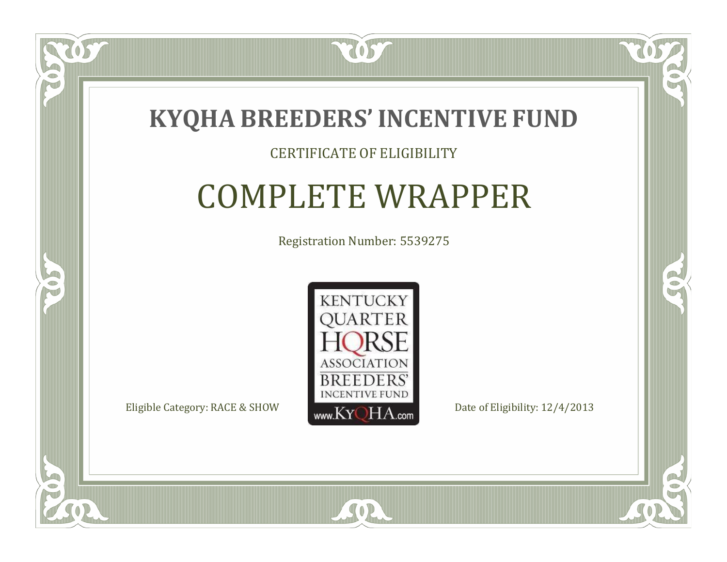

### CERTIFICATE OF ELIGIBILITY

# COMPLETE WRAPPER

Registration Number: 5539275



SOR

CO.

 $\rightarrow$ 

 $\Box$ N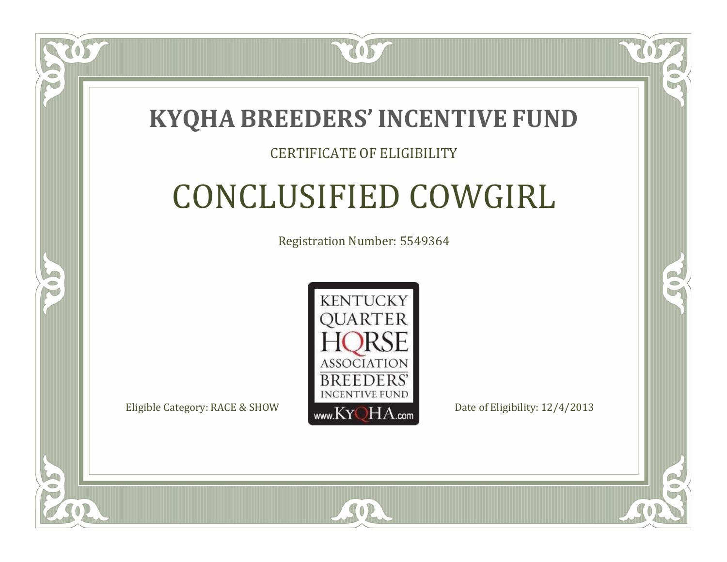

### CERTIFICATE OF ELIGIBILITY

# CONCLUSIFIED COWGIRL

Registration Number: 5549364



 $SO2$ 

RO

P.

 $\Box$ N

S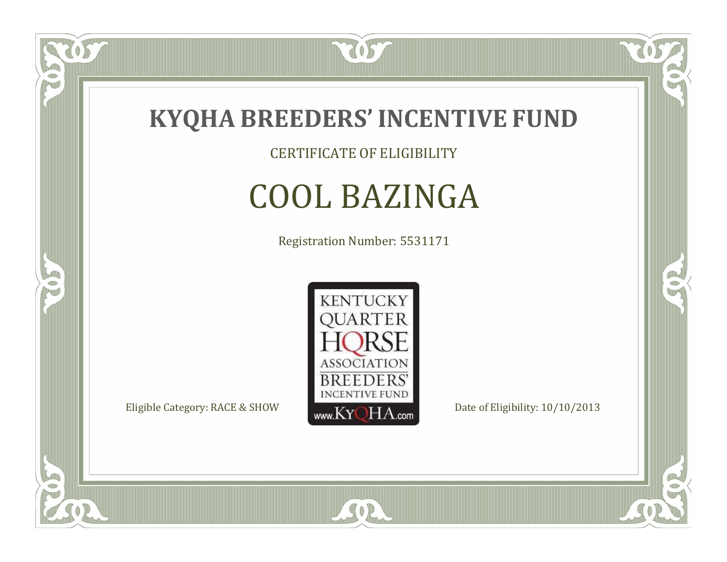

CERTIFICATE OF ELIGIBILITY

# COOL BAZINGA

Registration Number: 5531171



SOR

RO

B

057

 $\Box$ NU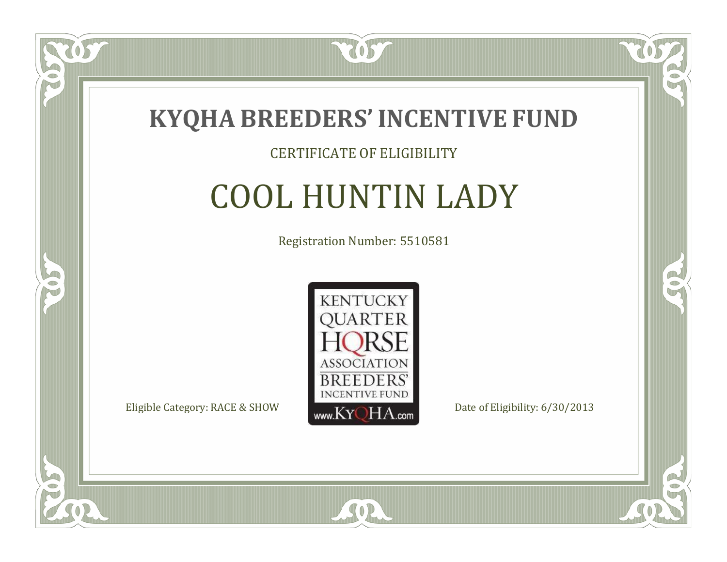

#### CERTIFICATE OF ELIGIBILITY

## COOL HUNTIN LADY

Registration Number: 5510581



SOR

CO.

B

 $\Box$ N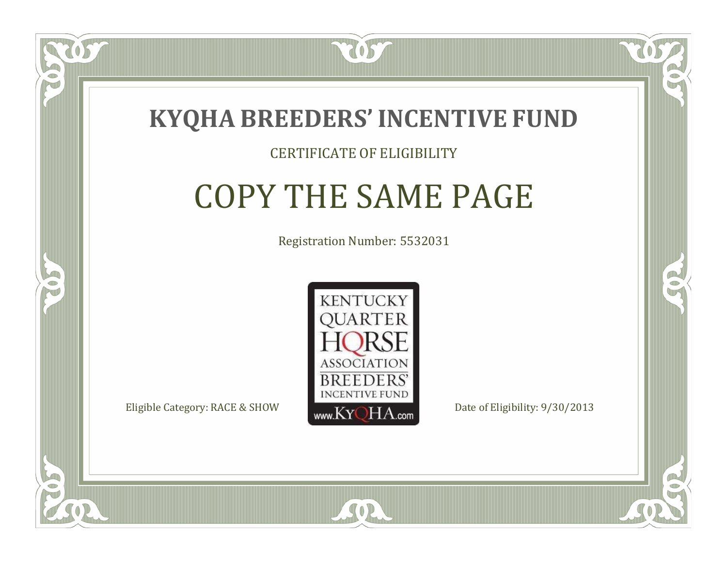

#### CERTIFICATE OF ELIGIBILITY

### COPY THE SAME PAGE

Registration Number: 5532031



SOR

RO

CO.

 $\Box$ N

S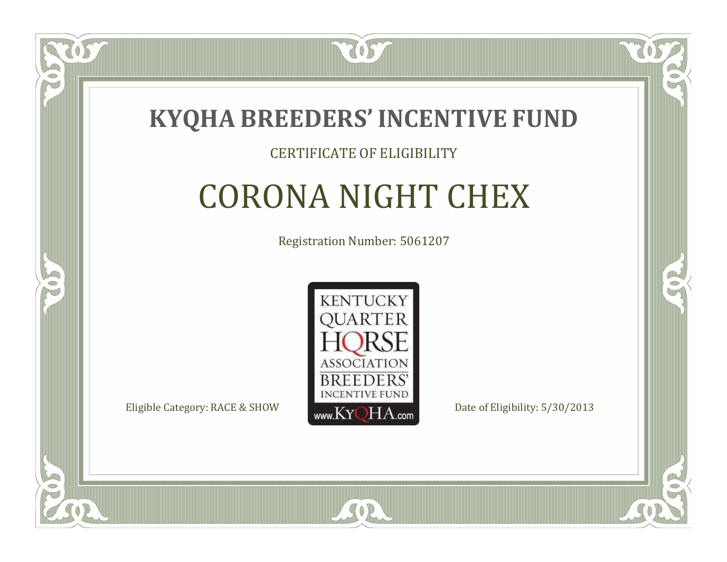

### CERTIFICATE OF ELIGIBILITY

# CORONA NIGHT CHEX

Registration Number: 5061207



SOR

CO.

B

 $\Box$ N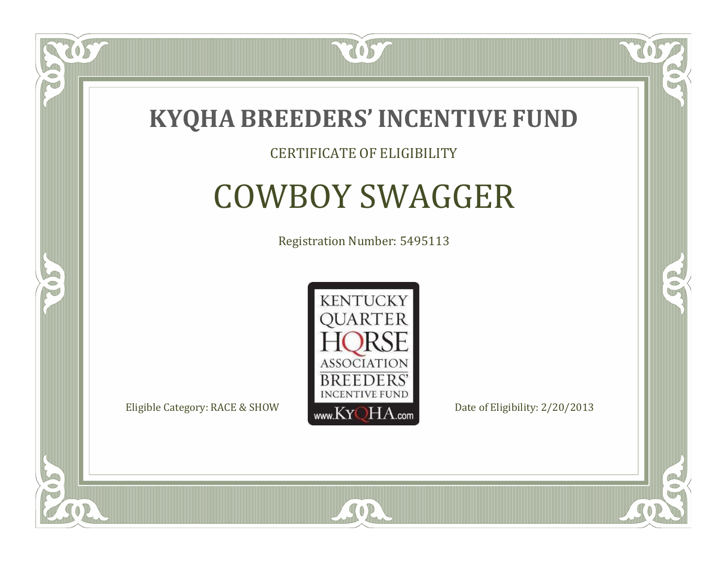

#### CERTIFICATE OF ELIGIBILITY

## COWBOY SWAGGER

Registration Number: 5495113



SOR

CO.

B

 $\Box$ NU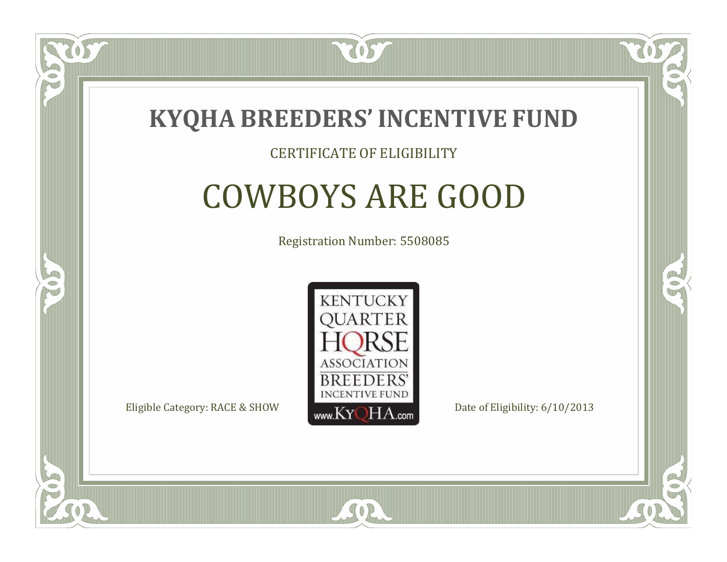

#### CERTIFICATE OF ELIGIBILITY

### COWBOYS ARE GOOD

Registration Number: 5508085



 $SO<sub>2</sub>$ 

RO

P.

 $\Box$ N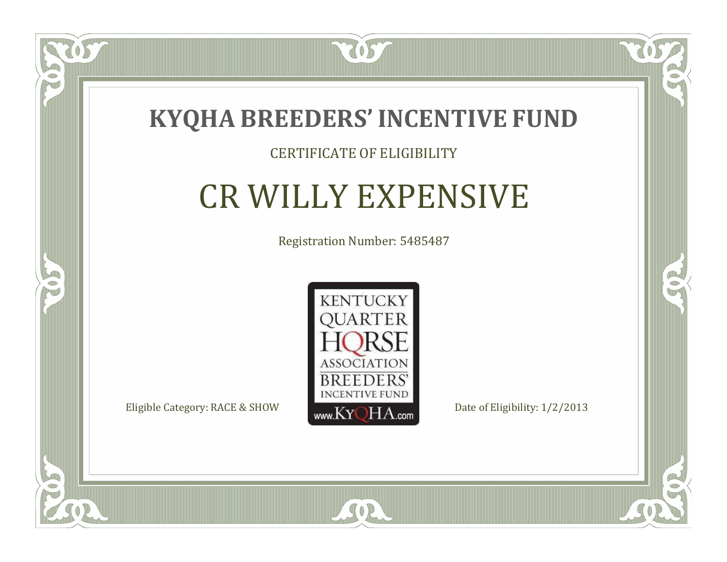

### CERTIFICATE OF ELIGIBILITY

### CR WILLY EXPENSIVE

Registration Number: 5485487



SOR

 $\mathbb{R}$ 

 $\rightarrow$ 

OS

 $\Box$ NU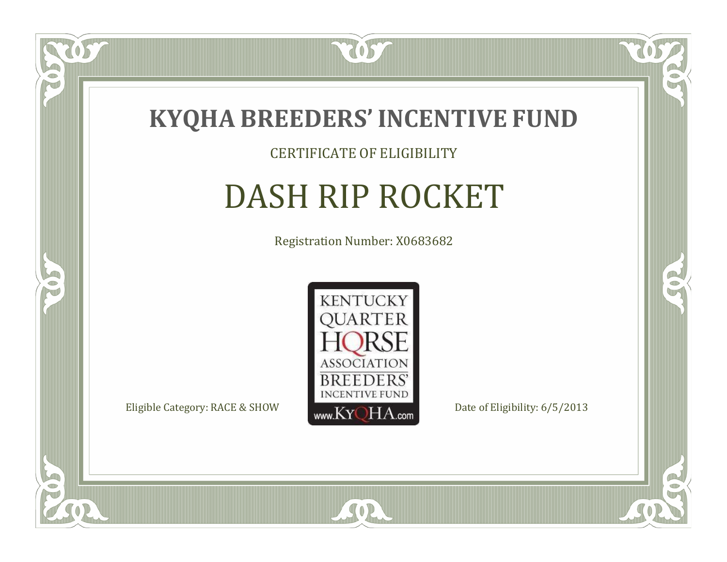

CERTIFICATE OF ELIGIBILITY

# DASH RIP ROCKET

Registration Number: X0683682



 $SO2$ 

RO

B

 $\Box$ N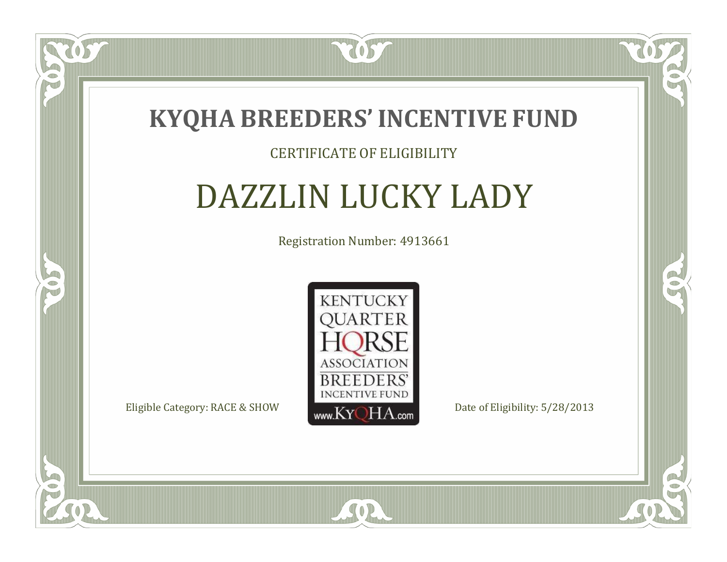

#### CERTIFICATE OF ELIGIBILITY

### DAZZLIN LUCKY LADY

Registration Number: 4913661



SOR

CO.

 $\rightarrow$ 

057

 $\blacksquare$ N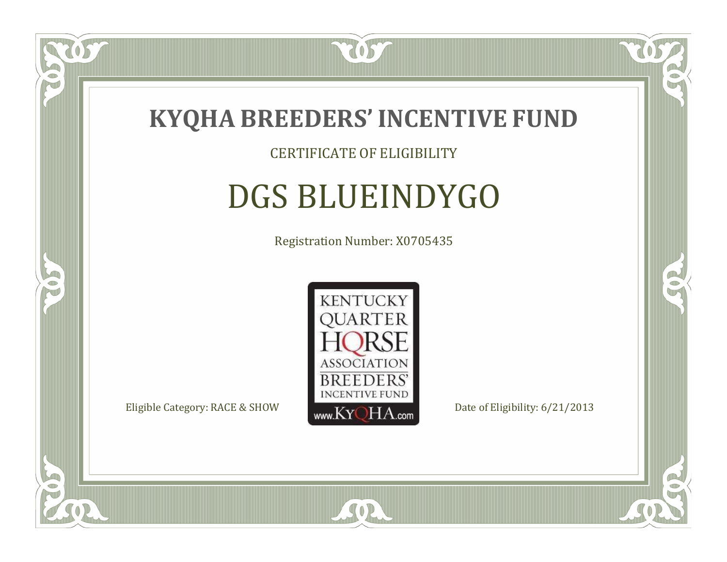

#### CERTIFICATE OF ELIGIBILITY

## DGS BLUEINDYGO

Registration Number: X0705435



SOR

CO.

B

057

 $\Box$ NU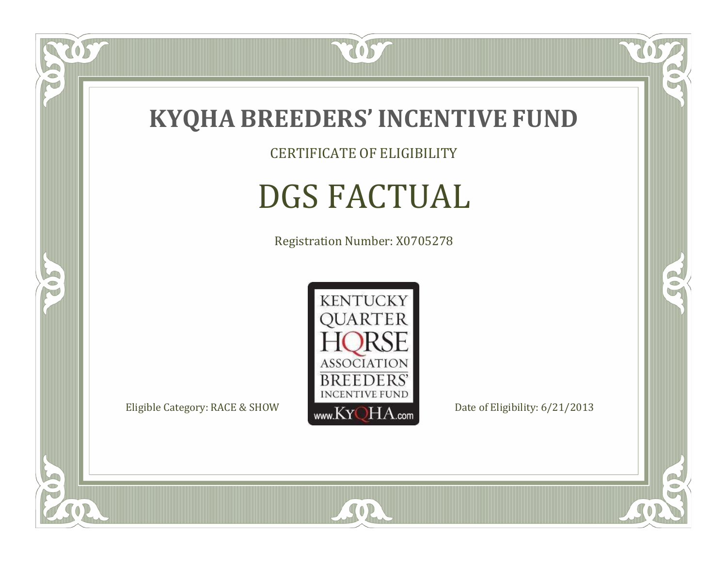

CERTIFICATE OF ELIGIBILITY

# DGS FACTUAL

Registration Number: X0705278



SOR

CO.

 $\rightarrow$ 

US

 $\bullet$ NU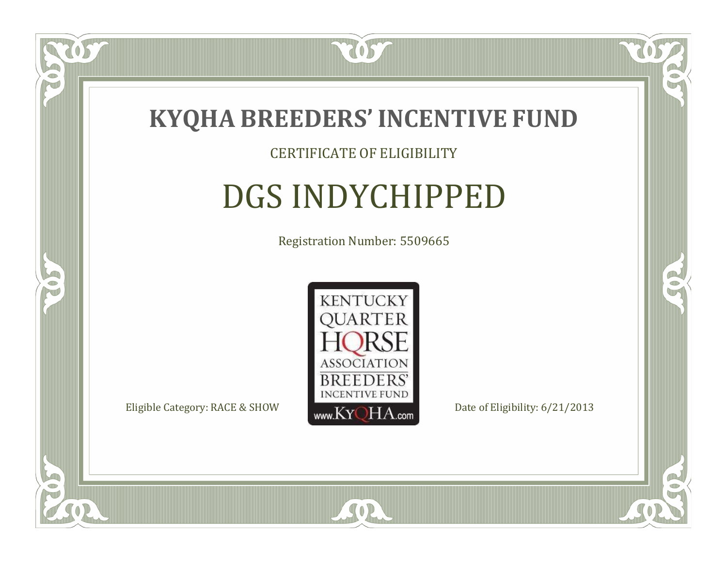

#### CERTIFICATE OF ELIGIBILITY

# DGS INDYCHIPPED

Registration Number: 5509665



CO.

B

US

 $\Box$ NU

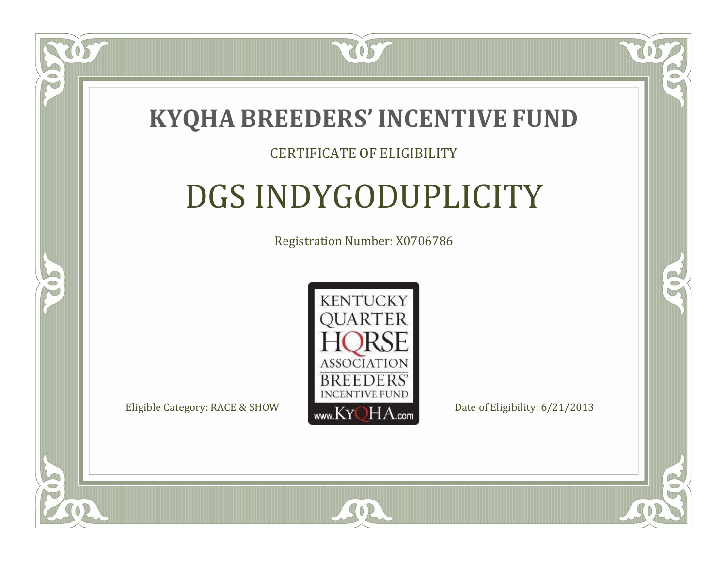

 $\Box$ T

S

### CERTIFICATE OF ELIGIBILITY

# DGS INDYGODUPLICITY

Registration Number: X0706786



SOR

RO

P.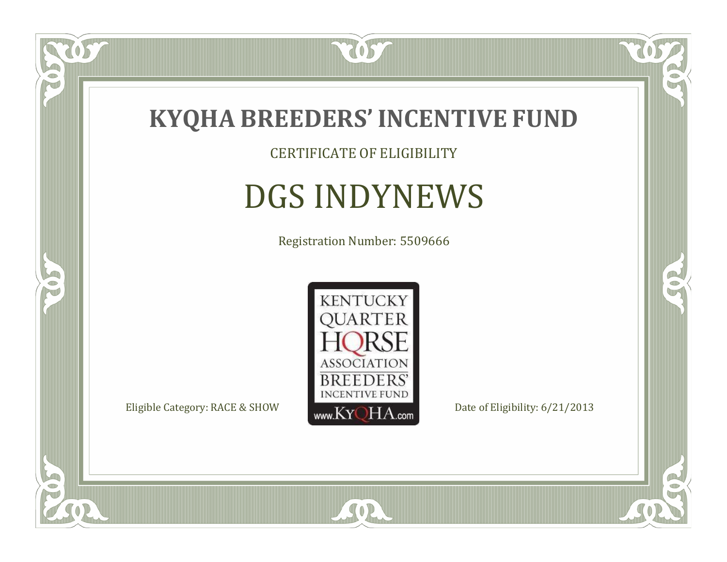

### CERTIFICATE OF ELIGIBILITY

# DGS INDYNEWS

Registration Number: 5509666



SOR

CO.

 $\rightarrow$ 

 $\delta S$ 

 $\bullet$ NU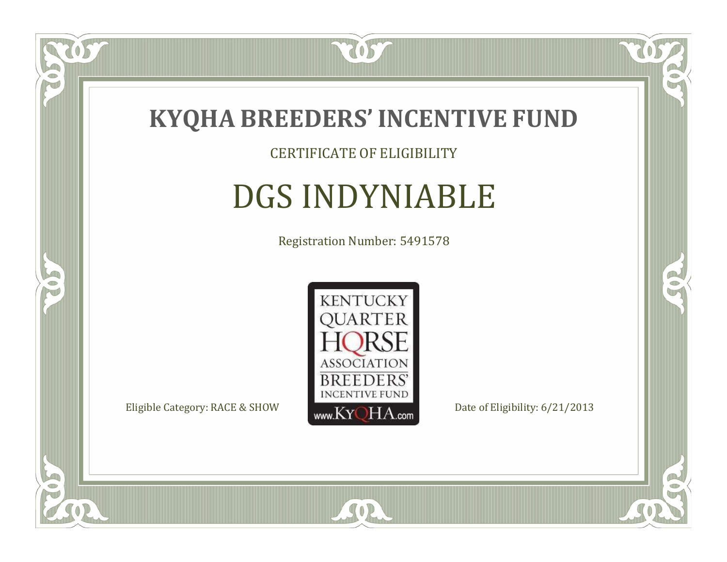

### CERTIFICATE OF ELIGIBILITY

# DGS INDYNIABLE

Registration Number: 5491578



SOR

CO.

 $\rightarrow$ 

US

 $\bullet$ NU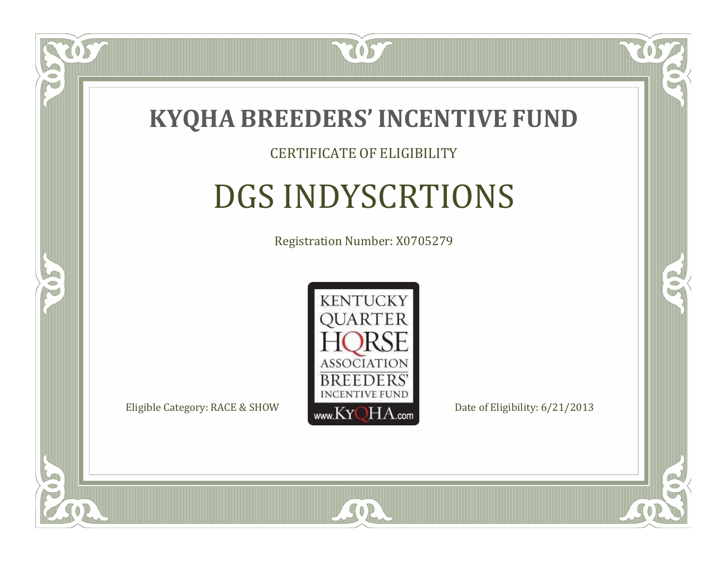

#### CERTIFICATE OF ELIGIBILITY

# DGS INDYSCRTIONS

Registration Number: X0705279



SOR

RO

B

 $\Box$ N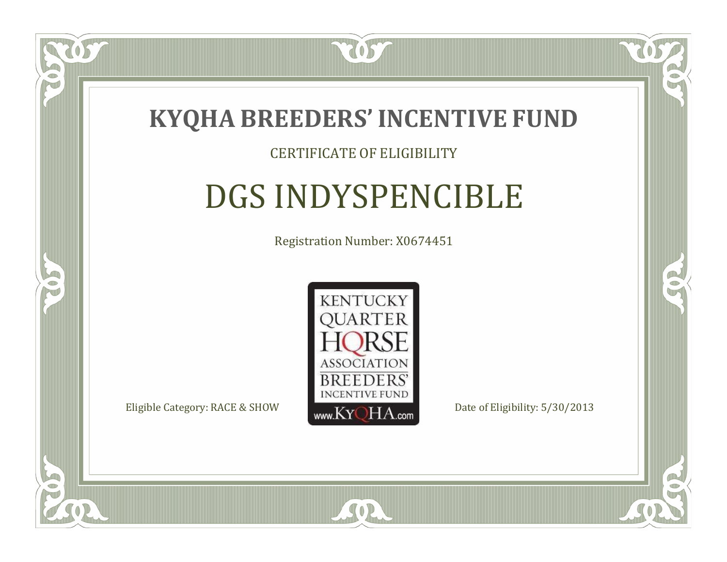

#### CERTIFICATE OF ELIGIBILITY

# DGS INDYSPENCIBLE

Registration Number: X0674451



 $SO2$ 

CO.

B

 $\blacksquare$ N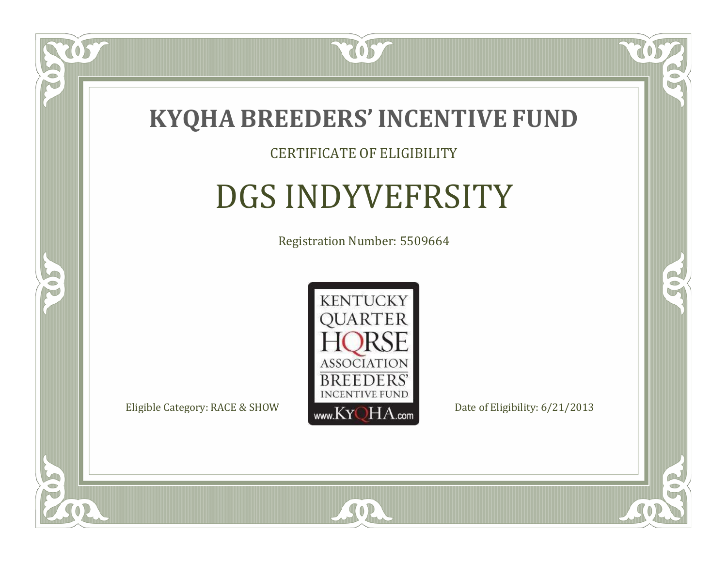

#### CERTIFICATE OF ELIGIBILITY

### DGS INDYVEFRSITY

Registration Number: 5509664



 $SO2$ 

CO.

B

 $\Box$ N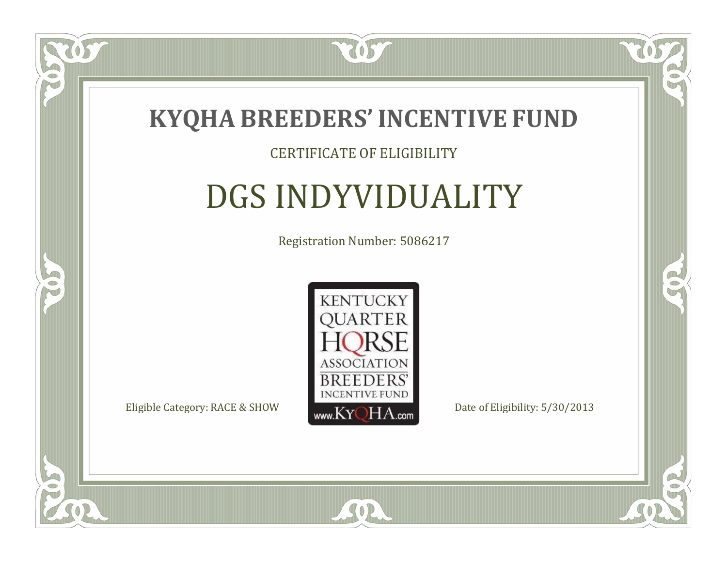

### CERTIFICATE OF ELIGIBILITY

# DGS INDYVIDUALITY

Registration Number: 5086217



SOR

CO.

 $\rightarrow$ 

 $\Box$ N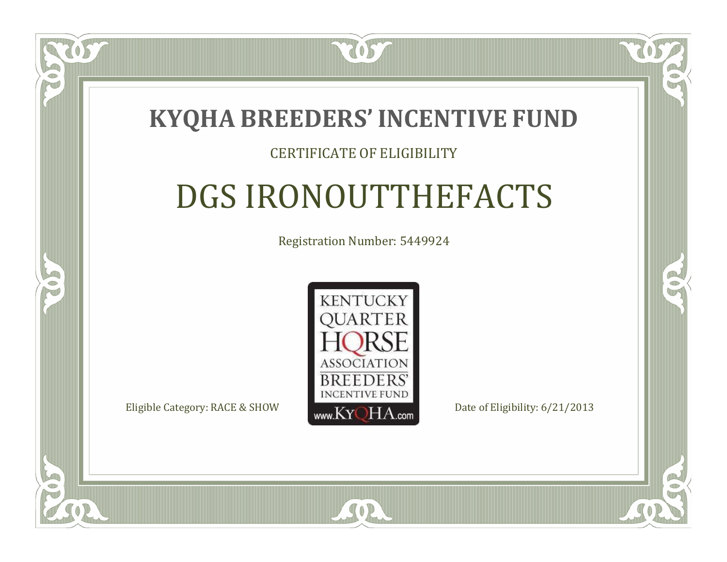

### CERTIFICATE OF ELIGIBILITY

# DGS IRONOUTTHEFACTS

Registration Number: 5449924



SOR

RO

B

 $\Box$ T

S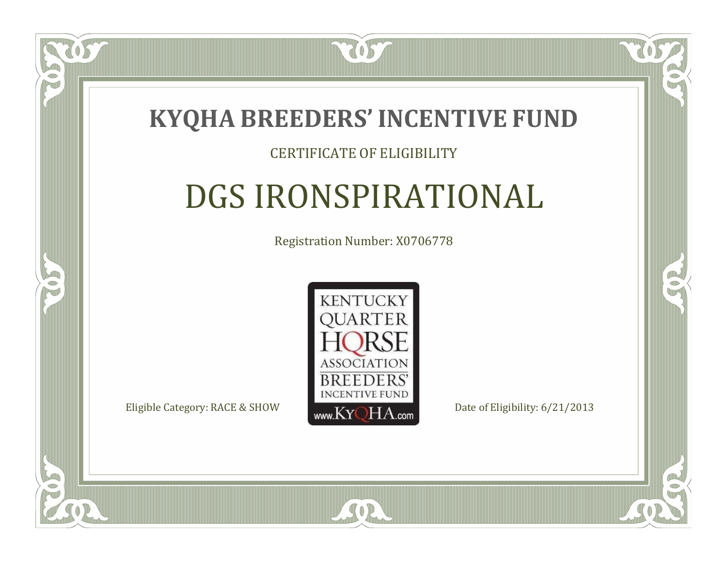

 $\Box$ T

S

### CERTIFICATE OF ELIGIBILITY

# DGS IRONSPIRATIONAL

Registration Number: X0706778



SOR

RO

CO.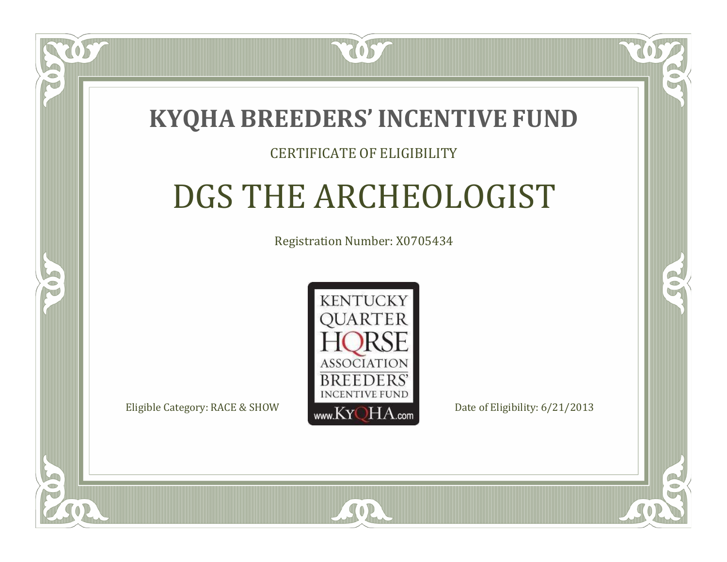### **KYQHA BREEDERS'INCENTIVE FUND**

7057

### CERTIFICATE OF ELIGIBILITY

# DGS THE ARCHEOLOGIST

Registration Number: X0705434



 $SO<sub>2</sub>$ 

CO.

B.

 $\Box$ N

S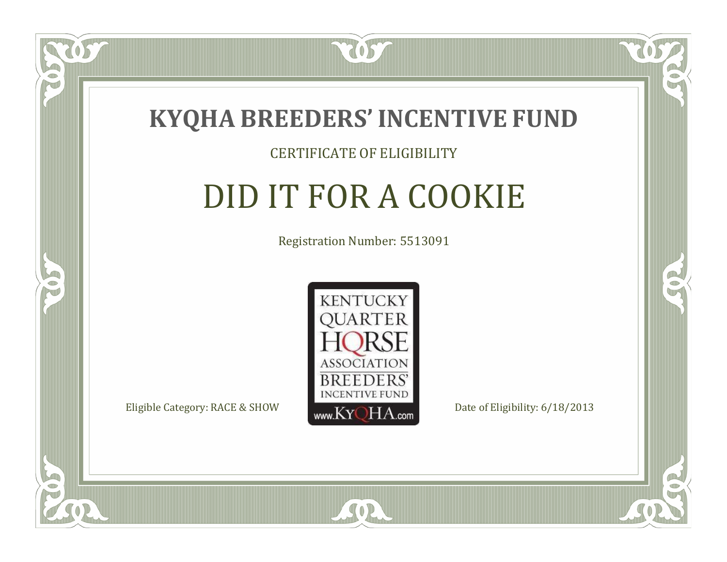

 $\Box$ NU

5

#### CERTIFICATE OF ELIGIBILITY

# DID IT FOR A COOKIE

Registration Number: 5513091



 $SO2$ 

RO

CO.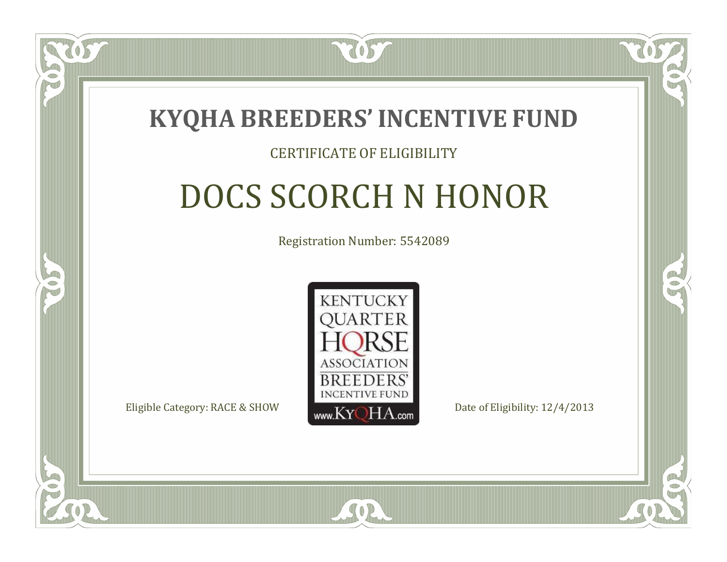

#### CERTIFICATE OF ELIGIBILITY

# DOCS SCORCH N HONOR

Registration Number: 5542089



SOR

CO.

P.

 $\Box$ N

S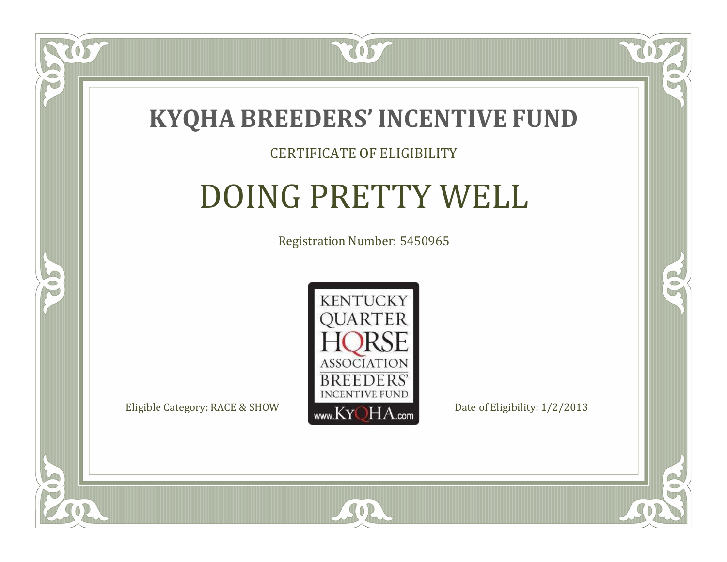

 $\Box$ N

5

#### CERTIFICATE OF ELIGIBILITY

# DOING PRETTY WELL

Registration Number: 5450965



SOR

CO.

 $\rightarrow$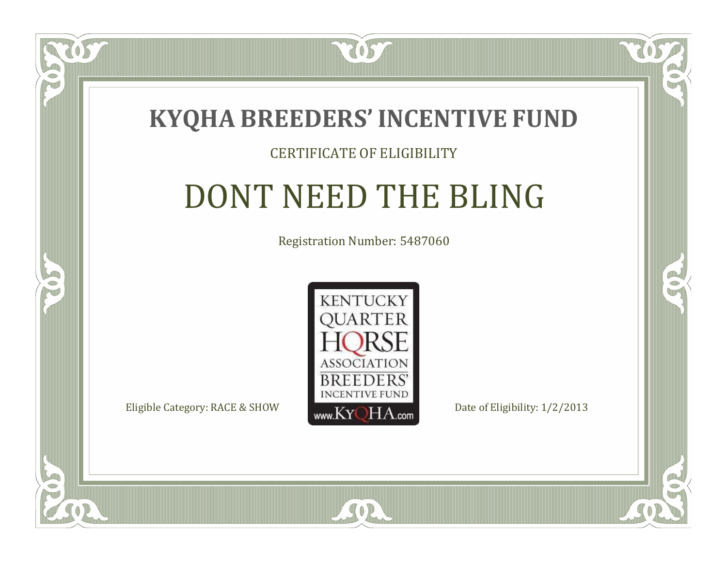

### CERTIFICATE OF ELIGIBILITY

# DONT NEED THE BLING

Registration Number: 5487060



 $SO2$ 

CO.

 $\rightarrow$ 

 $\blacksquare$ N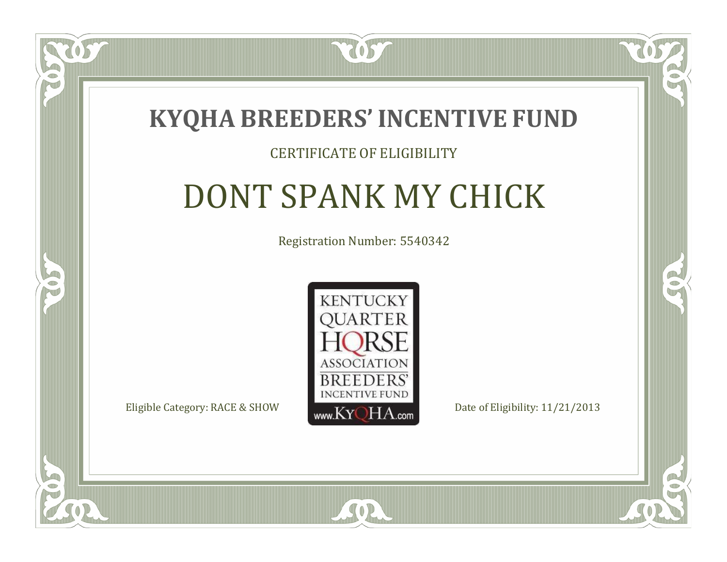

### CERTIFICATE OF ELIGIBILITY

# DONT SPANK MY CHICK

Registration Number: 5540342



CO.

 $\rightarrow$ 

 $\Box$ N

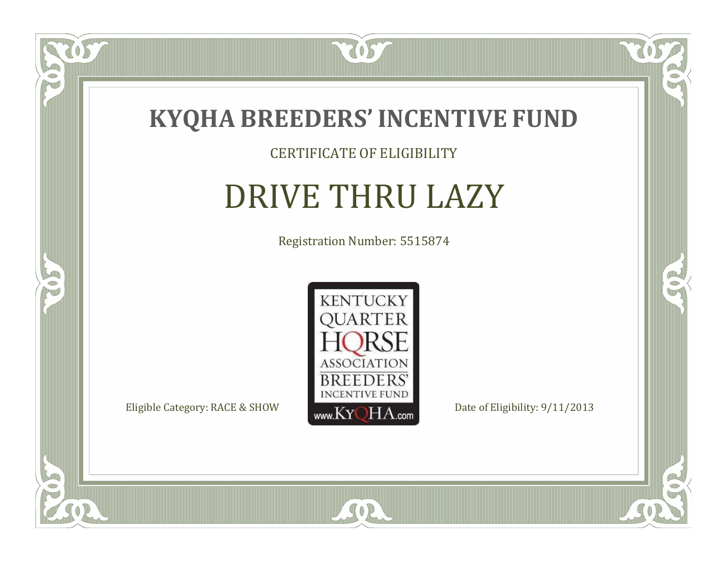

### CERTIFICATE OF ELIGIBILITY

# DRIVE THRU LAZY

Registration Number: 5515874



SOR

CO.

 $\rightarrow$ 

057

 $\bullet$ NU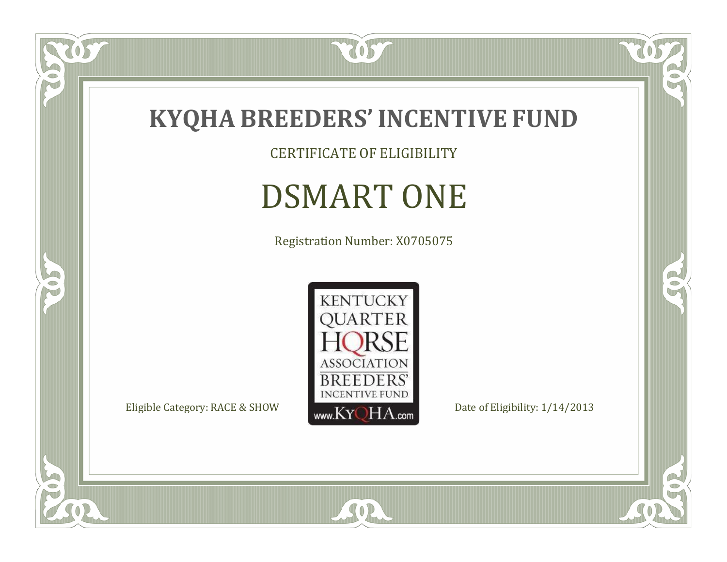

CERTIFICATE OF ELIGIBILITY

# DSMART ONE

Registration Number: X0705075



 $\mathbb{R}$ 

 $\mathbb{R}^2$ 

 $\overline{OS}$ 

 $\bullet$ N

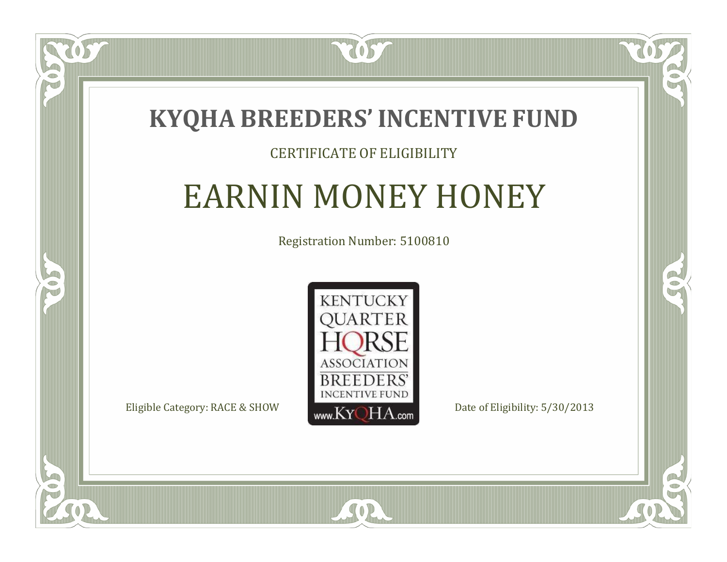

### CERTIFICATE OF ELIGIBILITY

## EARNIN MONEY HONEY

Registration Number: 5100810



SOR

CO.

 $\rightarrow$ 

 $\blacksquare$ N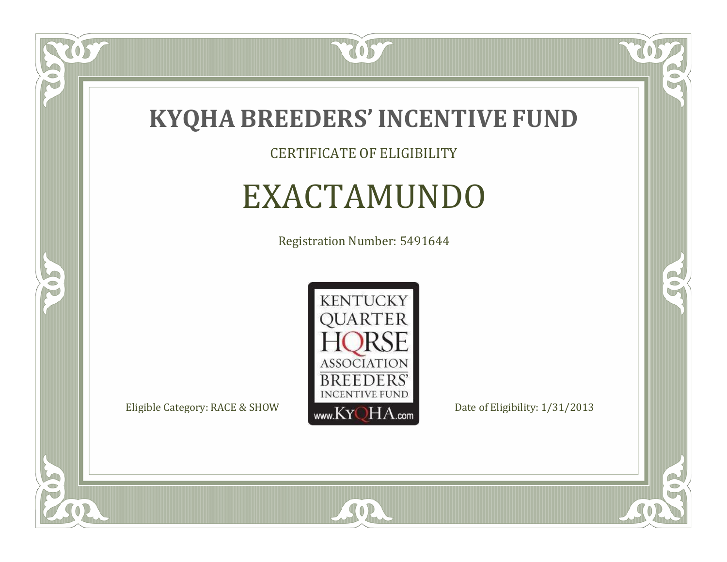

CERTIFICATE OF ELIGIBILITY

## EXACTAMUNDO

Registration Number: 5491644



SOR

 $\mathbb{R}$ 

 $\rightarrow$ 

US

 $\bullet$ NU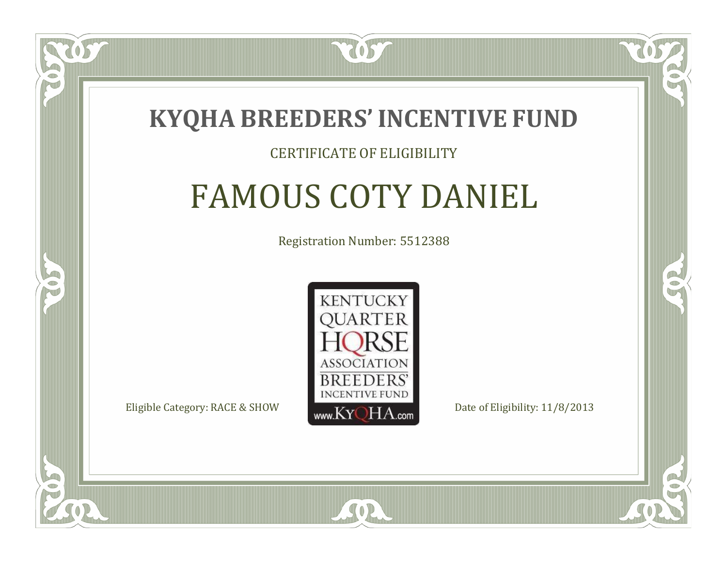

#### CERTIFICATE OF ELIGIBILITY

# FAMOUS COTY DANIEL

Registration Number: 5512388



SOR

CO.

B

 $\Box$ N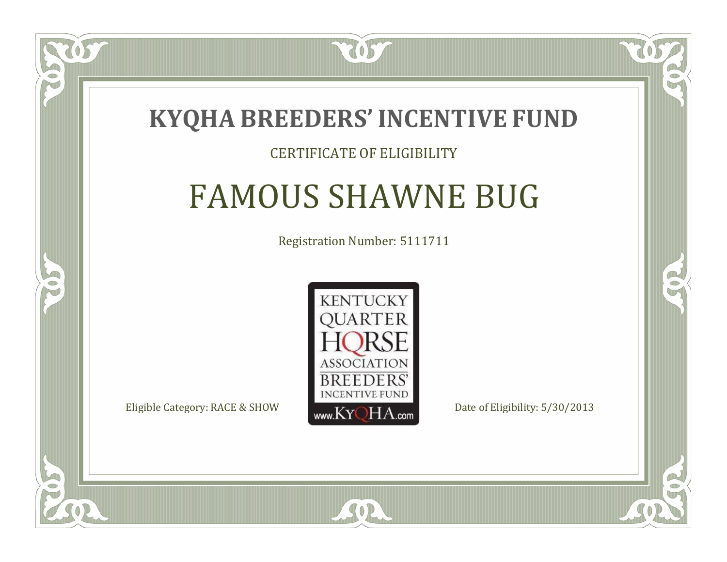

### CERTIFICATE OF ELIGIBILITY

## FAMOUS SHAWNE BUG

Registration Number: 5111711



SOR

CO.

B

 $\Box$ N

S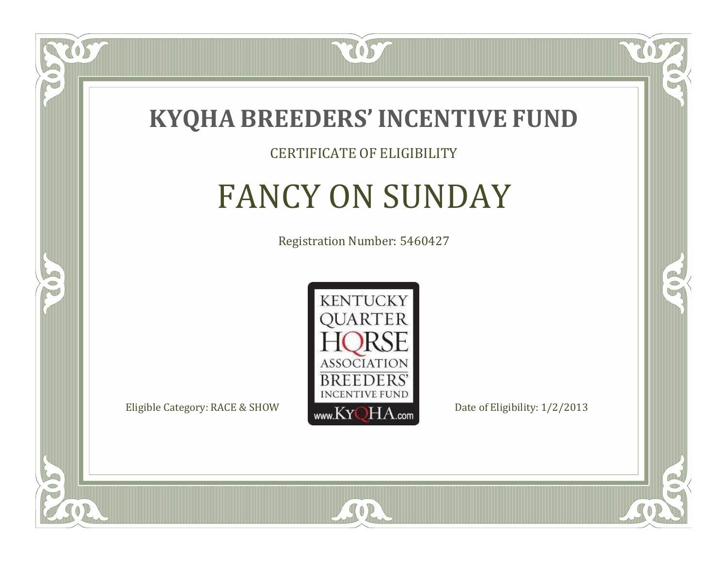

### CERTIFICATE OF ELIGIBILITY

# FANCY ON SUNDAY

Registration Number: 5460427



SOR

 $\mathbb{R}$ 

 $\rightarrow$ 

 $\delta S$ 

 $\Box$ NU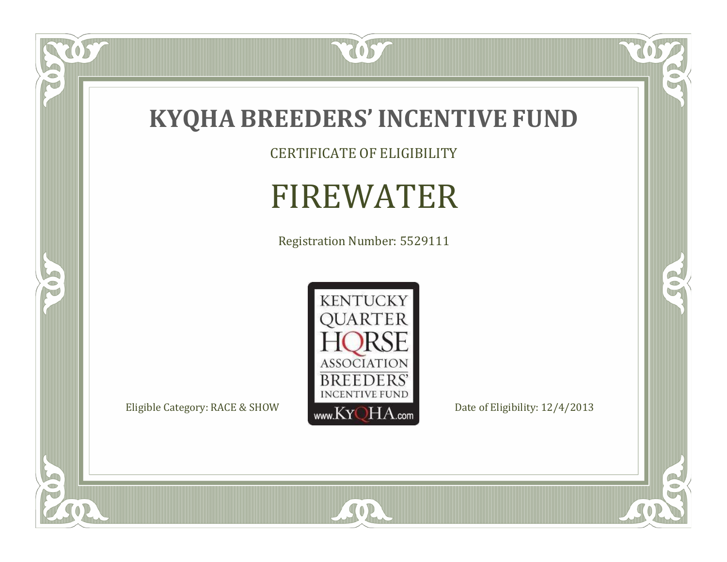

CERTIFICATE OF ELIGIBILITY

# FIREWATER

Registration Number: 5529111



SOR

 $\mathbb{R}$ 

 $\mathbb{R}^2$ 

US.

FO

5

O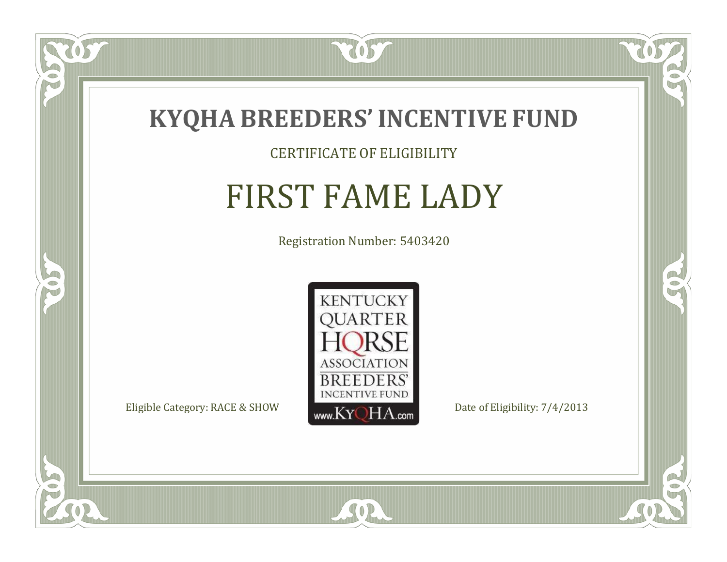

### CERTIFICATE OF ELIGIBILITY

# FIRST FAME LADY

Registration Number: 5403420



US

 $\Box$ NU

5

CO.

 $\rightarrow$ 

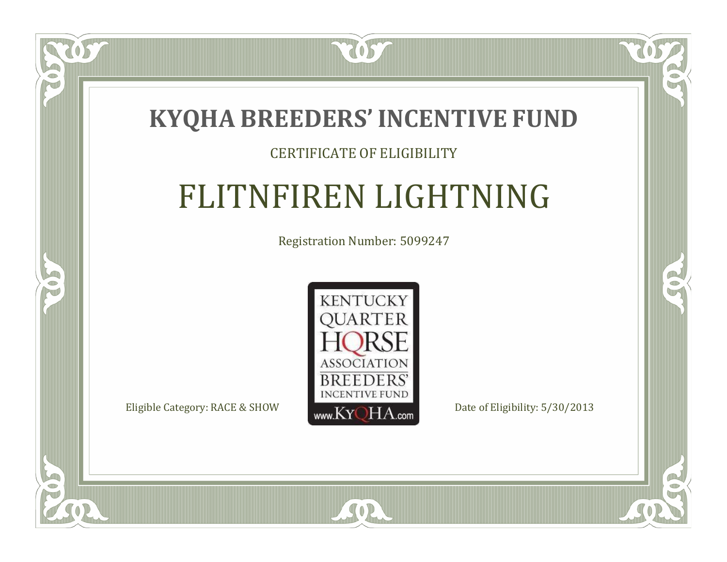

### CERTIFICATE OF ELIGIBILITY

# FLITNFIREN LIGHTNING

Registration Number: 5099247



 $SO2$ 

 $\mathbb{R}$ 

 $\rightarrow$ 

ÒS

 $\bullet$ N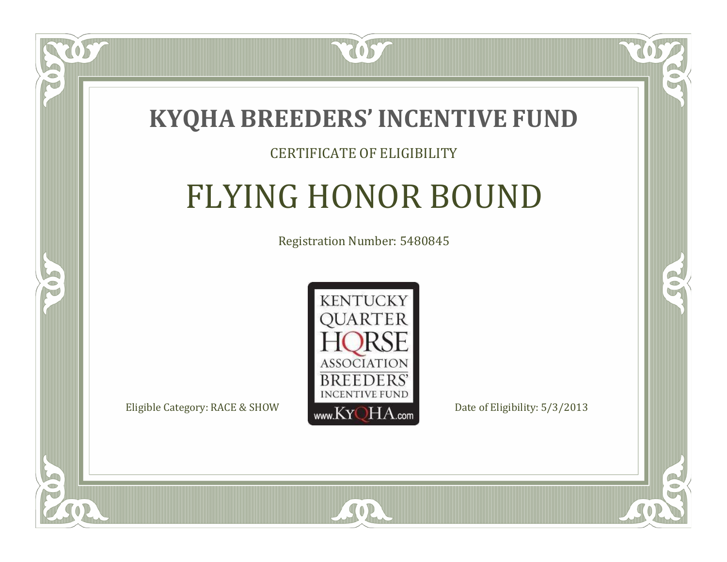

### CERTIFICATE OF ELIGIBILITY

# FLYING HONOR BOUND

Registration Number: 5480845



 $SO2$ 

CO.

 $\rightarrow$ 

 $\blacksquare$ N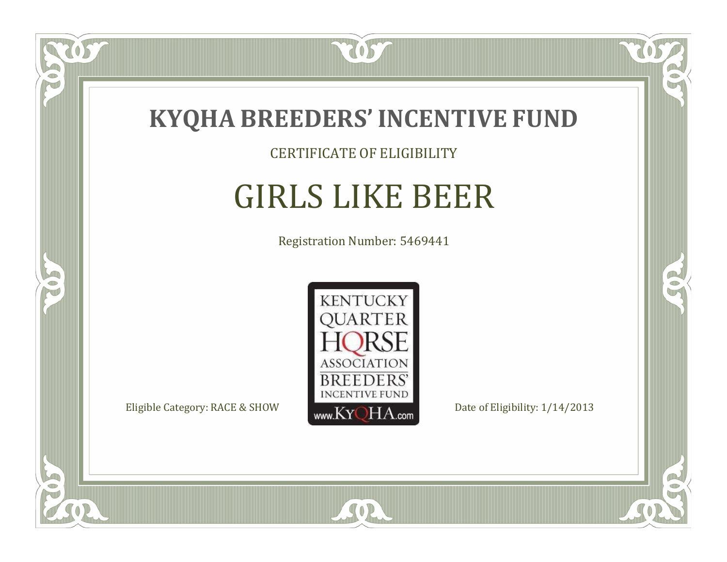

CERTIFICATE OF ELIGIBILITY

# GIRLS LIKE BEER

Registration Number: 5469441



SOR

CO.

 $\rightarrow$ 

 $\delta S$ 

 $\bullet$ NU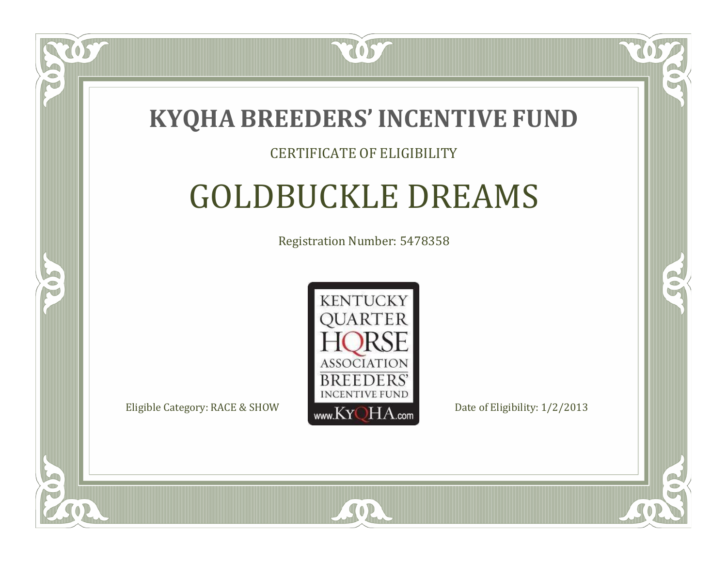

### CERTIFICATE OF ELIGIBILITY

# GOLDBUCKLE DREAMS

Registration Number: 5478358



SOR

RO

B)

 $\Box$ N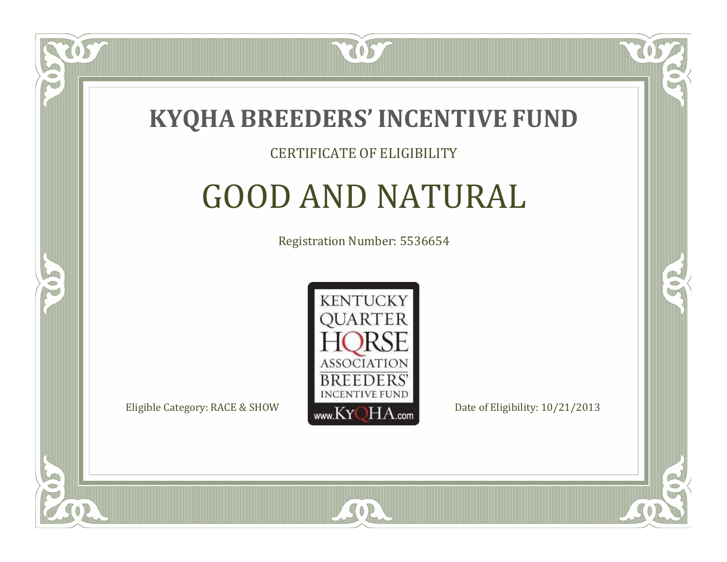

 $\Box$ N

5

#### CERTIFICATE OF ELIGIBILITY

# GOOD AND NATURAL

Registration Number: 5536654



SOR

RO

CO.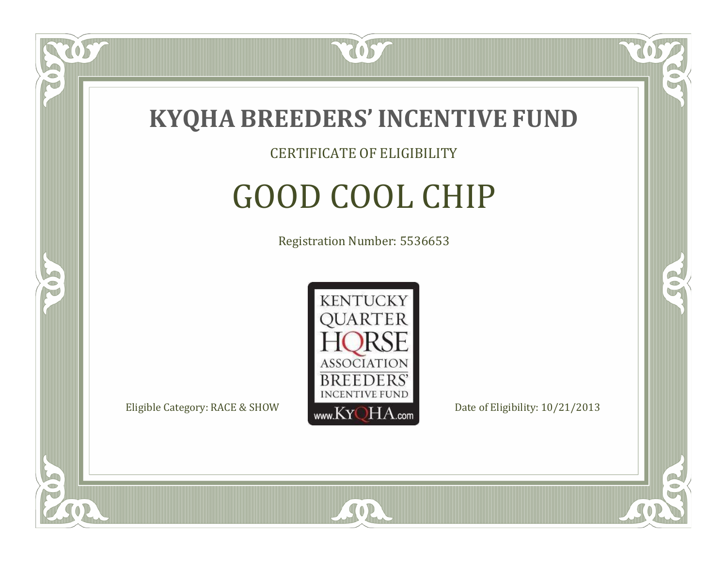

 $\Box$ NU

5

CERTIFICATE OF ELIGIBILITY

# GOOD COOL CHIP

Registration Number: 5536653



SOR

RO

B)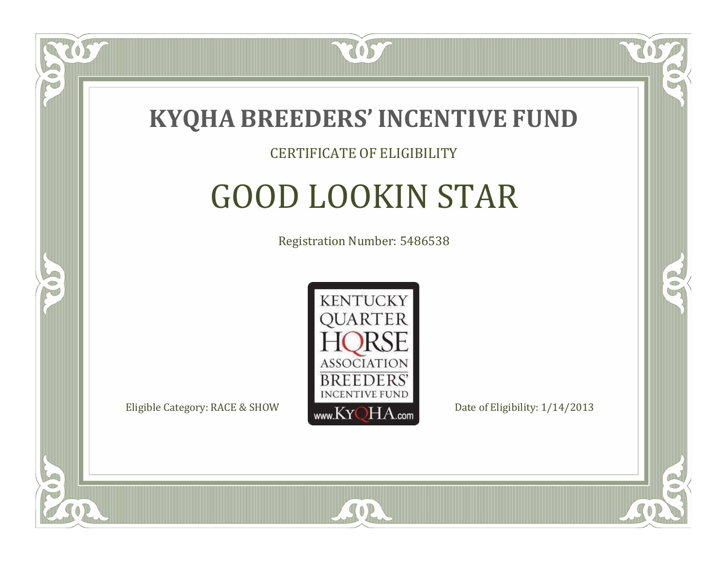

#### CERTIFICATE OF ELIGIBILITY

# GOOD LOOKIN STAR

Registration Number: 5486538



SOR

CO.

B)

 $\blacksquare$ N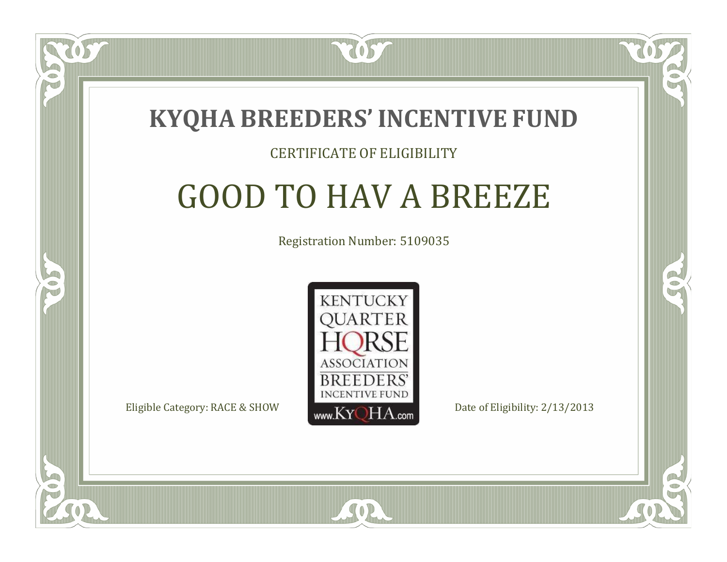

#### CERTIFICATE OF ELIGIBILITY

### GOOD TO HAV A BREEZE

Registration Number: 5109035



SOR

RO

P.

 $\Box$ N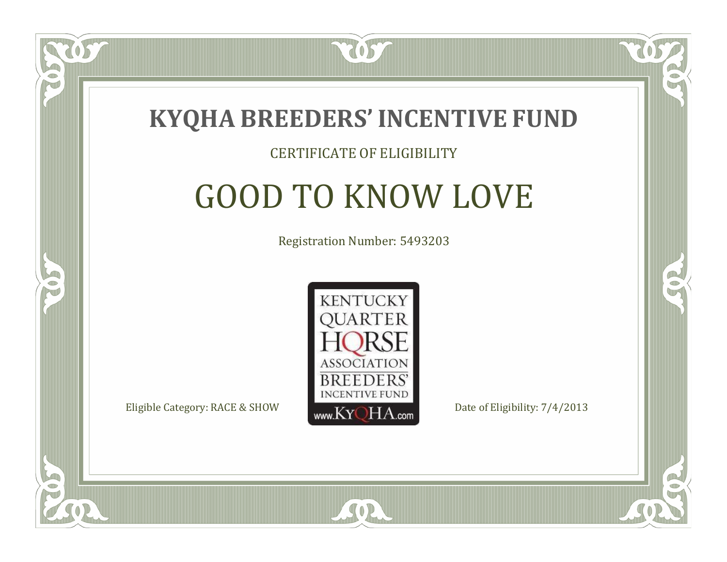

### CERTIFICATE OF ELIGIBILITY

# GOOD TO KNOW LOVE

Registration Number: 5493203



 $SO2$ 

CO.

P.

 $\Box$ N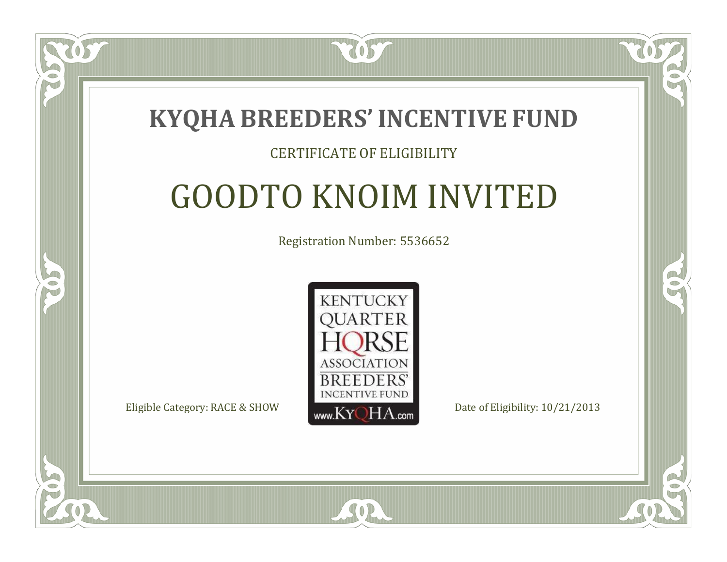

### CERTIFICATE OF ELIGIBILITY

### GOODTO KNOIM INVITED

Registration Number: 5536652



SOR

CO.

B)

 $\Box$ N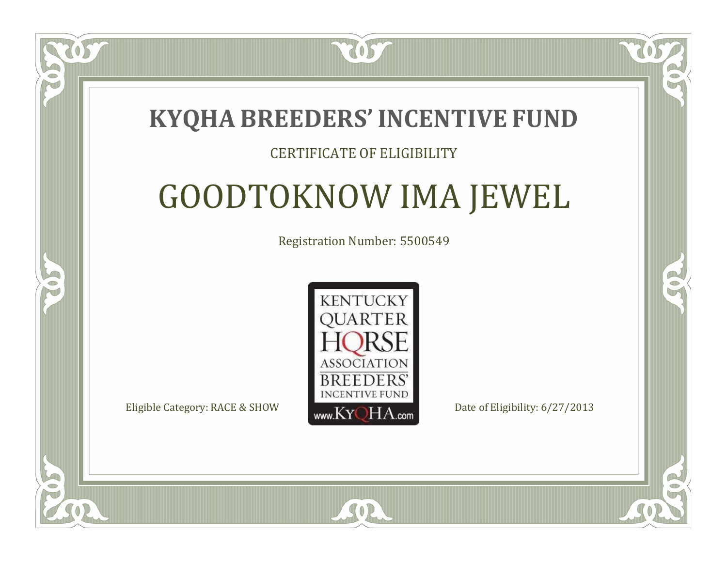### **KYQHA BREEDERS'INCENTIVE FUND**

7057

### CERTIFICATE OF ELIGIBILITY

# GOODTOKNOW IMA JEWEL

Registration Number: 5500549



SOR

RO

A.

 $\Box$ N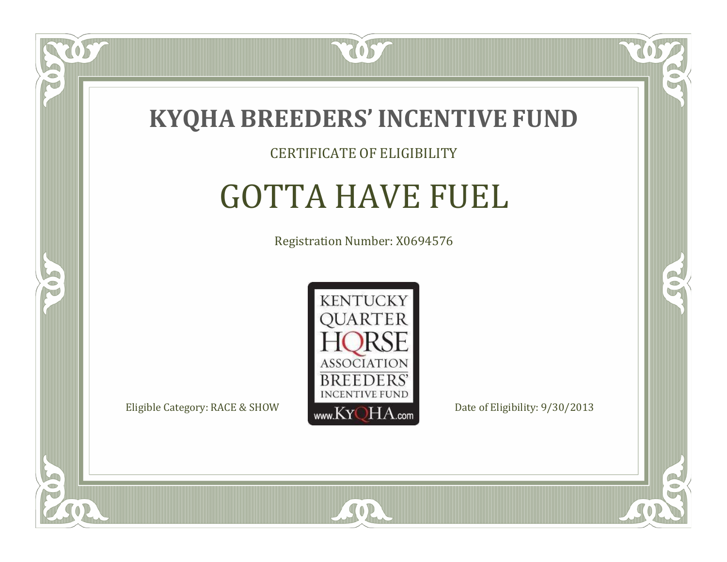

#### CERTIFICATE OF ELIGIBILITY

# GOTTA HAVE FUEL

Registration Number: X0694576



SOR

CO.

B

US

 $\Box$ NU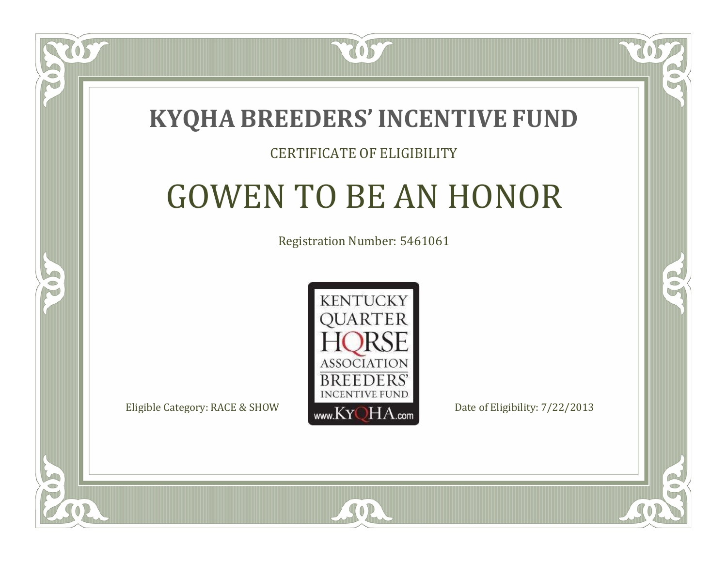

 $\Box$ T

S

### CERTIFICATE OF ELIGIBILITY

# GOWEN TO BE AN HONOR

Registration Number: 5461061



SOR

RO

P.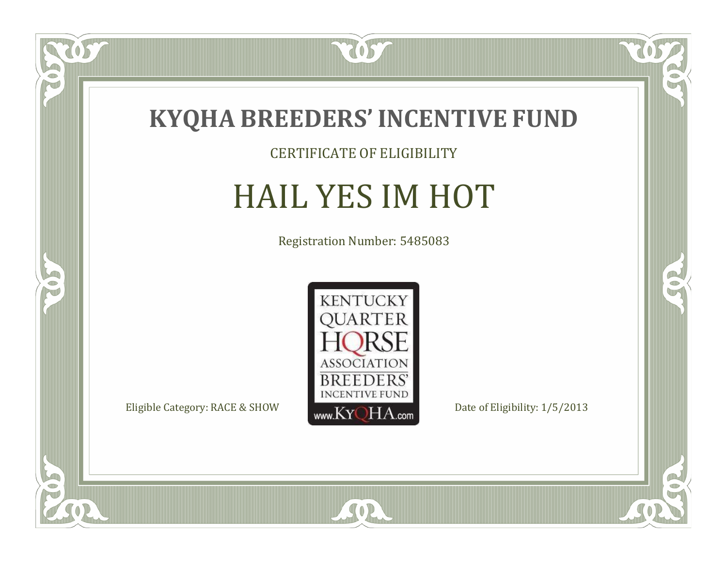

CERTIFICATE OF ELIGIBILITY

# HAIL YES IM HOT

Registration Number: 5485083



SOR

CO.

 $\rightarrow$ 

 $\overline{OS}$ 

 $\bullet$ NU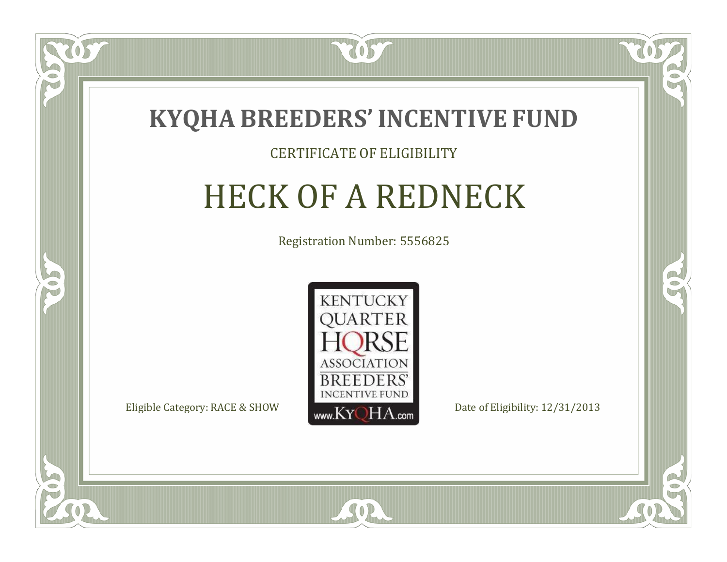

### CERTIFICATE OF ELIGIBILITY

# HECK OF A REDNECK

Registration Number: 5556825



SOR

CO.

B

 $\Box$ N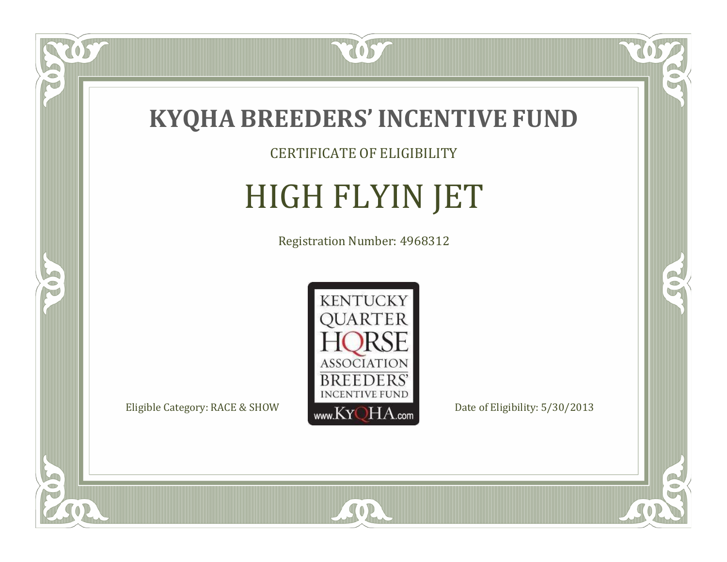

CERTIFICATE OF ELIGIBILITY

# HIGH FLYIN JET

Registration Number: 4968312



SOR

RO

 $\rightarrow$ 

 $\overline{OS}$ 

 $\bullet$ NU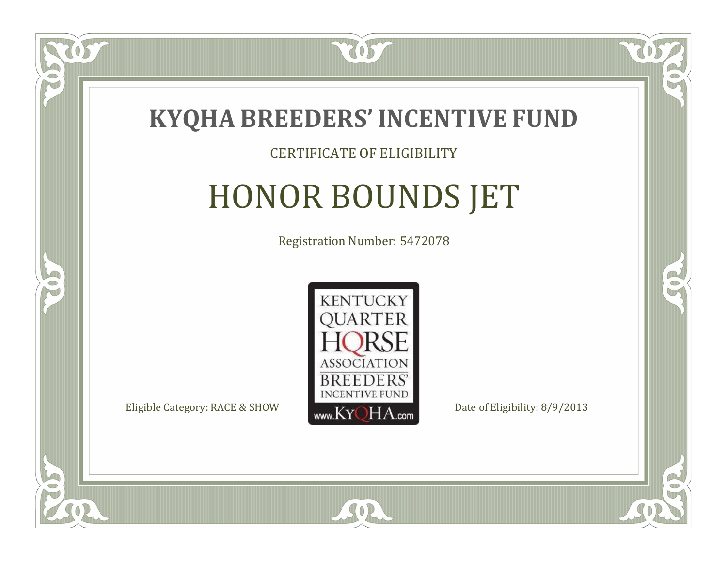

#### CERTIFICATE OF ELIGIBILITY

# HONOR BOUNDS JET

Registration Number: 5472078



RO

CO.

 $\Box$ N

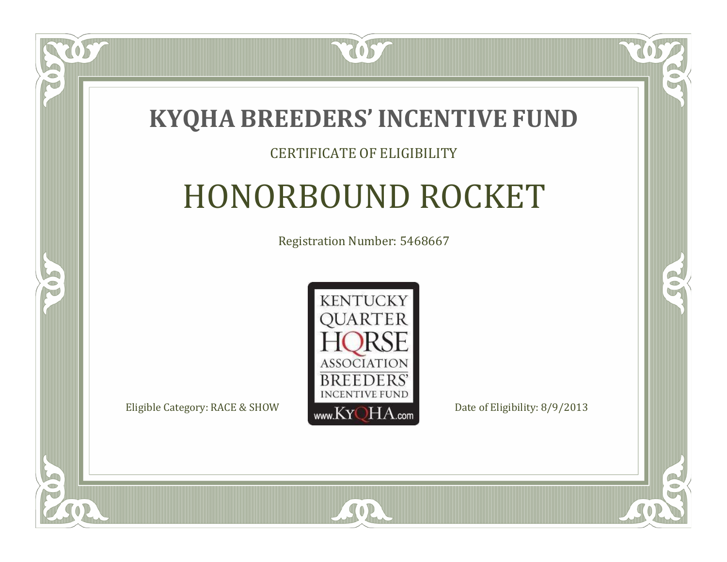

#### CERTIFICATE OF ELIGIBILITY

# HONORBOUND ROCKET

Registration Number: 5468667



SOR

RO

B

 $\Box$ N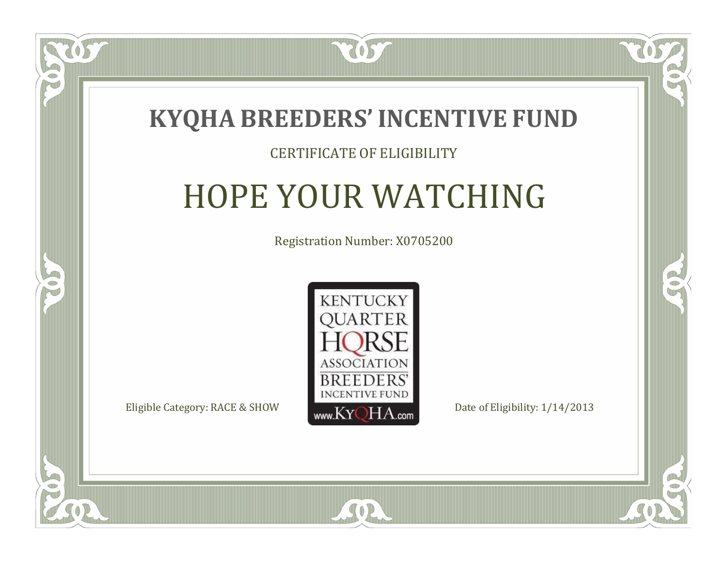

### CERTIFICATE OF ELIGIBILITY

# HOPE YOUR WATCHING

Registration Number: X0705200



 $SO2$ 

CO.

 $\rightarrow$ 

 $\blacksquare$ N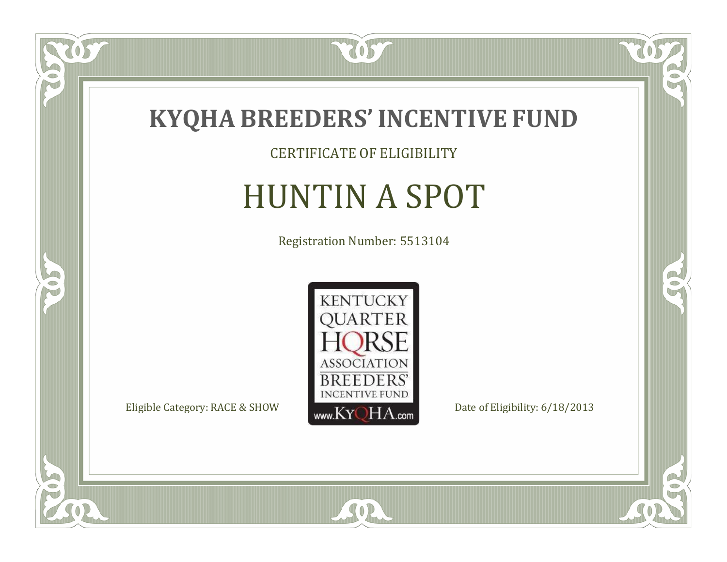

CERTIFICATE OF ELIGIBILITY

# HUNTIN A SPOT

Registration Number: 5513104



SOR

CO.

 $\rightarrow$ 

US

 $\bullet$ NU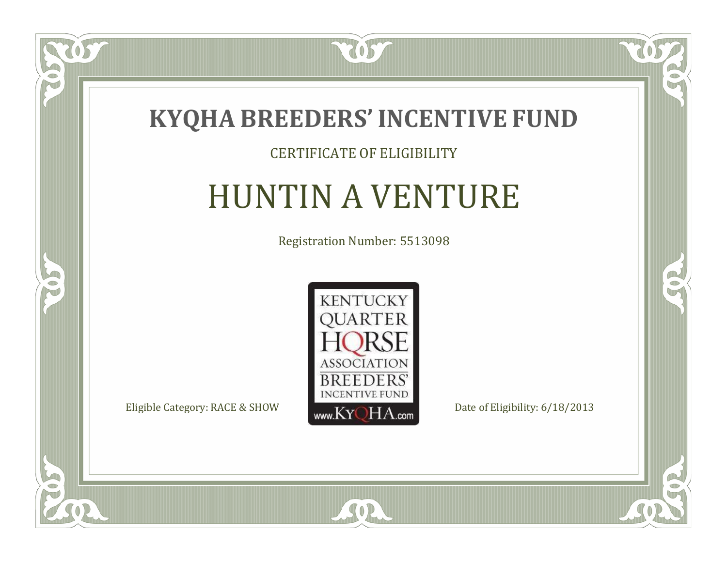

#### CERTIFICATE OF ELIGIBILITY

# HUNTIN A VENTURE

Registration Number: 5513098



SOR

US

 $\bullet$ NU

5

 $\mathbb{R}$ 

R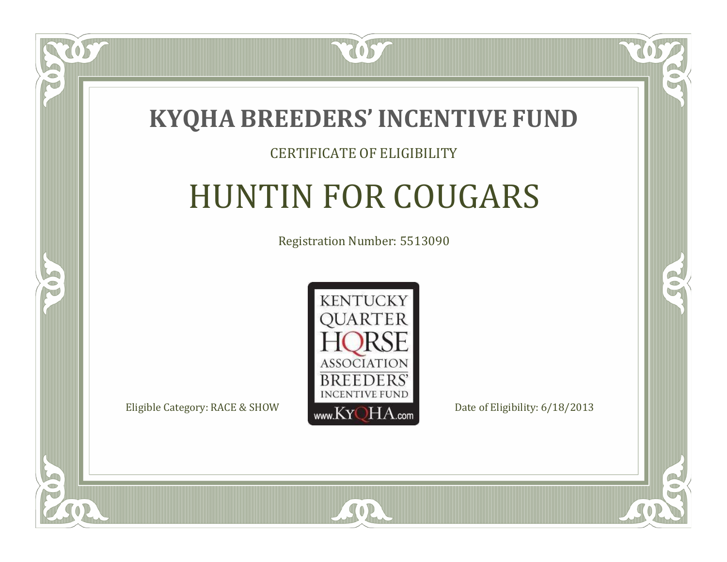

### CERTIFICATE OF ELIGIBILITY

# HUNTIN FOR COUGARS

Registration Number: 5513090



SOR

 $\Box$ N

S

CO.

 $\rightarrow$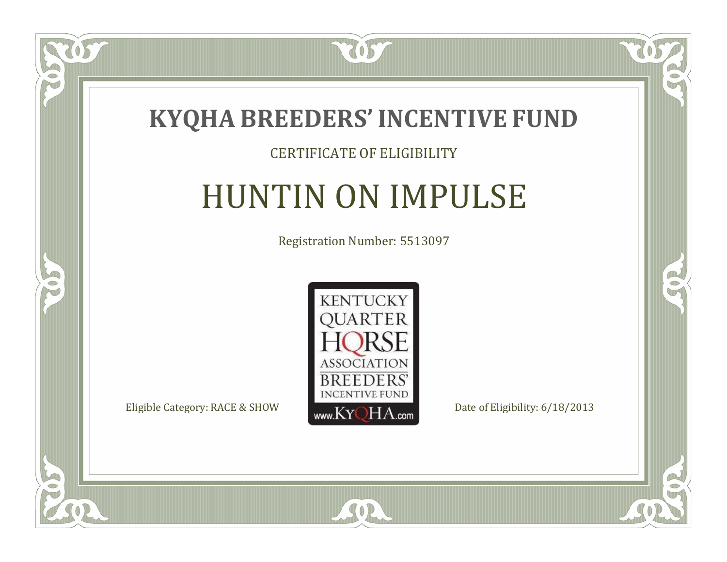

### CERTIFICATE OF ELIGIBILITY

# HUNTIN ON IMPULSE

Registration Number: 5513097



SOR

CO.

 $\rightarrow$ 

057

 $\bullet$ NU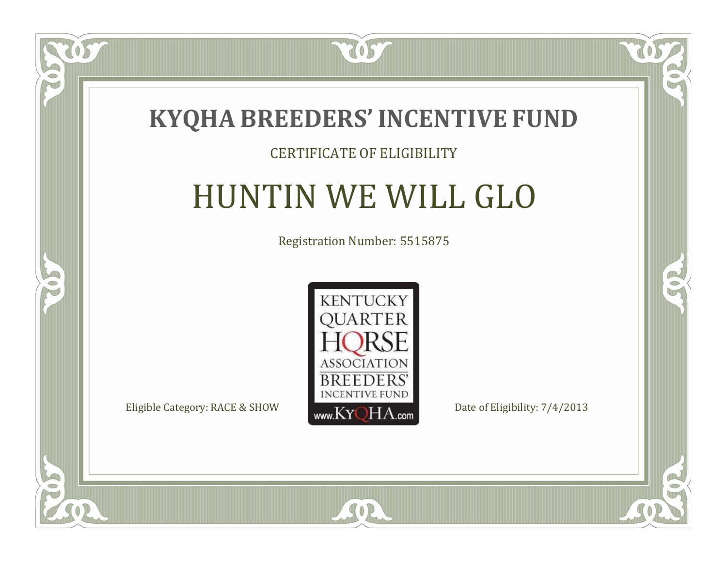

### CERTIFICATE OF ELIGIBILITY

# HUNTIN WE WILL GLO

Registration Number: 5515875



CO.

 $\rightarrow$ 

US

 $\bullet$ NU

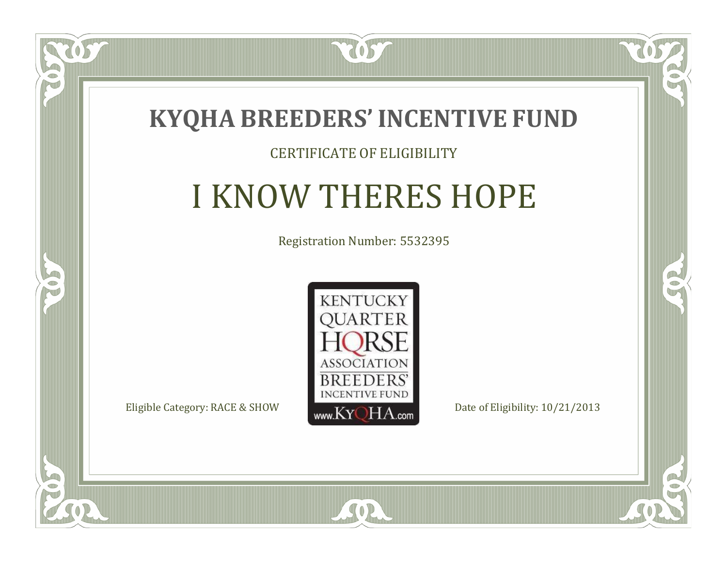

 $\blacksquare$ N

5

### CERTIFICATE OF ELIGIBILITY

# I KNOW THERES HOPE

Registration Number: 5532395



 $SO2$ 

CO.

 $\rightarrow$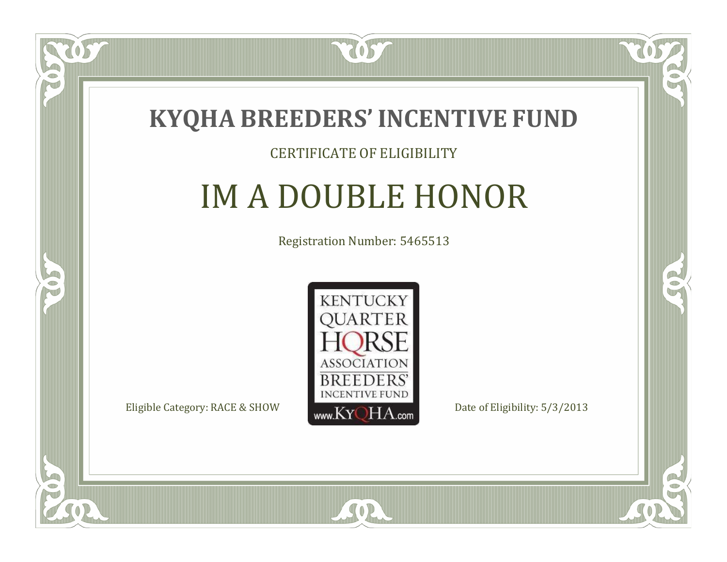

#### CERTIFICATE OF ELIGIBILITY

# IM A DOUBLE HONOR

Registration Number: 5465513



SOR

CO.

B

 $\Box$ N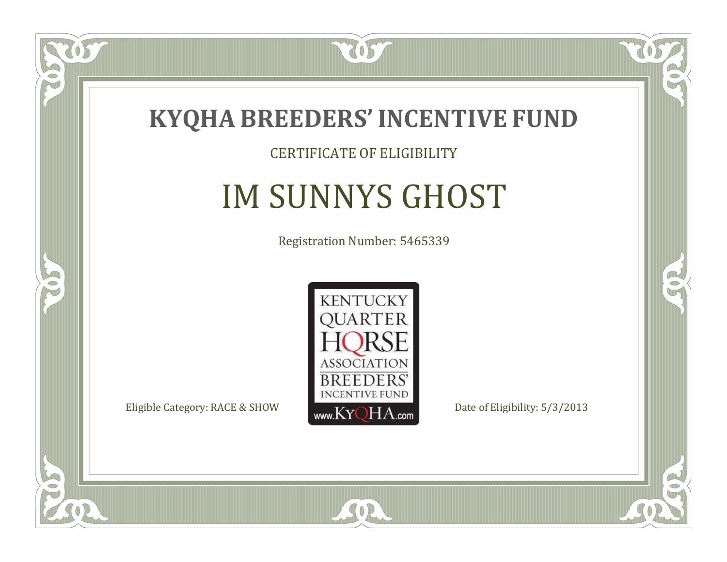

### CERTIFICATE OF ELIGIBILITY

# IM SUNNYS GHOST

Registration Number: 5465339



 $SO2$ 

CO.

 $\rightarrow$ 

US

 $\Box$ NU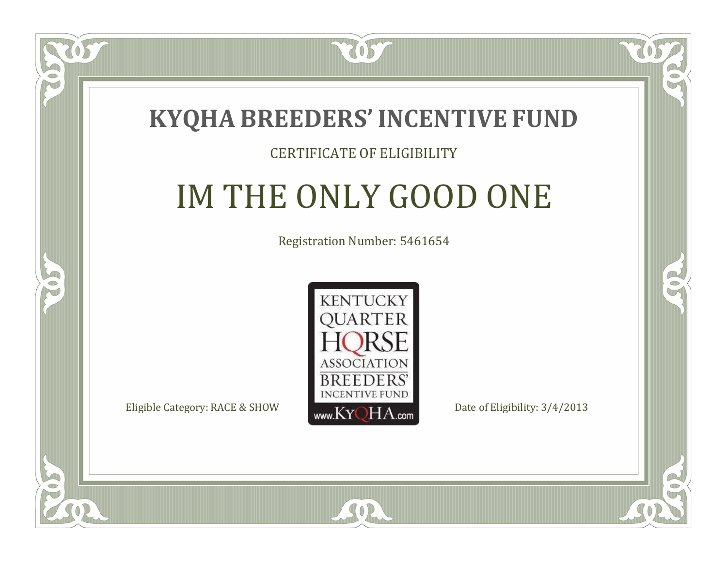

### CERTIFICATE OF ELIGIBILITY

# IM THE ONLY GOOD ONE

Registration Number: 5461654



SOR

CO.

P.

 $\Box$ N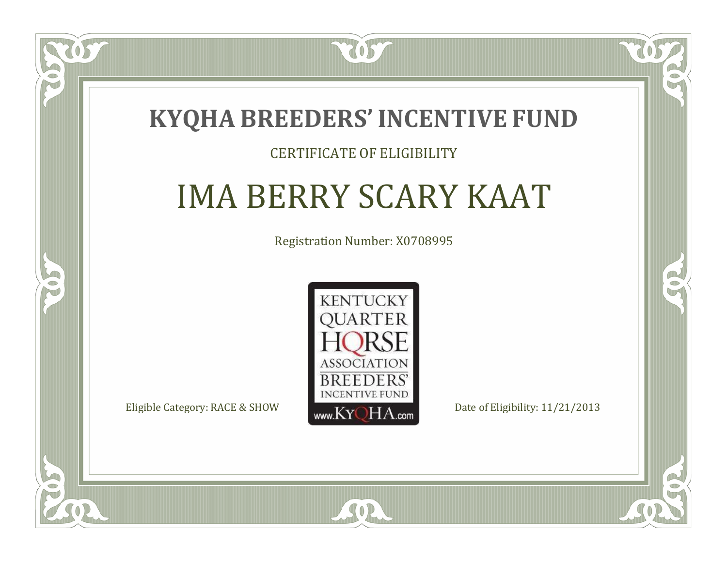### **KYQHA BREEDERS'INCENTIVE FUND**

7057

### CERTIFICATE OF ELIGIBILITY

# IMA BERRY SCARY KAAT

Registration Number: X0708995



 $SO2$ 

 $\mathbb{R}^2$ 

 $\rightarrow$ 

 $\Box$ T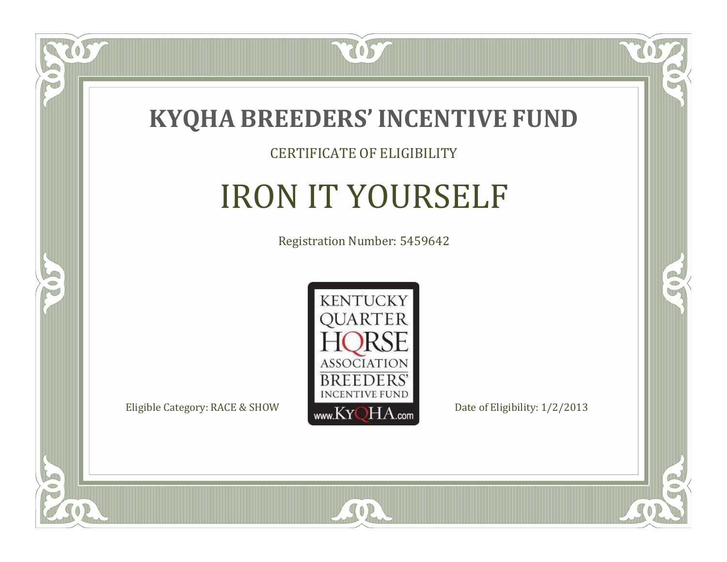

#### CERTIFICATE OF ELIGIBILITY

# IRON IT YOURSELF

Registration Number: 5459642



SOR

CO.

 $\rightarrow$ 

057

 $\Box$ NU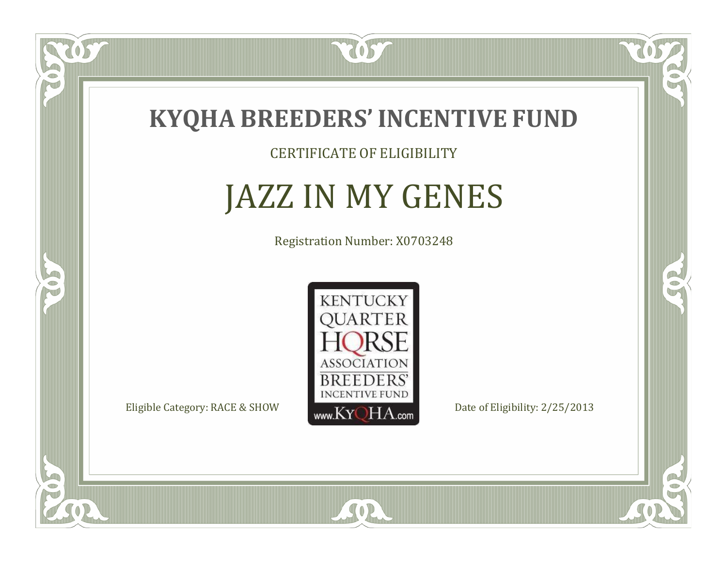

TOST

CERTIFICATE OF ELIGIBILITY

### JAZZ IN MY GENES

Registration Number: X0703248



SOR

CO.

 $\rightarrow$ 

US

 $\Box$ N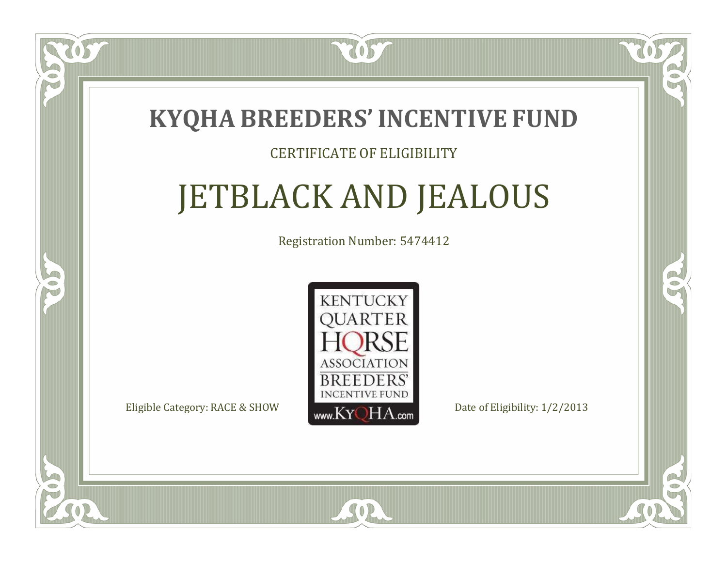

### CERTIFICATE OF ELIGIBILITY

# JETBLACK AND JEALOUS

Registration Number: 5474412



RO

P.

 $\Box$ N

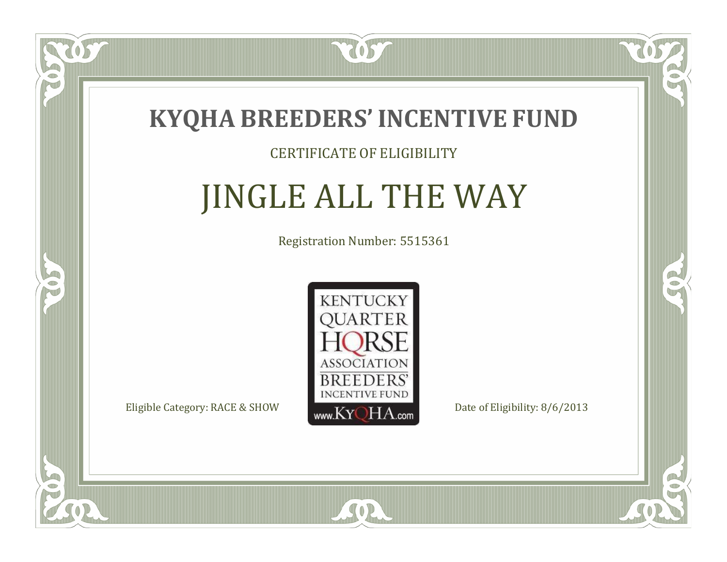

### CERTIFICATE OF ELIGIBILITY

# JINGLE ALL THE WAY

Registration Number: 5515361



 $SO2$ 

CO.

OR.

US

 $\Box$ N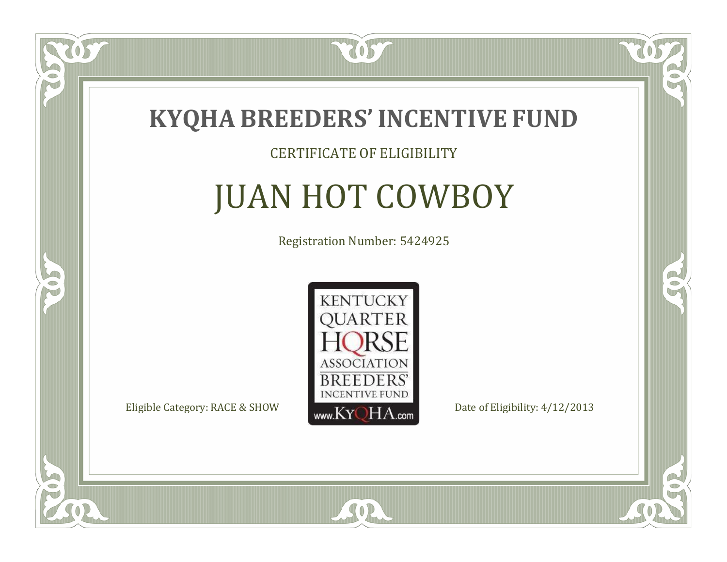

### CERTIFICATE OF ELIGIBILITY

# JUAN HOT COWBOY

Registration Number: 5424925



 $SO2$ 

CO.

 $\mathcal{C}$ 

US

 $\Box$ T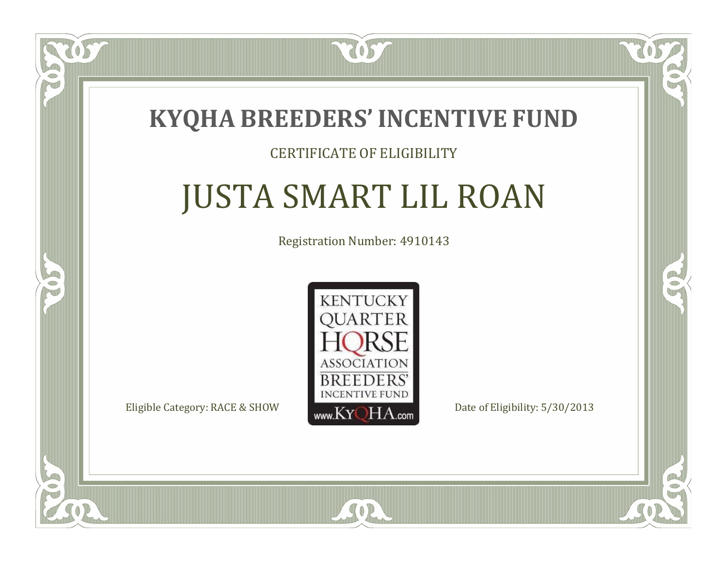

### CERTIFICATE OF ELIGIBILITY

# JUSTA SMART LIL ROAN

Registration Number: 4910143



SOR

CO.

CO.

 $\Box$ N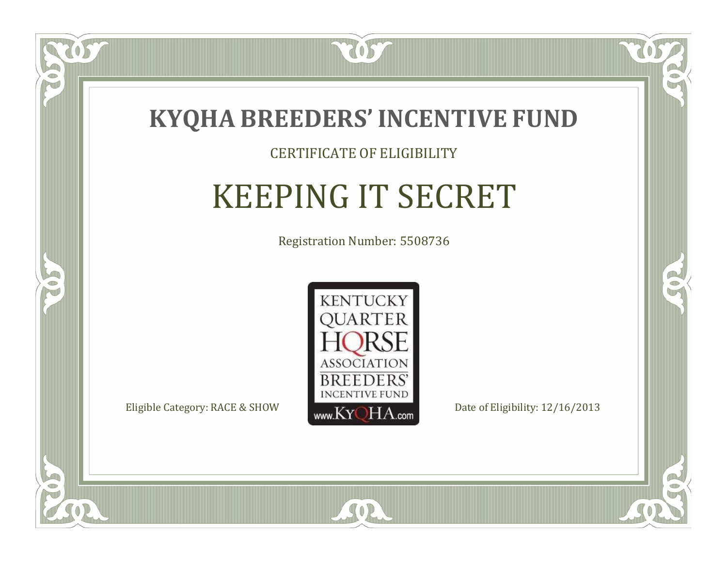

### CERTIFICATE OF ELIGIBILITY

# KEEPING IT SECRET

Registration Number: 5508736



 $SO<sub>2</sub>$ 

 $\Box$ N

5

RO

B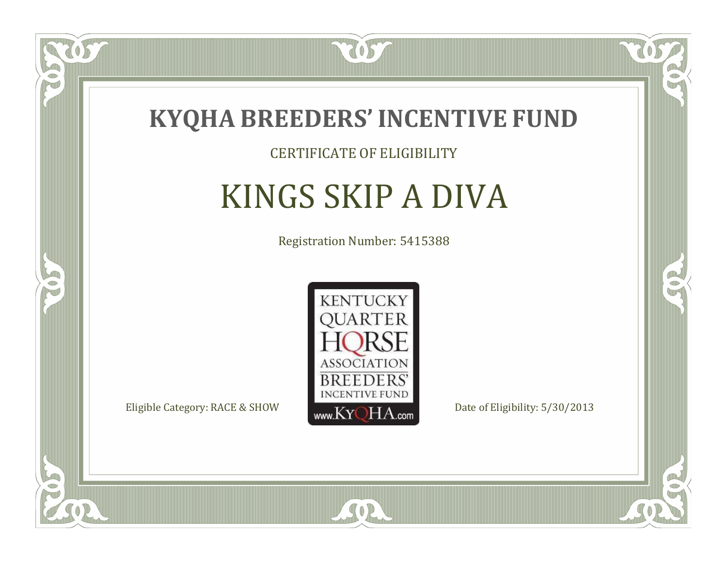

#### CERTIFICATE OF ELIGIBILITY

# KINGS SKIP A DIVA

Registration Number: 5415388



SOR

RO

B

 $\Box$ N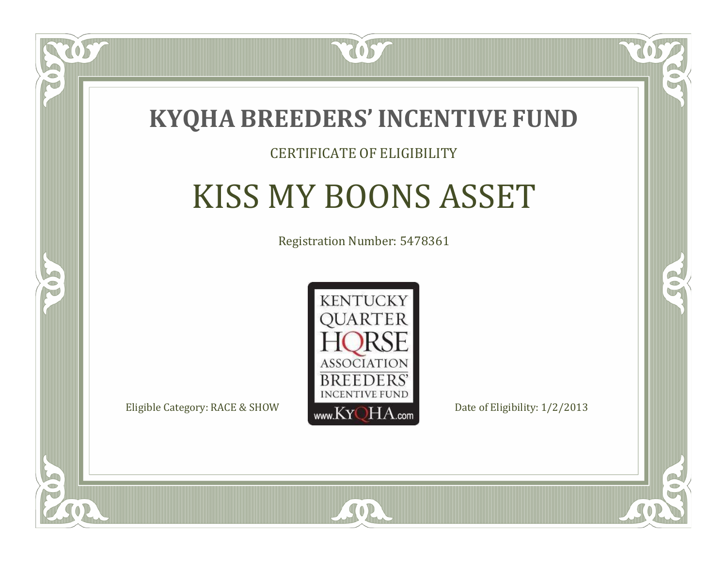

### CERTIFICATE OF ELIGIBILITY

# KISS MY BOONS ASSET

Registration Number: 5478361



SOR

RO

P.

 $\Box$ T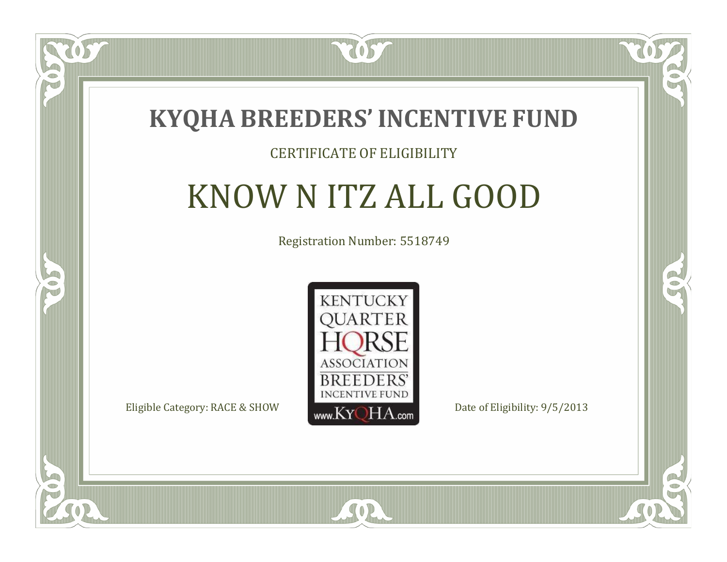

#### CERTIFICATE OF ELIGIBILITY

# KNOW N ITZ ALL GOOD

Registration Number: 5518749



CO.

B

 $\blacksquare$ N

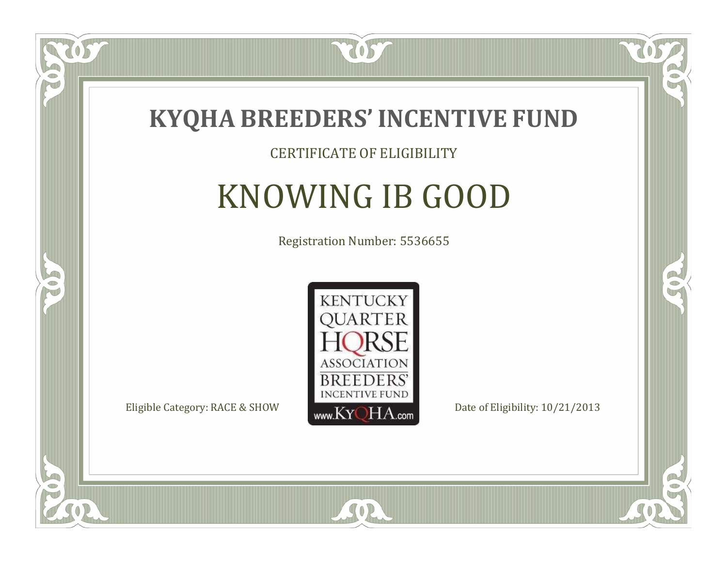

### CERTIFICATE OF ELIGIBILITY

# KNOWING IB GOOD

Registration Number: 5536655



SOR

CO.

B

 $\Box$ N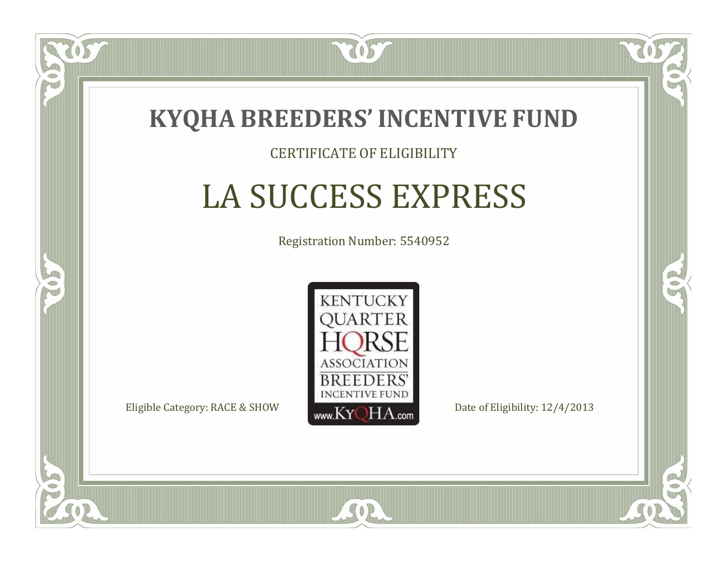

### CERTIFICATE OF ELIGIBILITY

# LA SUCCESS EXPRESS

Registration Number: 5540952



RO

P.

 $\Box$ N

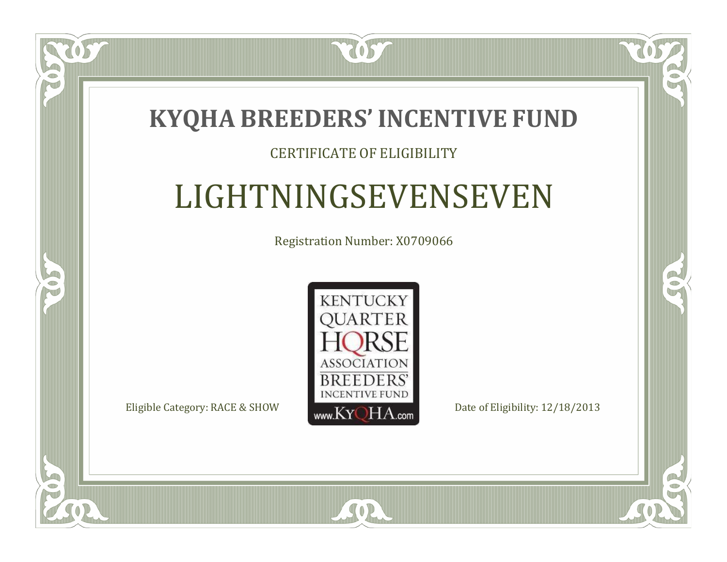

### CERTIFICATE OF ELIGIBILITY

# LIGHTNINGSEVENSEVEN

Registration Number: X0709066



 $SO<sub>2</sub>$ 

RO

 $\rightarrow$ 

 $\Box$ T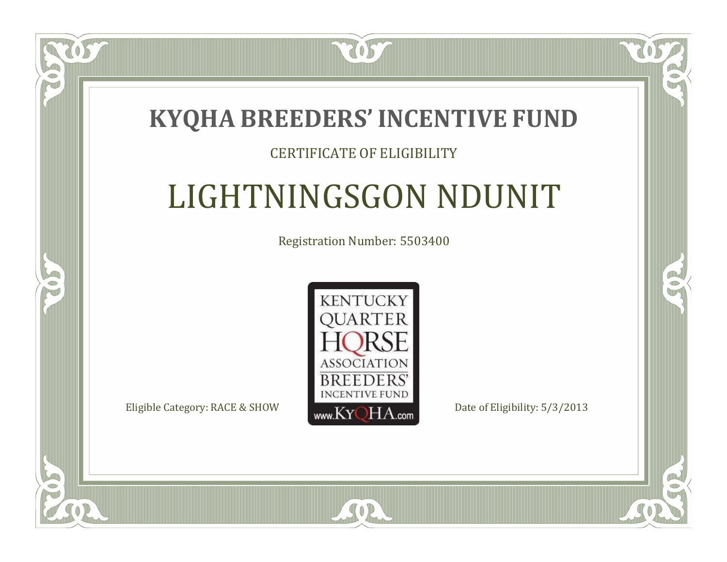

### CERTIFICATE OF ELIGIBILITY

# LIGHTNINGSGON NDUNIT

Registration Number: 5503400



SOR

CO.

 $\rightarrow$ 

 $\Box$ N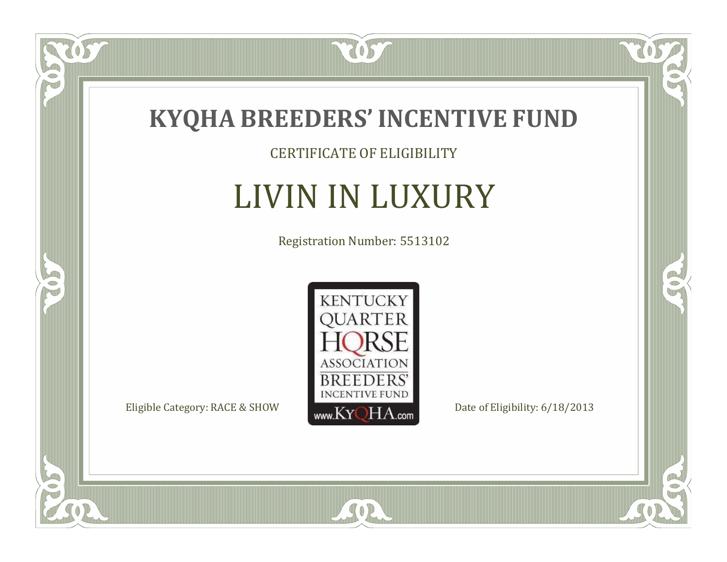

CERTIFICATE OF ELIGIBILITY

# LIVIN IN LUXURY

Registration Number: 5513102



SOR

OS.

 $\bullet$ NU

5

 $\mathbb{R}$ 

 $\mathbb{R}^2$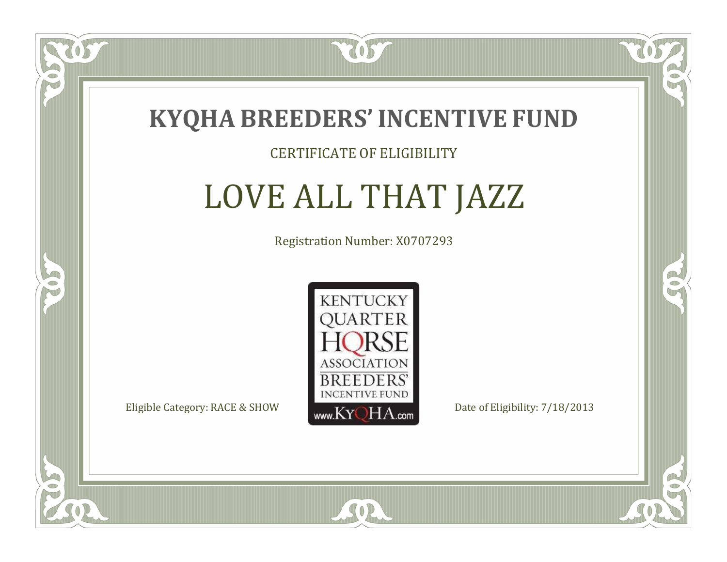

#### CERTIFICATE OF ELIGIBILITY

# LOVE ALL THAT JAZZ

Registration Number: X0707293



SOR

RO

B.

 $\Box$ N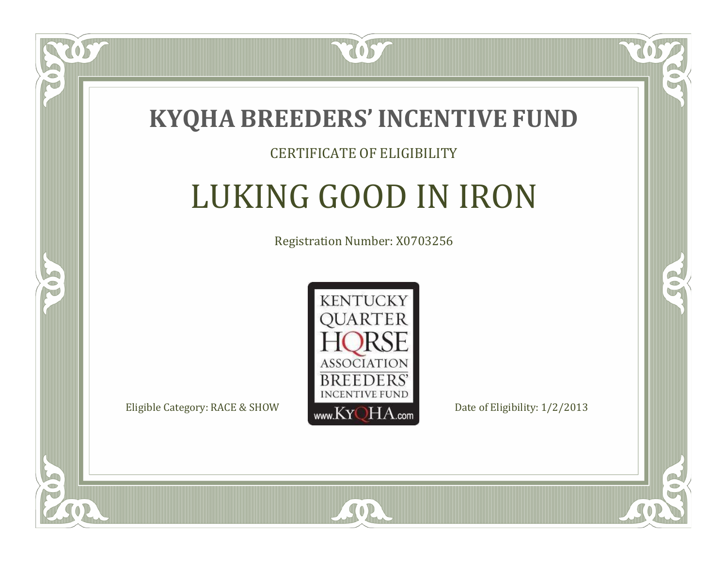

 $\Box$ N

S

#### CERTIFICATE OF ELIGIBILITY

# LUKING GOOD IN IRON

Registration Number: X0703256



SOR

RO

CO.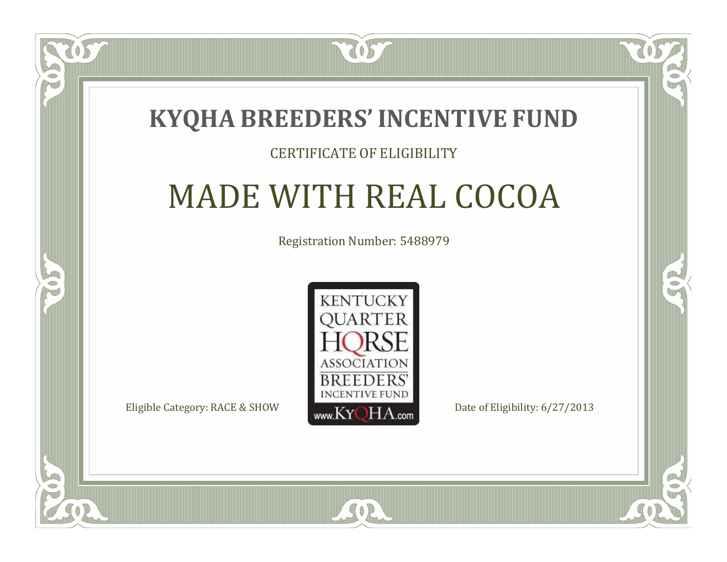### **KYQHA BREEDERS'INCENTIVE FUND**

7057

### CERTIFICATE OF ELIGIBILITY

# MADE WITH REAL COCOA

Registration Number: 5488979



SOR

CO.

B

 $\blacksquare$ N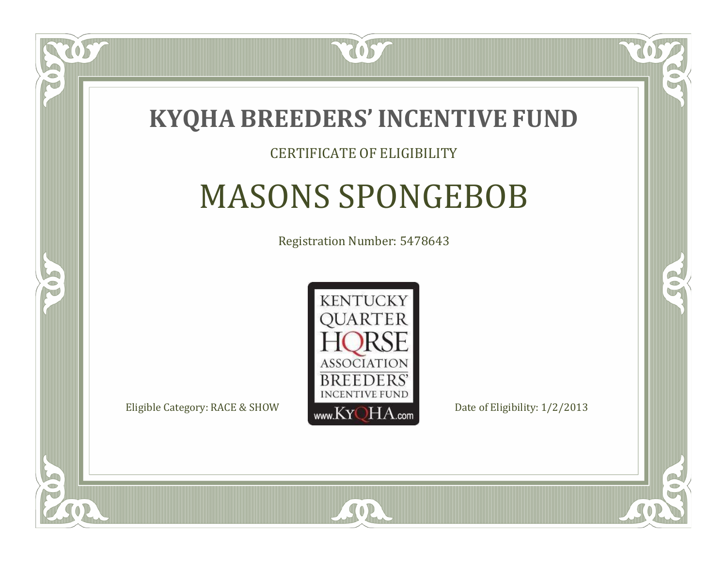

### CERTIFICATE OF ELIGIBILITY

# MASONS SPONGEBOB

Registration Number: 5478643



 $SO2$ 

CO.

B

 $\Box$ N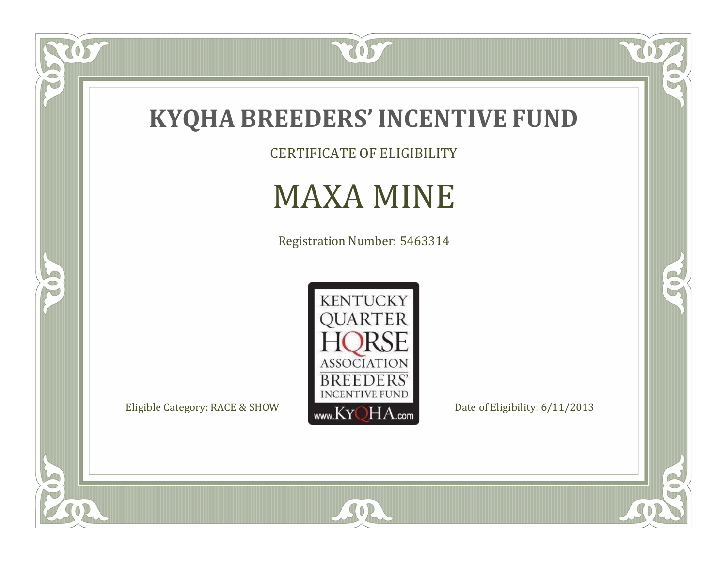

OS.

P

5

CERTIFICATE OF ELIGIBILITY

### MAXA MINE

Registration Number: 5463314



SOR

 $\mathbb{R}$ 

 $\mathbb{R}^2$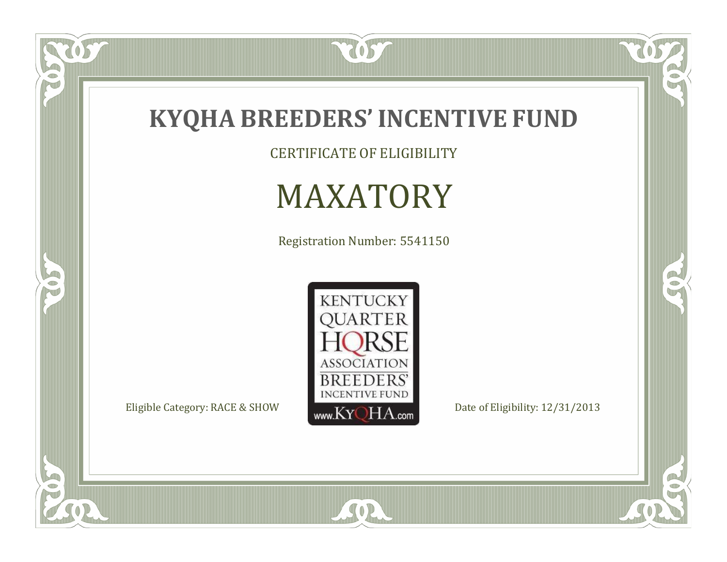

CERTIFICATE OF ELIGIBILITY

# MAXATORY

Registration Number: 5541150



SOR

 $\mathbb{R}$ 

 $\mathbb{R}^2$ 

OS.

 $\bullet$ N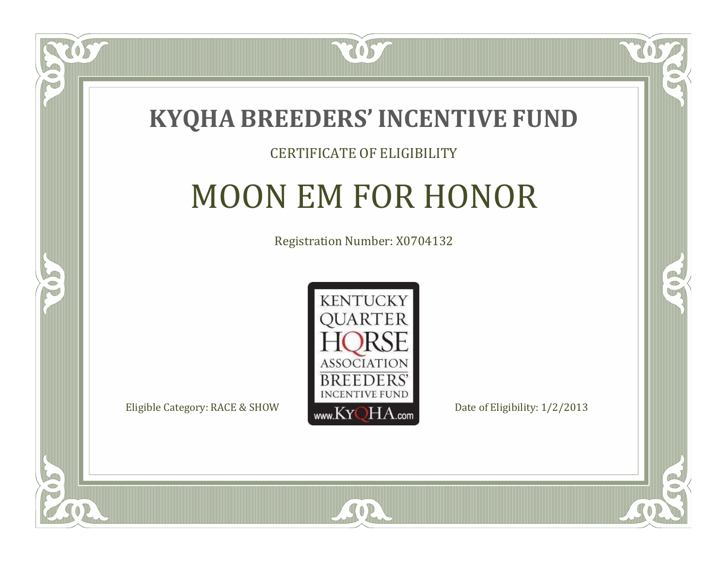

#### CERTIFICATE OF ELIGIBILITY

# MOON EM FOR HONOR

Registration Number: X0704132



SOR

CO.

B

 $\Box$ N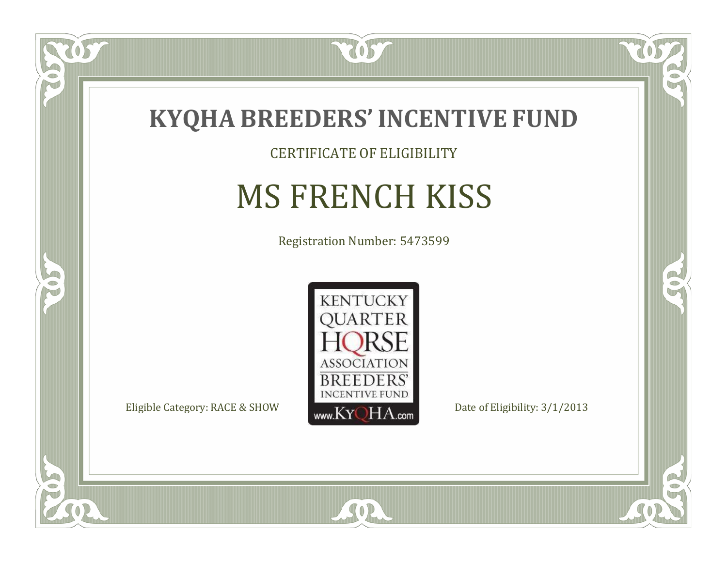

CERTIFICATE OF ELIGIBILITY

# MS FRENCH KISS

Registration Number: 5473599



SOR

 $\mathbb{R}$ 

 $\rightarrow$ 

 $\overline{OS}$ 

 $\bullet$ NU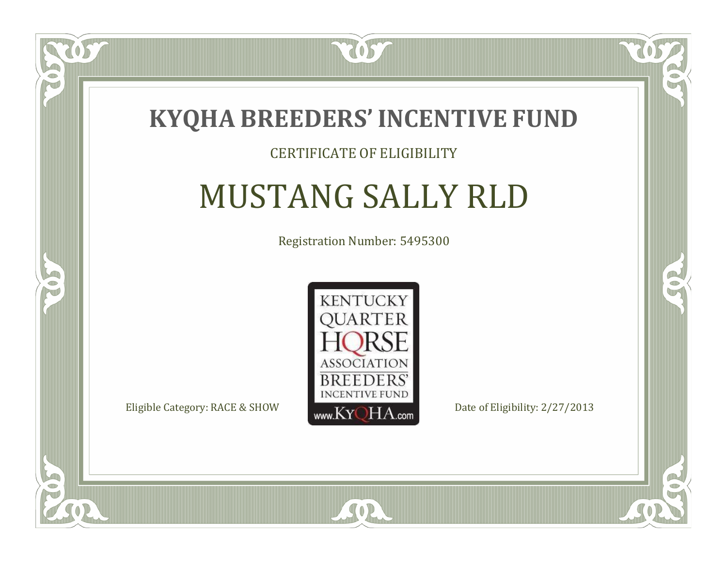

### CERTIFICATE OF ELIGIBILITY

# MUSTANG SALLY RLD

Registration Number: 5495300



SOR

CO.

 $\rightarrow$ 

 $\blacksquare$ N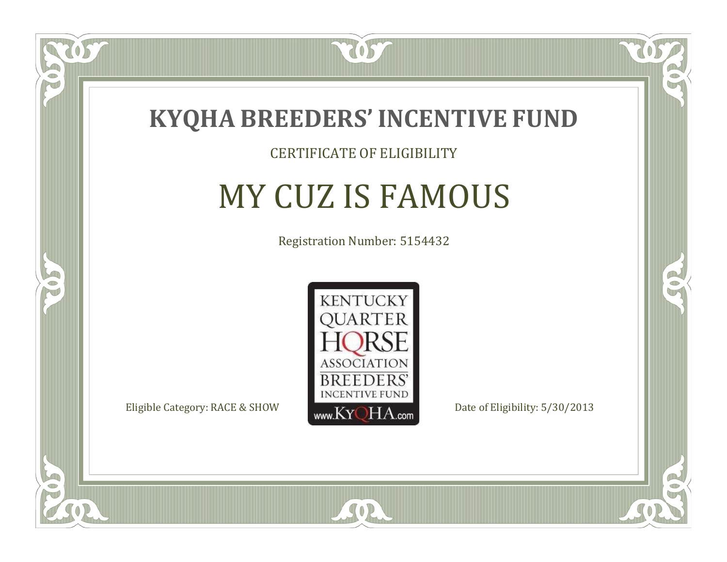

### CERTIFICATE OF ELIGIBILITY

### MY CUZ IS FAMOUS

Registration Number: 5154432



SOR

CO.

 $\rightarrow$ 

US

 $\Box$ NU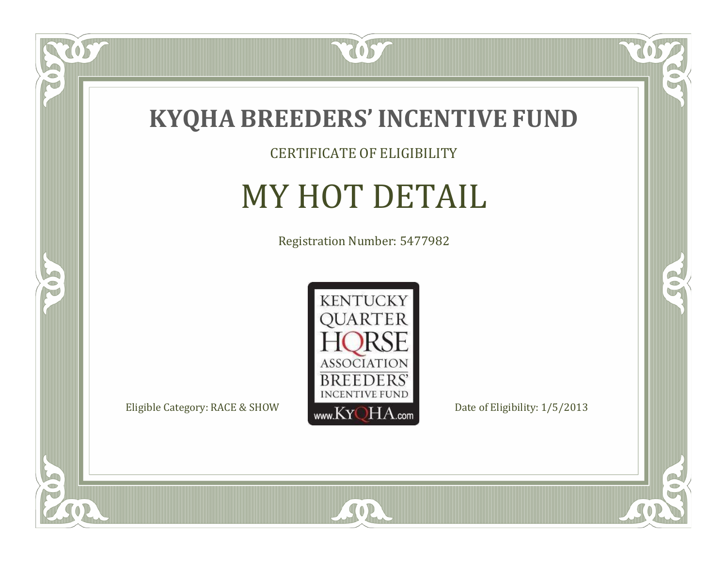

### CERTIFICATE OF ELIGIBILITY

# MY HOT DETAIL

Registration Number: 5477982



SOR

 $\mathbb{R}$ 

 $\rightarrow$ 

 $\overline{OS}$ 

 $\bullet$ NU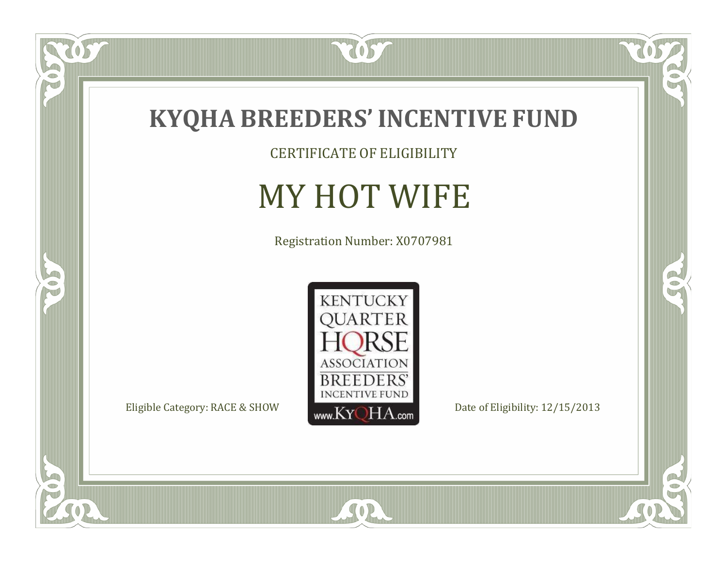

 $\overline{OS}$ 

 $\bullet$ N

5

CERTIFICATE OF ELIGIBILITY

# MY HOT WIFE

Registration Number: X0707981



SOR

 $\mathbb{R}$ 

 $\mathbb{R}^2$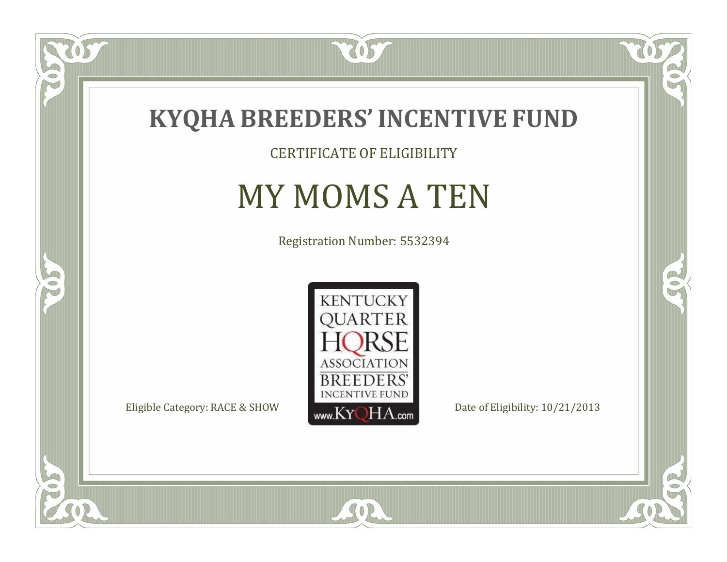

CERTIFICATE OF ELIGIBILITY

# MY MOMS A TEN

Registration Number: 5532394



SOR

CO.

 $\rightarrow$ 

OS

 $\Box$ NU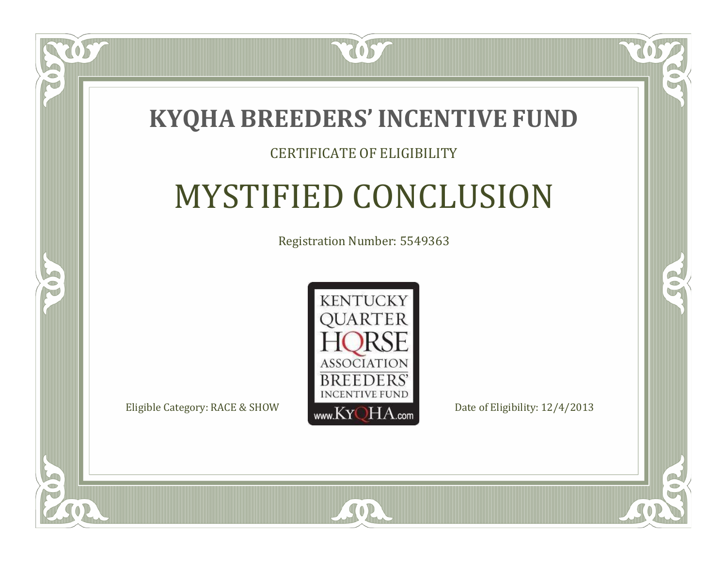

### CERTIFICATE OF ELIGIBILITY

# MYSTIFIED CONCLUSION

Registration Number: 5549363



SOR

CO.

 $\rightarrow$ 

 $\Box$ N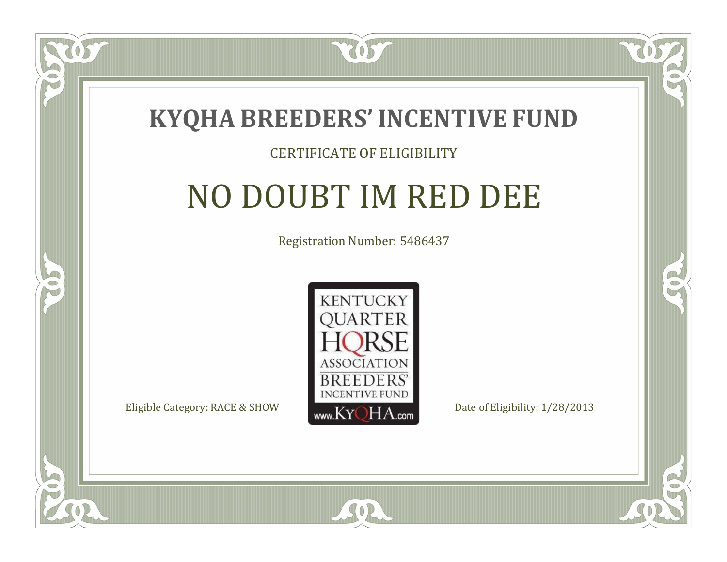

### CERTIFICATE OF ELIGIBILITY

# NO DOUBT IM RED DEE

Registration Number: 5486437



SOR

 $\Box$ N

5

CO.

B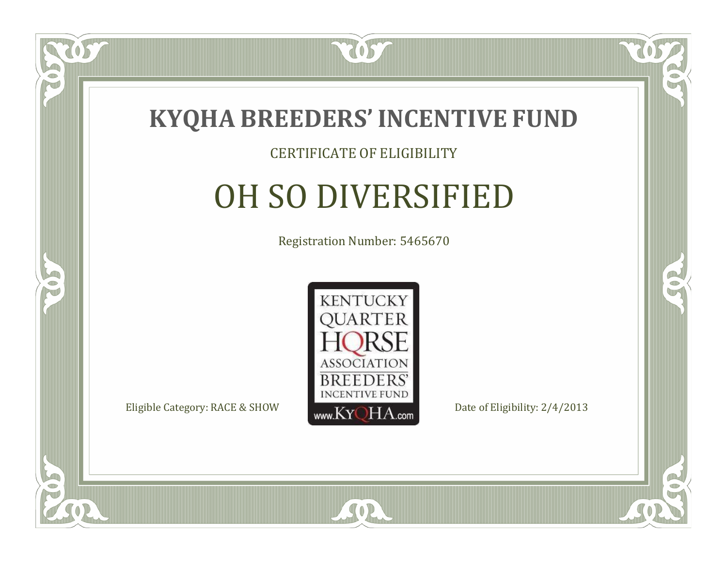

### CERTIFICATE OF ELIGIBILITY

# OH SO DIVERSIFIED

Registration Number: 5465670



SOR

CO.

 $\rightarrow$ 

 $\delta S$ 

 $\Box$ NU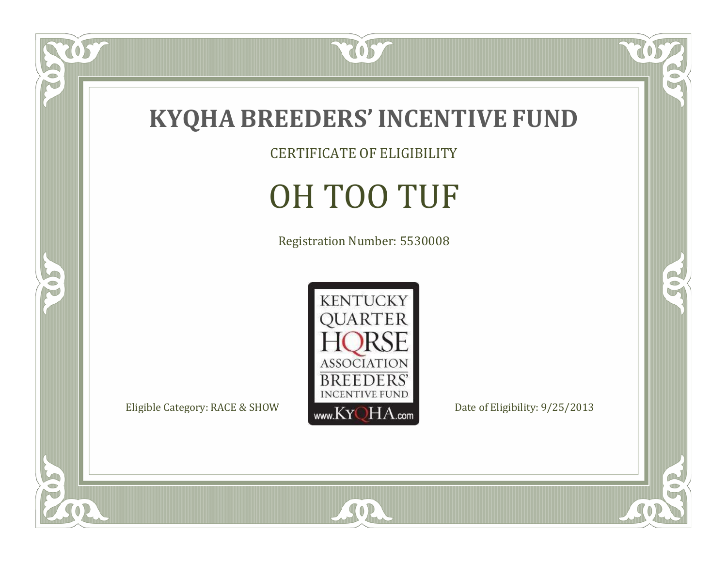

CERTIFICATE OF ELIGIBILITY

# OH TOO TUF

Registration Number: 5530008



SOR

 $\mathbb{R}$ 

 $\mathbb{R}^2$ 

US

 $\bullet$ N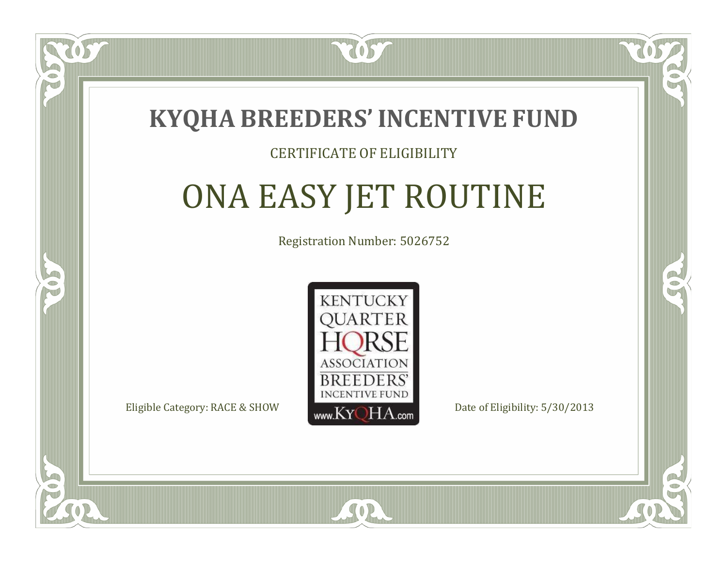

### CERTIFICATE OF ELIGIBILITY

# ONA EASY JET ROUTINE

Registration Number: 5026752



SOR

RO

B.

 $\Box$ N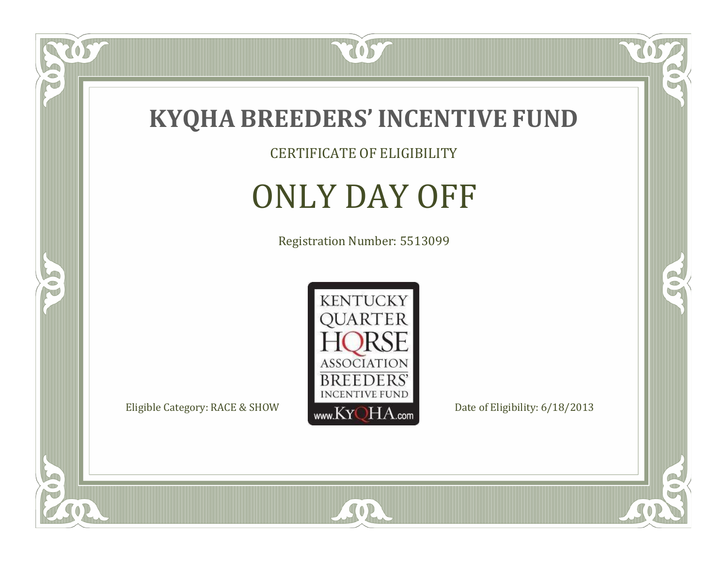

CERTIFICATE OF ELIGIBILITY

# ONLY DAY OFF

Registration Number: 5513099



SOR

 $\mathbb{R}$ 

 $\mathbb{R}^2$ 

 $\overline{OS}$ 

 $\bullet$ N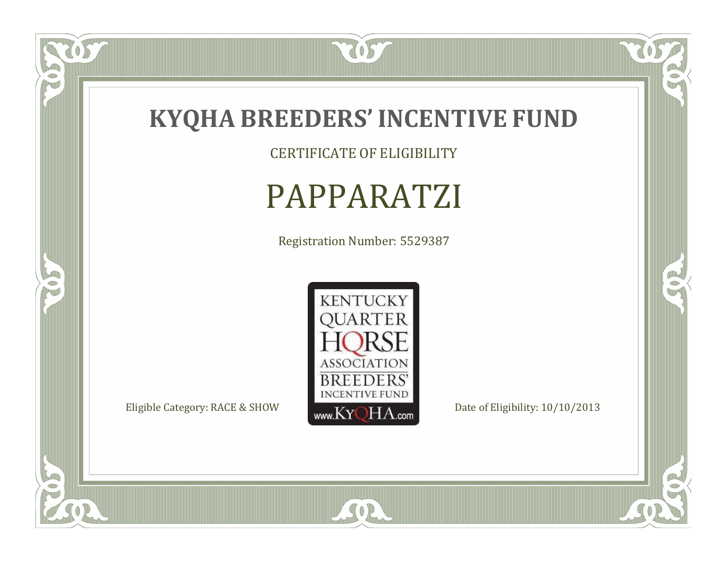

CERTIFICATE OF ELIGIBILITY

# PAPPARATZI

Registration Number: 5529387



SOR

 $\mathbb{R}$ 

 $\mathbb{R}^2$ 

 $\overline{OS}$ 

 $\bullet$ N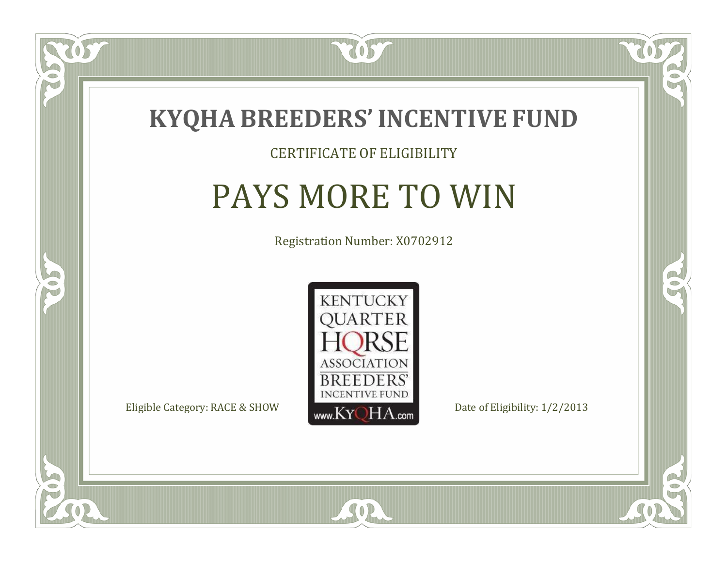

### CERTIFICATE OF ELIGIBILITY

# PAYS MORE TO WIN

Registration Number: X0702912



 $SO2$ 

CO.

 $\rightarrow$ 

 $\Box$ N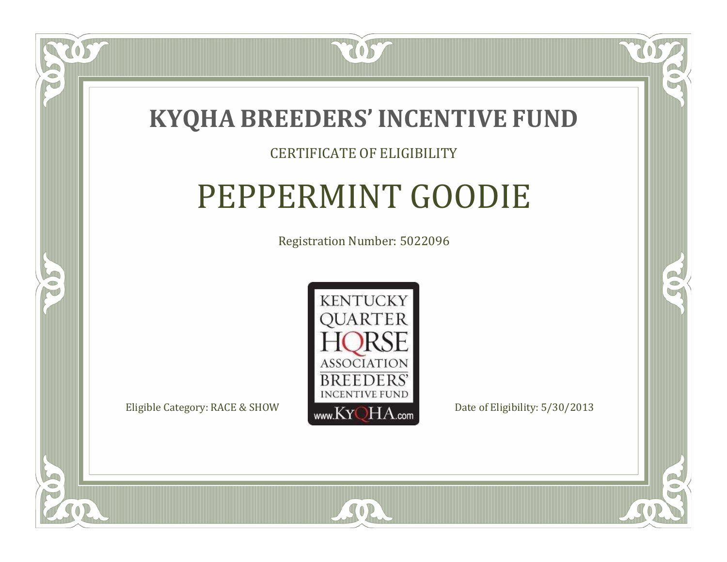

### CERTIFICATE OF ELIGIBILITY

## PEPPERMINT GOODIE

Registration Number: 5022096



SOR

RO

B

 $\Box$ N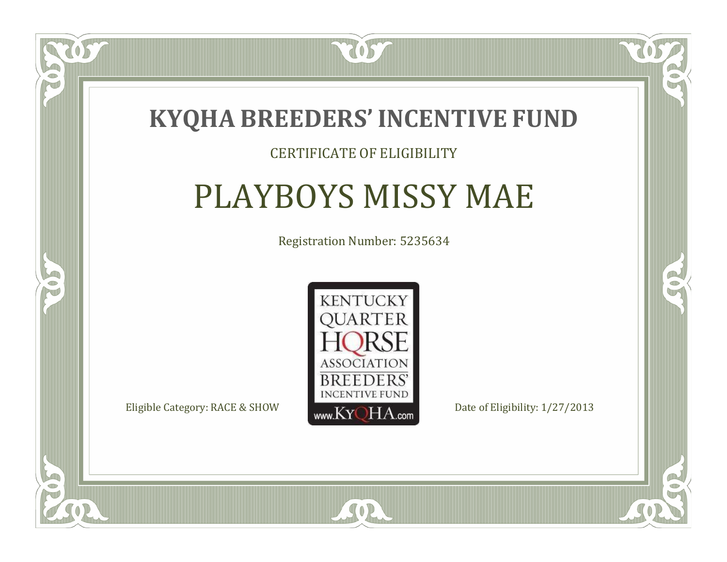

### CERTIFICATE OF ELIGIBILITY

### PLAYBOYS MISSY MAE

Registration Number: 5235634



CO.

 $\rightarrow$ 

 $\blacksquare$ N

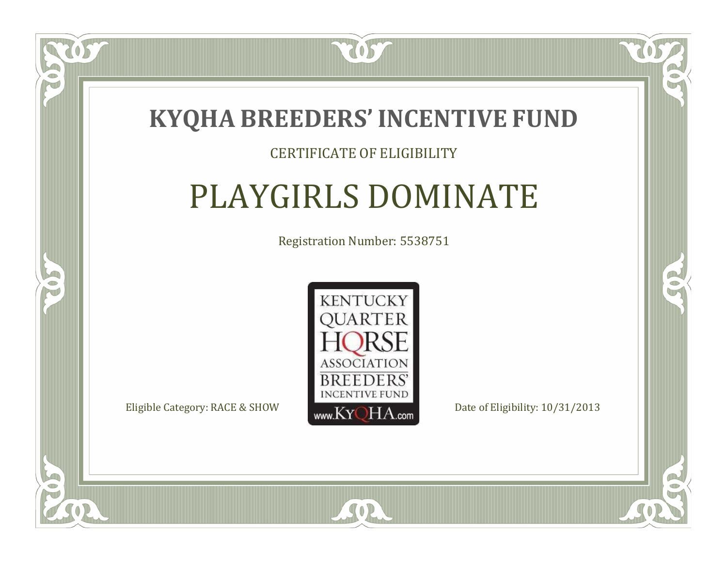

### CERTIFICATE OF ELIGIBILITY

# PLAYGIRLS DOMINATE

Registration Number: 5538751



SOR

CO.

 $\rightarrow$ 

 $\Box$ N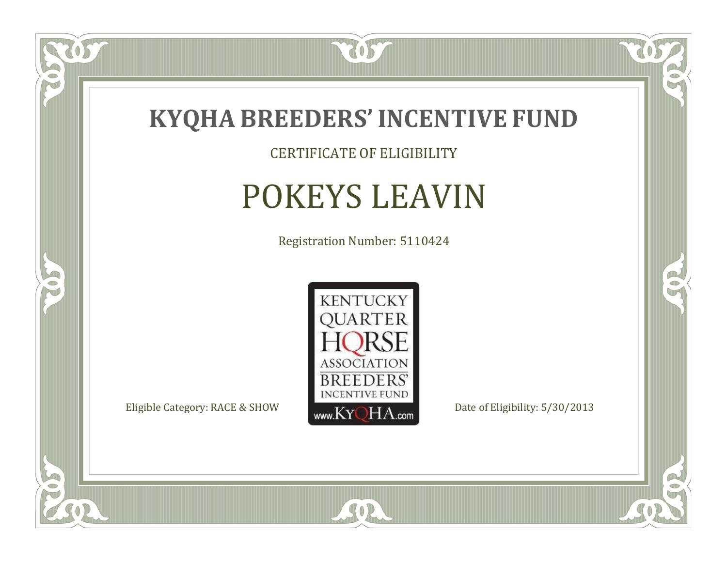

CERTIFICATE OF ELIGIBILITY

# POKEYS LEAVIN

Registration Number: 5110424



SOR

 $\mathbb{R}$ 

 $\rightarrow$ 

OST

 $\bullet$ NU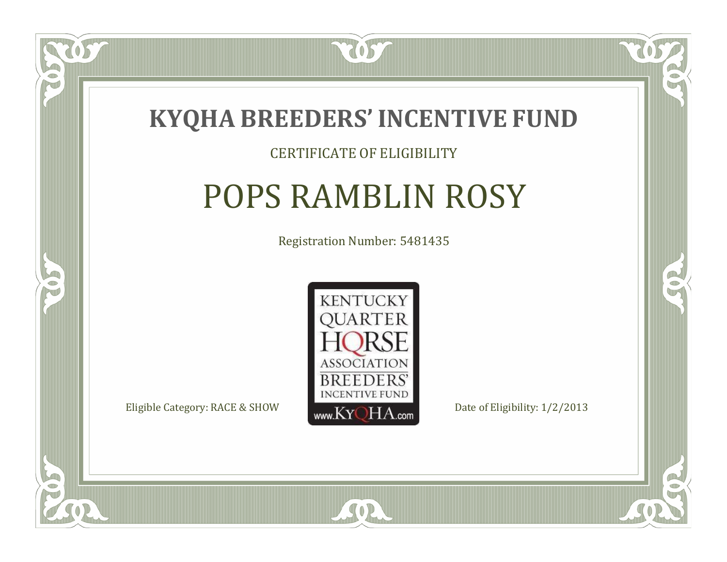

#### CERTIFICATE OF ELIGIBILITY

# POPS RAMBLIN ROSY

Registration Number: 5481435



SOR

CO.

B

 $\blacksquare$ N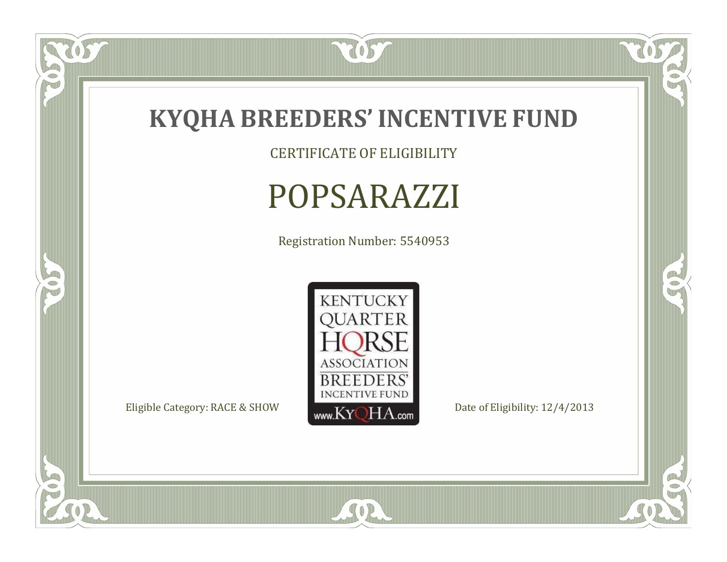

 $\overline{OS}$ 

 $\bullet$ N

5

CERTIFICATE OF ELIGIBILITY

# POPSARAZZI

Registration Number: 5540953



SOR

 $\mathbb{R}$ 

 $\mathbb{R}^2$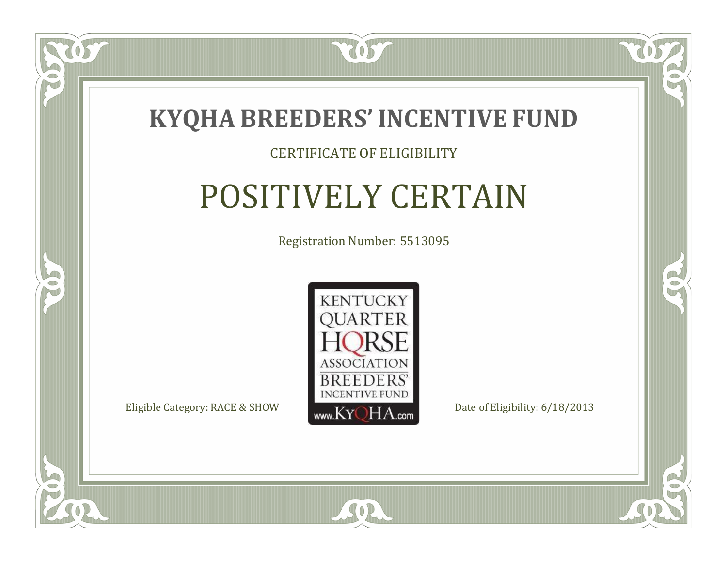

#### CERTIFICATE OF ELIGIBILITY

## POSITIVELY CERTAIN

Registration Number: 5513095



 $SO2$ 

CO.

 $\rightarrow$ 

 $\Box$ N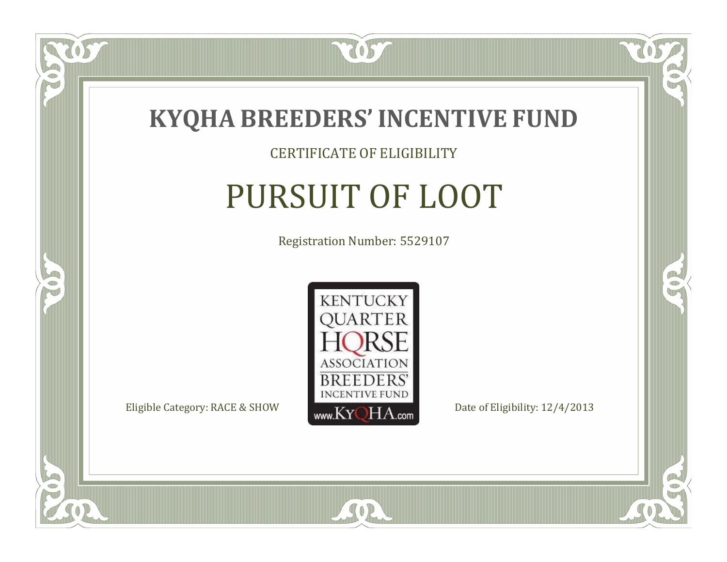

#### CERTIFICATE OF ELIGIBILITY

# PURSUIT OF LOOT

Registration Number: 5529107



SOR

CO.

 $\rightarrow$ 

US

 $\Box$ NU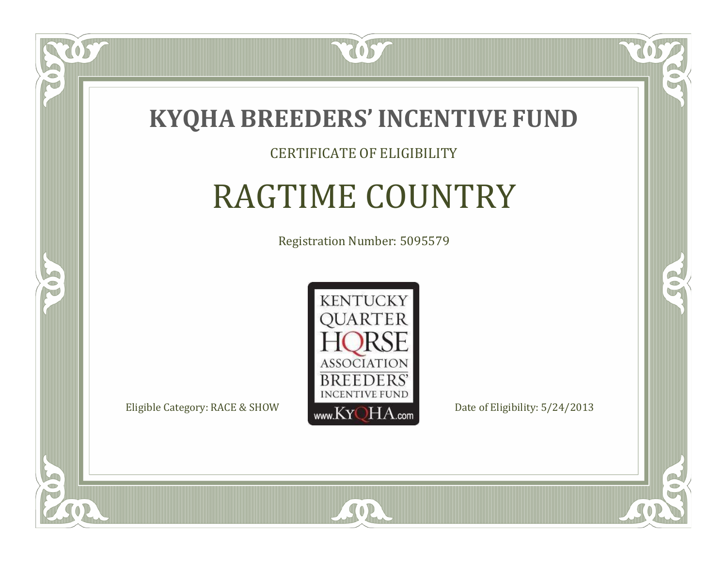

#### CERTIFICATE OF ELIGIBILITY

# RAGTIME COUNTRY

Registration Number: 5095579



CO.

 $\rightarrow$ 

 $\Box$ N

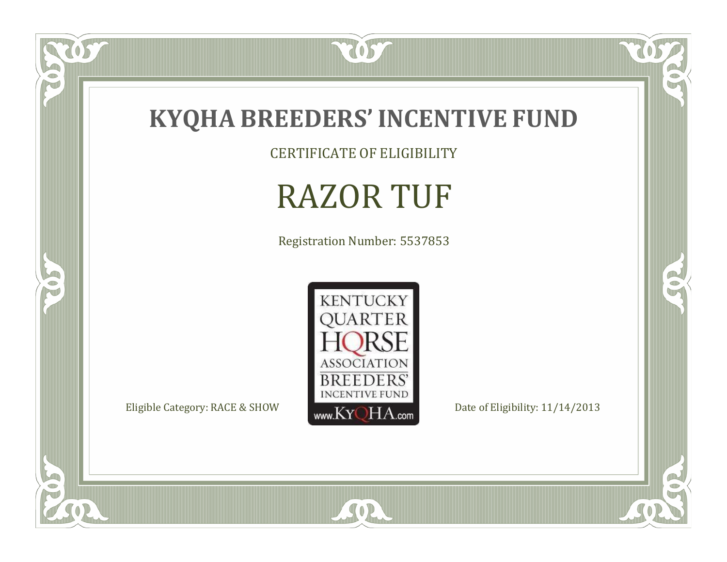

CERTIFICATE OF ELIGIBILITY

# RAZOR TUF

Registration Number: 5537853



SOR

 $\mathbb{R}$ 

 $\mathbb{R}^2$ 

 $\overline{OS}$ 

 $\bullet$ N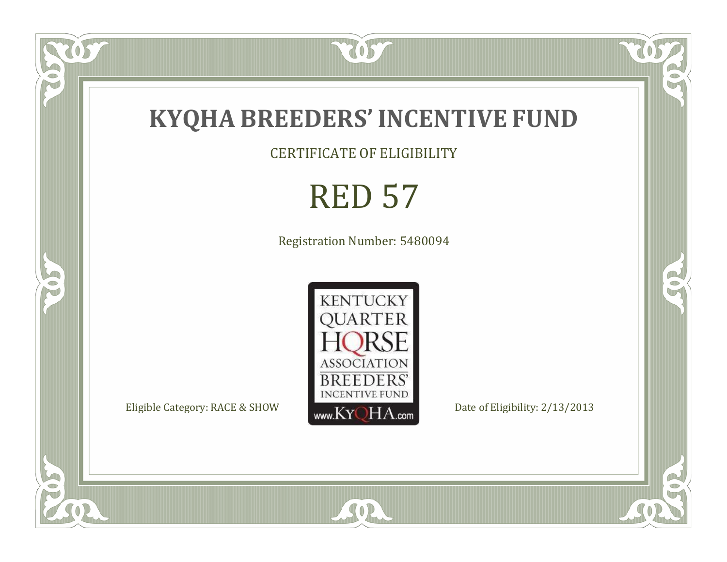

CERTIFICATE OF ELIGIBILITY

# RED 57

Registration Number: 5480094



SOR

OST

FO

5

 $\mathbb{R}$ 

 $\mathbb{R}^2$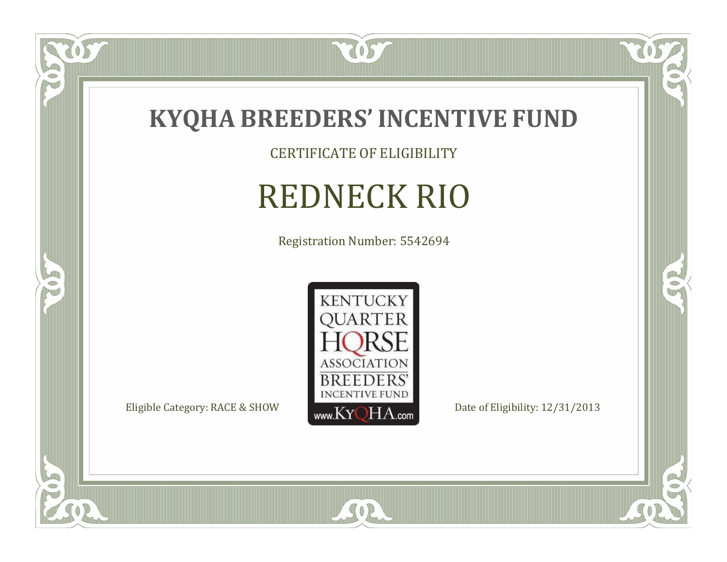

tos

 $\bullet$ N

5

CERTIFICATE OF ELIGIBILITY

# REDNECK RIO

Registration Number: 5542694



SOR

 $\mathbb{R}$ 

 $\mathbb{R}^2$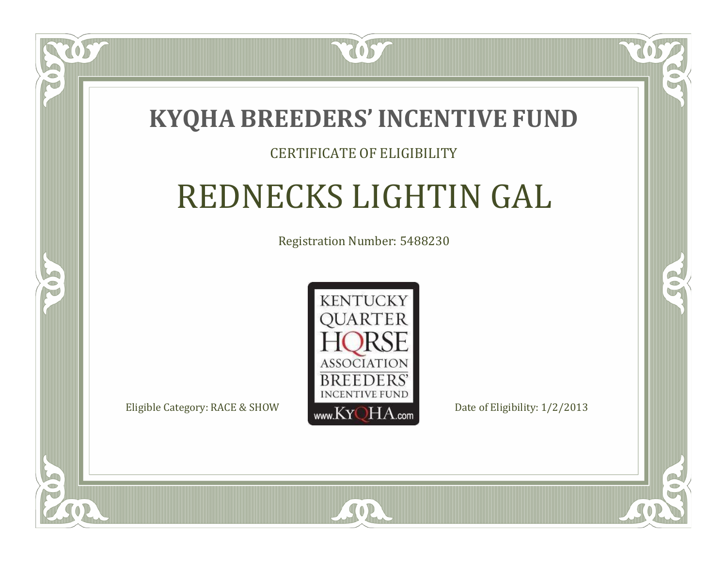### **KYQHA BREEDERS'INCENTIVE FUND**

7057

#### CERTIFICATE OF ELIGIBILITY

# REDNECKS LIGHTIN GAL

Registration Number: 5488230



SOR

CO.

 $\rightarrow$ 

 $\blacksquare$ N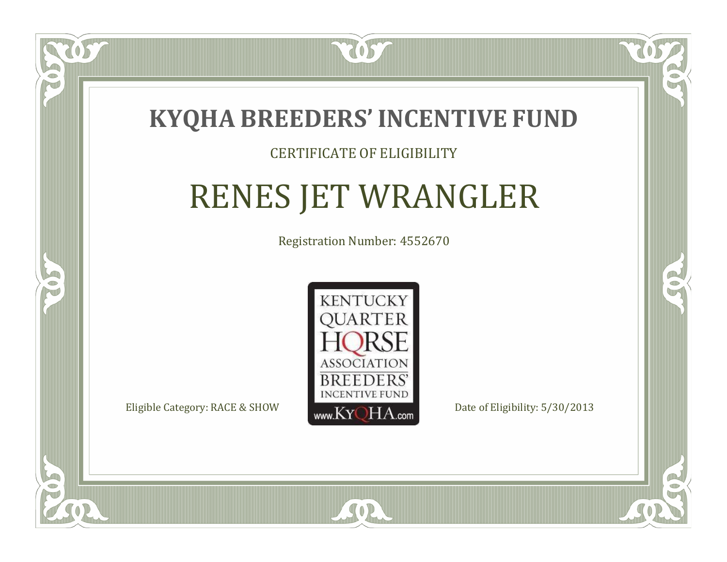

#### CERTIFICATE OF ELIGIBILITY

## RENES JET WRANGLER

Registration Number: 4552670



 $SO<sub>2</sub>$ 

RO

CO.

 $\Box$ N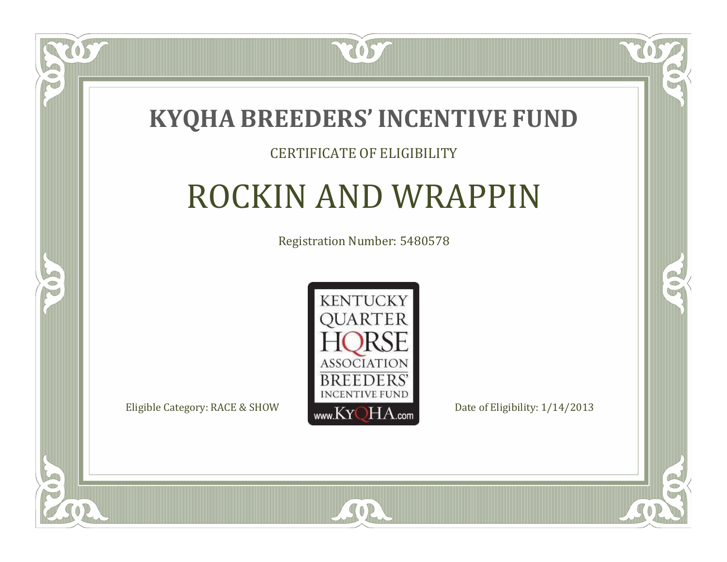

#### CERTIFICATE OF ELIGIBILITY

## ROCKIN AND WRAPPIN

Registration Number: 5480578



SOR

CO.

 $\rightarrow$ 

 $\blacksquare$ N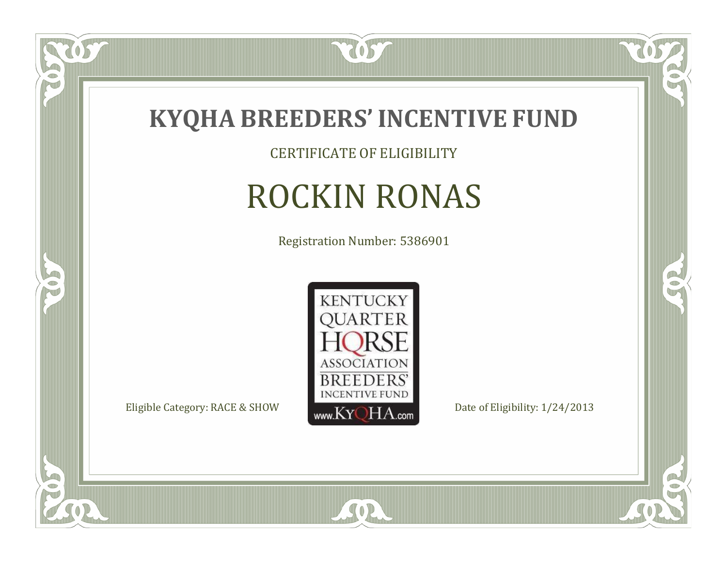

CERTIFICATE OF ELIGIBILITY

# ROCKIN RONAS

Registration Number: 5386901



SOR

 $\mathbb{R}$ 

 $\rightarrow$ 

057

 $\bullet$ NU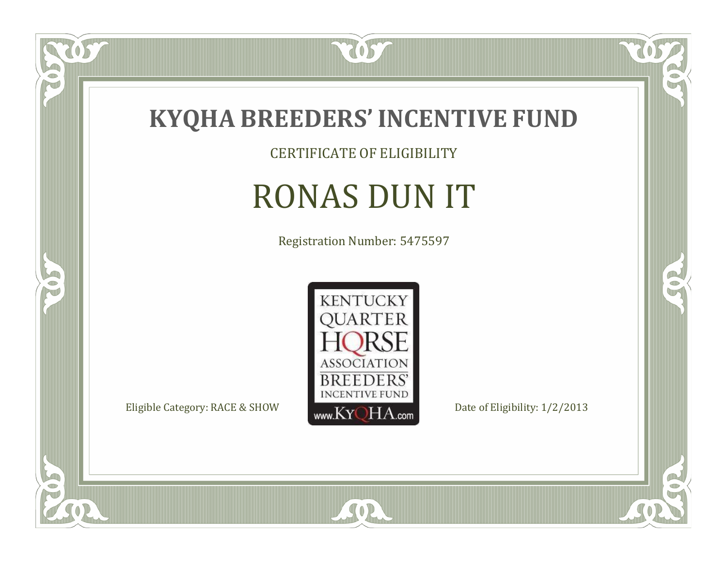

CERTIFICATE OF ELIGIBILITY

# RONAS DUN IT

Registration Number: 5475597



SOR

 $\mathbb{R}$ 

CO.

 $\overline{OS}$ 

 $\bullet$ N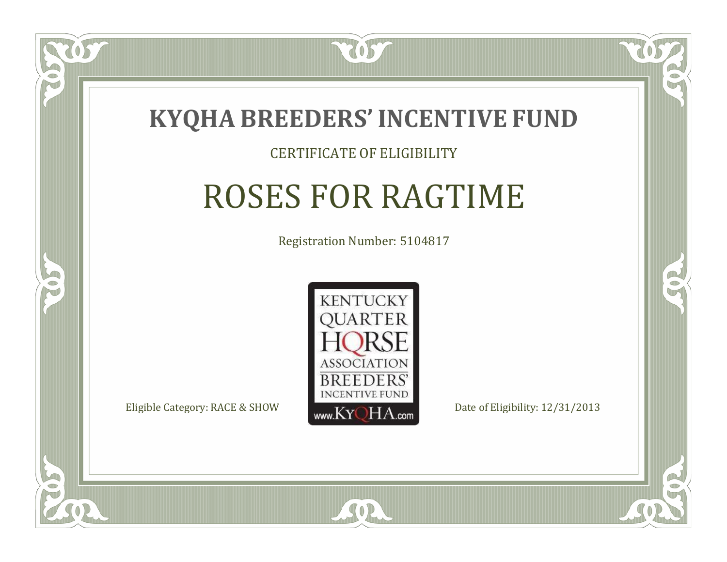

#### CERTIFICATE OF ELIGIBILITY

# ROSES FOR RAGTIME

Registration Number: 5104817



SOR

RO

CO.

 $\Box$ N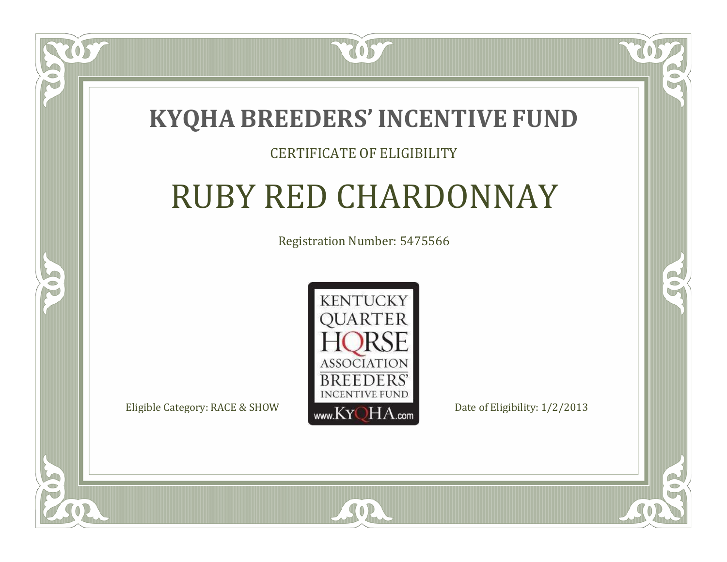

#### CERTIFICATE OF ELIGIBILITY

### RUBY RED CHARDONNAY

Registration Number: 5475566



SOR

CO.

 $\rightarrow$ 

 $\blacksquare$ N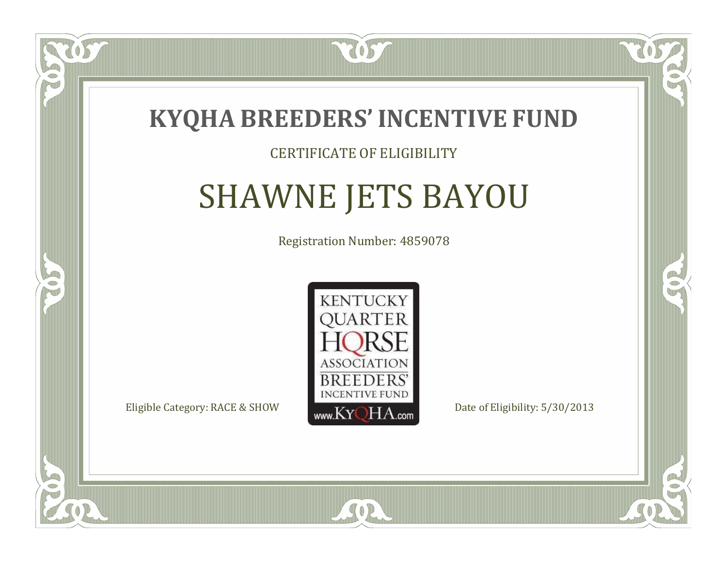

#### CERTIFICATE OF ELIGIBILITY

# SHAWNE JETS BAYOU

Registration Number: 4859078



 $SO<sub>2</sub>$ 

 $\Box$ N

S

RO

CO.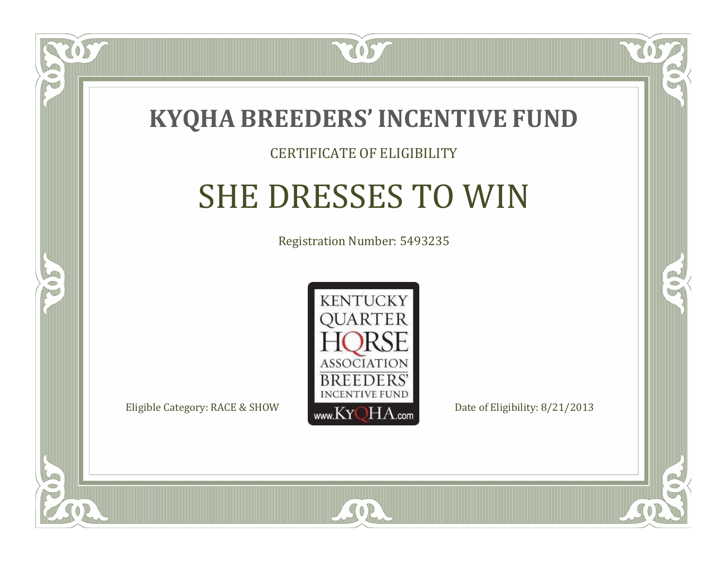

#### CERTIFICATE OF ELIGIBILITY

## SHE DRESSES TO WIN

Registration Number: 5493235



SOR

CO.

B

 $\blacksquare$ N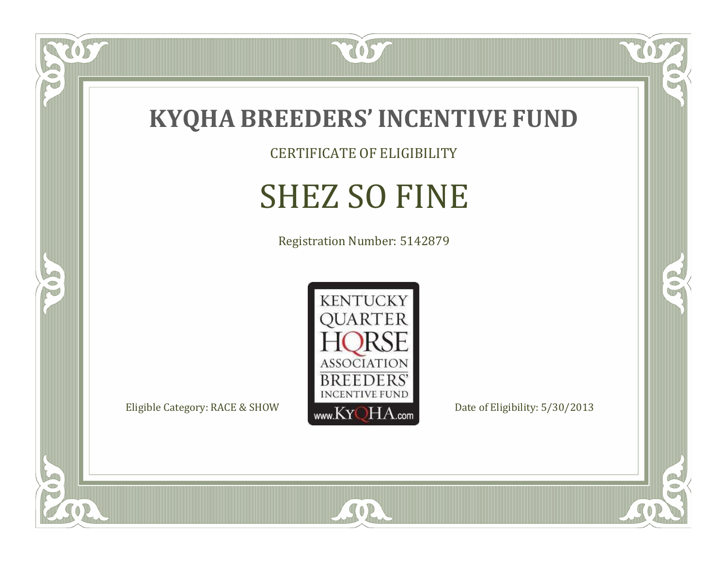

CERTIFICATE OF ELIGIBILITY

## SHEZ SO FINE

Registration Number: 5142879



SOR

CO.

 $\rightarrow$ 

057

 $\bullet$ N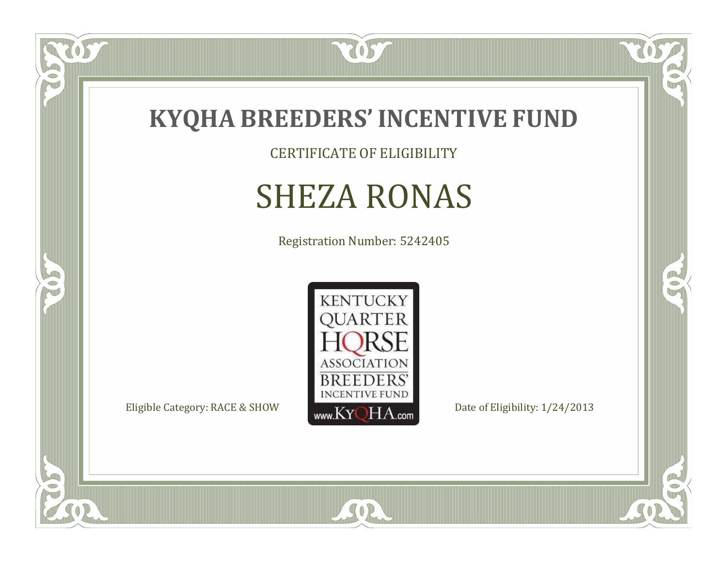

CERTIFICATE OF ELIGIBILITY

## SHEZA RONAS

Registration Number: 5242405



SOR

 $\mathbb{R}$ 

 $\mathbb{R}^2$ 

057

 $\bullet$ N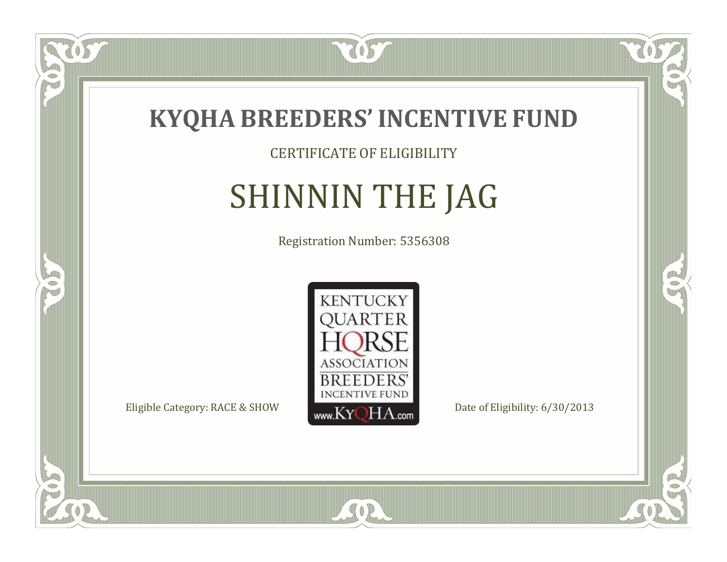

CERTIFICATE OF ELIGIBILITY

# SHINNIN THE JAG

Registration Number: 5356308



 $SO<sub>2</sub>$ 

RO

CO.

 $\Box$ N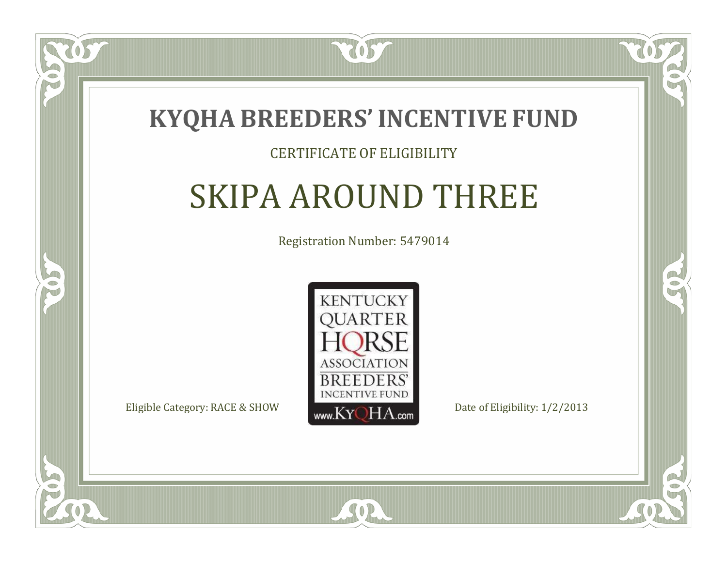

#### CERTIFICATE OF ELIGIBILITY

### SKIPA AROUND THREE

Registration Number: 5479014



SOR

CO.

B

 $\blacksquare$ N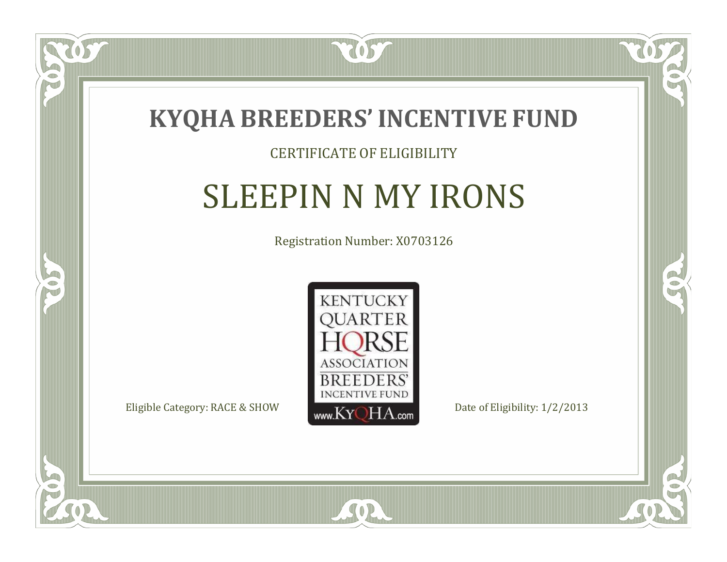

#### CERTIFICATE OF ELIGIBILITY

### SLEEPIN N MY IRONS

Registration Number: X0703126



 $SO2$ 

RO

B

 $\blacksquare$ N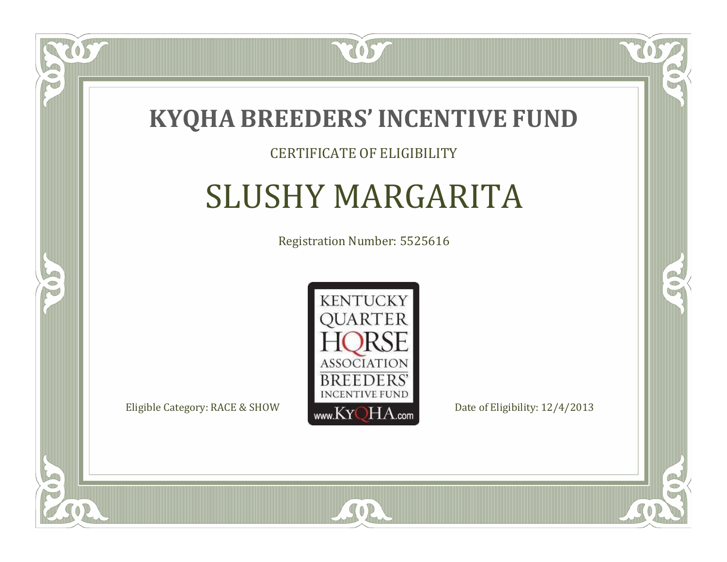

#### CERTIFICATE OF ELIGIBILITY

### SLUSHY MARGARITA

Registration Number: 5525616



SOR

CO.

B

 $\Box$ N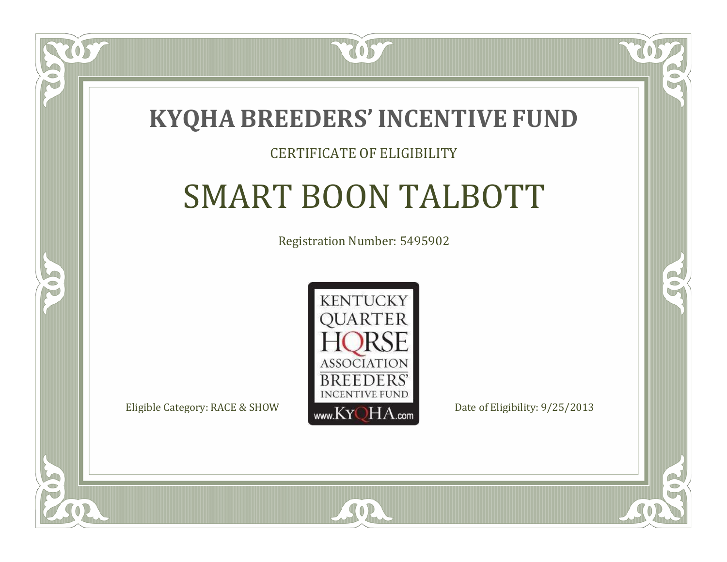

#### CERTIFICATE OF ELIGIBILITY

# SMART BOON TALBOTT

Registration Number: 5495902



CO.

B

 $\Box$ N

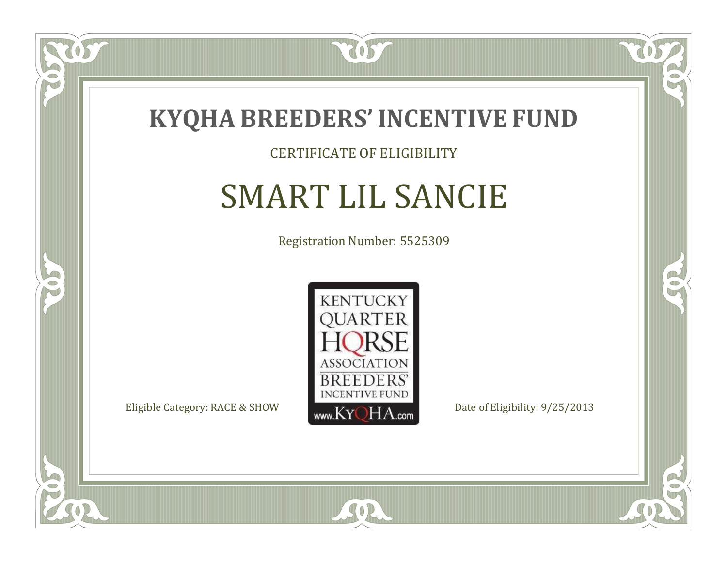

#### CERTIFICATE OF ELIGIBILITY

### SMART LIL SANCIE

Registration Number: 5525309



SOR

RO

 $\rightarrow$ 

 $\Box$ N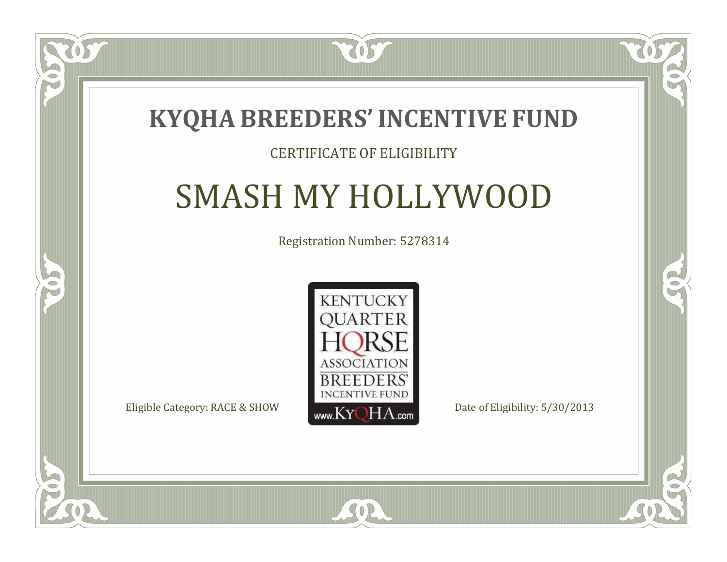### **KYQHA BREEDERS'INCENTIVE FUND**

7057

#### CERTIFICATE OF ELIGIBILITY

### SMASH MY HOLLYWOOD

Registration Number: 5278314



SOR

CO.

 $\rightarrow$ 

 $\blacksquare$ N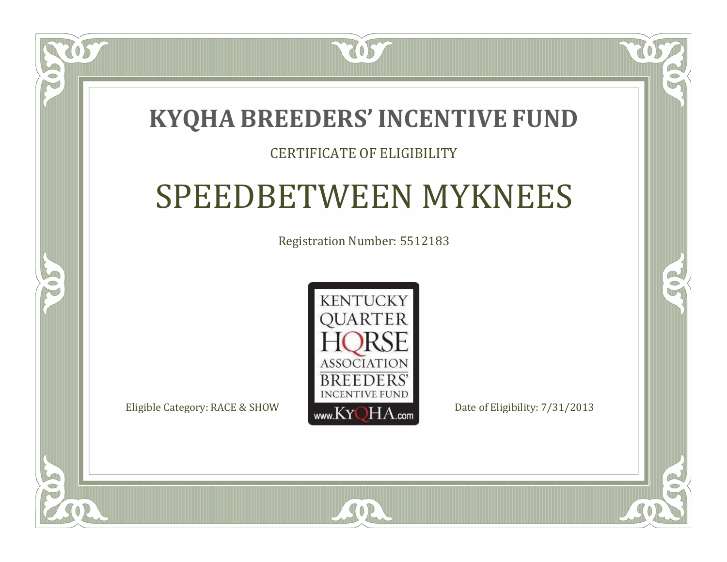### **KYQHA BREEDERS'INCENTIVE FUND**

7057

#### CERTIFICATE OF ELIGIBILITY

### SPEEDBETWEEN MYKNEES

Registration Number: 5512183



 $SO2$ 

CO.

 $\rightarrow$ 

 $\blacksquare$ N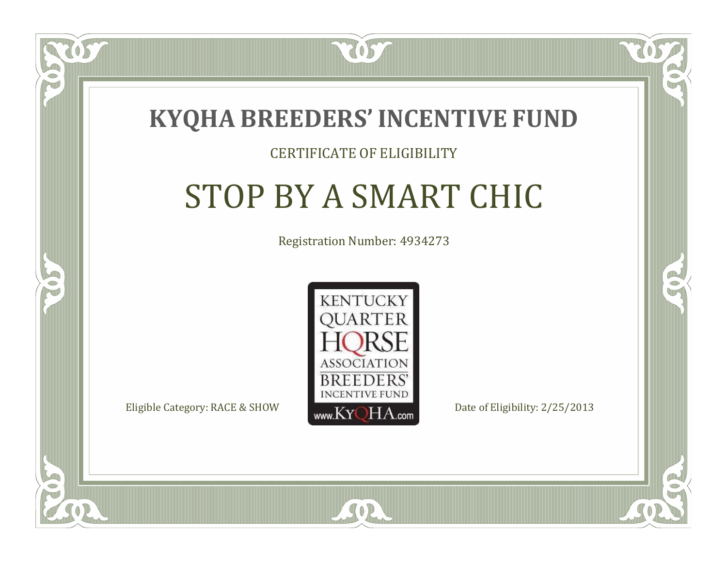

#### CERTIFICATE OF ELIGIBILITY

## STOP BY A SMART CHIC

Registration Number: 4934273



SOR

CO.

CO.

 $\Box$ N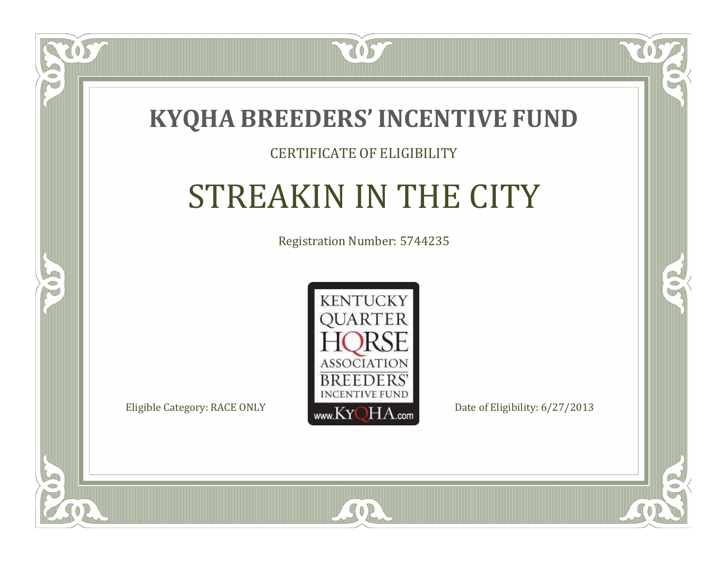

#### CERTIFICATE OF ELIGIBILITY

# STREAKIN IN THE CITY

Registration Number: 5744235



SOR

CO.

 $\rightarrow$ 

 $\Box$ N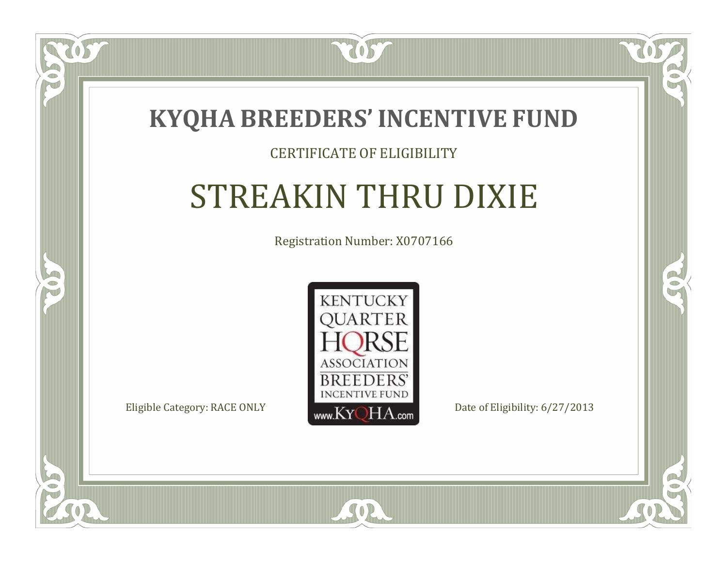

#### CERTIFICATE OF ELIGIBILITY

## STREAKIN THRU DIXIE

Registration Number: X0707166



SOR

CO.

 $\rightarrow$ 

 $\blacksquare$ N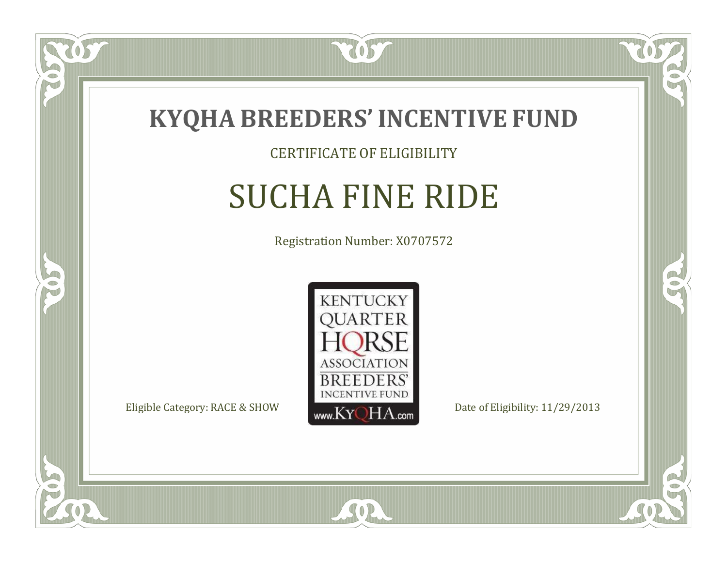

#### CERTIFICATE OF ELIGIBILITY

### SUCHA FINE RIDE

Registration Number: X0707572



SOR

CO.

 $\rightarrow$ 

 $\Box$ NU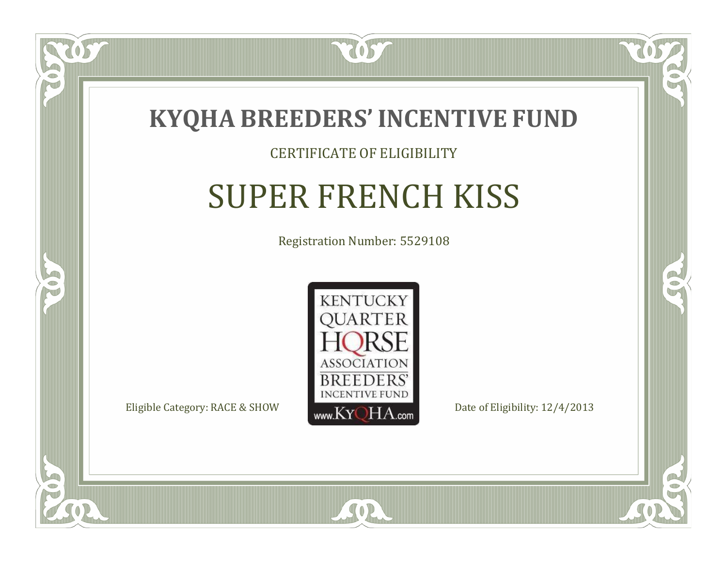

#### CERTIFICATE OF ELIGIBILITY

### SUPER FRENCH KISS

Registration Number: 5529108



SOR

CO.

 $\rightarrow$ 

 $\Box$ N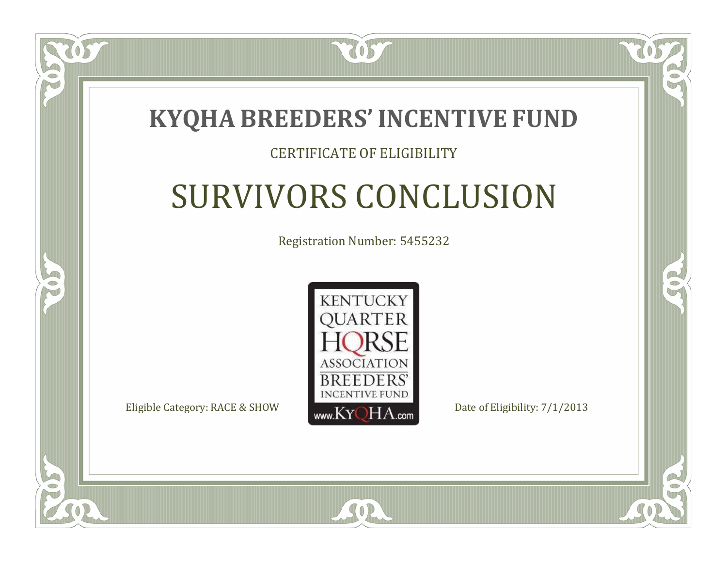

#### CERTIFICATE OF ELIGIBILITY

# SURVIVORS CONCLUSION

Registration Number: 5455232



SOR

CO.

 $\rightarrow$ 

 $\Box$ N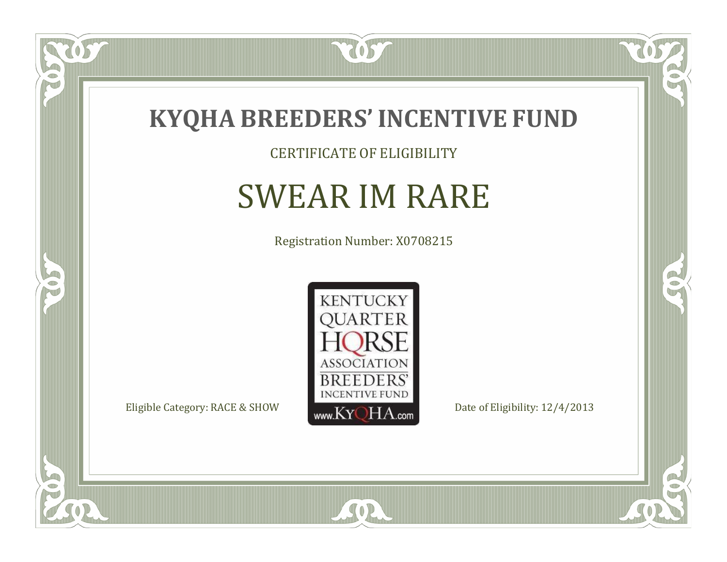

CERTIFICATE OF ELIGIBILITY

### SWEAR IM RARE

Registration Number: X0708215



SOR

CO.

 $\rightarrow$ 

057

 $\bullet$ NU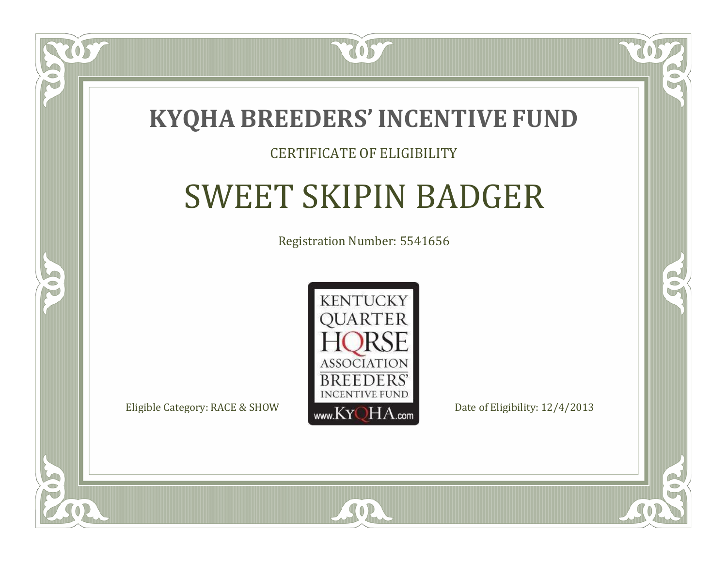

#### CERTIFICATE OF ELIGIBILITY

# SWEET SKIPIN BADGER

Registration Number: 5541656



RO

CO.

 $\blacksquare$ N

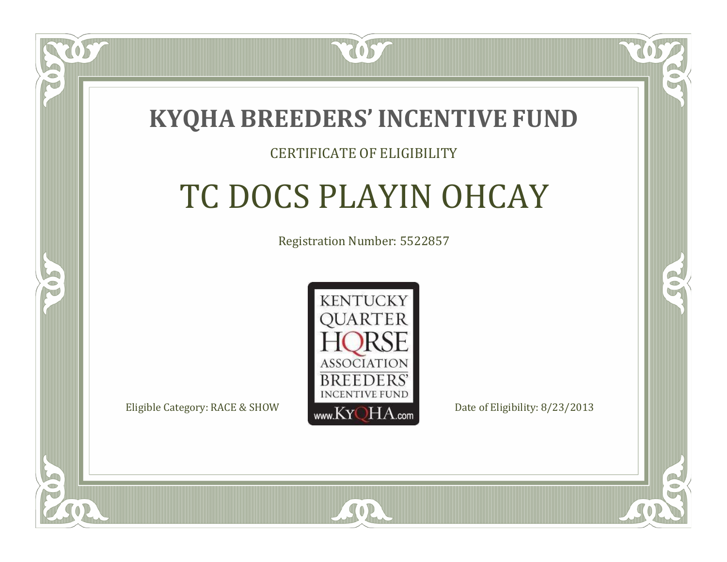

#### CERTIFICATE OF ELIGIBILITY

### TC DOCS PLAYIN OHCAY

Registration Number: 5522857



SOR

RO

P.

 $\Box$ N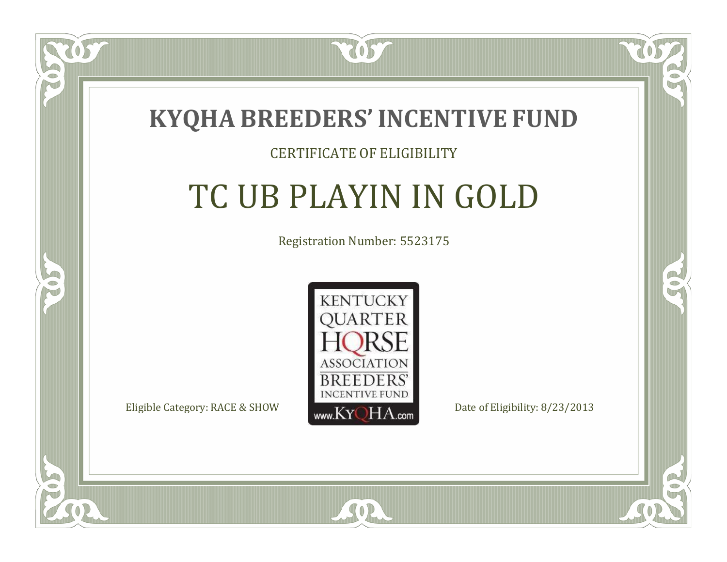

#### CERTIFICATE OF ELIGIBILITY

### TC UB PLAYIN IN GOLD

Registration Number: 5523175



SOR

CO.

B

 $\blacksquare$ N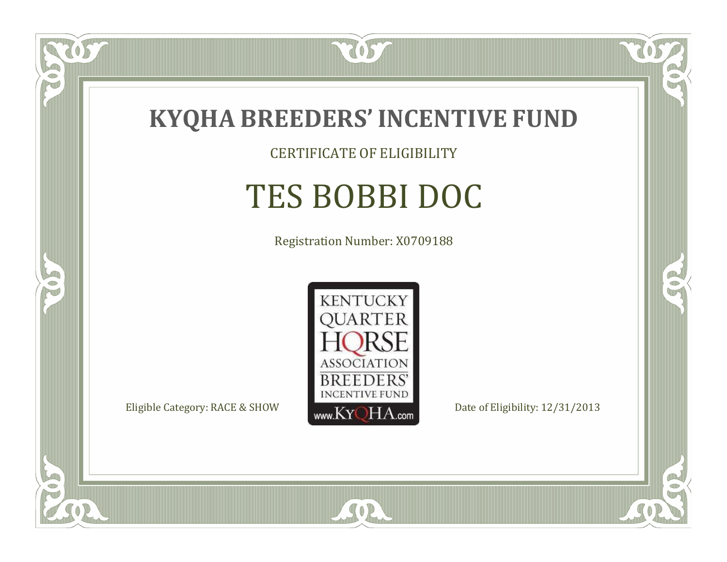

CERTIFICATE OF ELIGIBILITY

## TES BOBBI DOC

Registration Number: X0709188



SOR

CO.

 $\rightarrow$ 

US

 $\bullet$ NU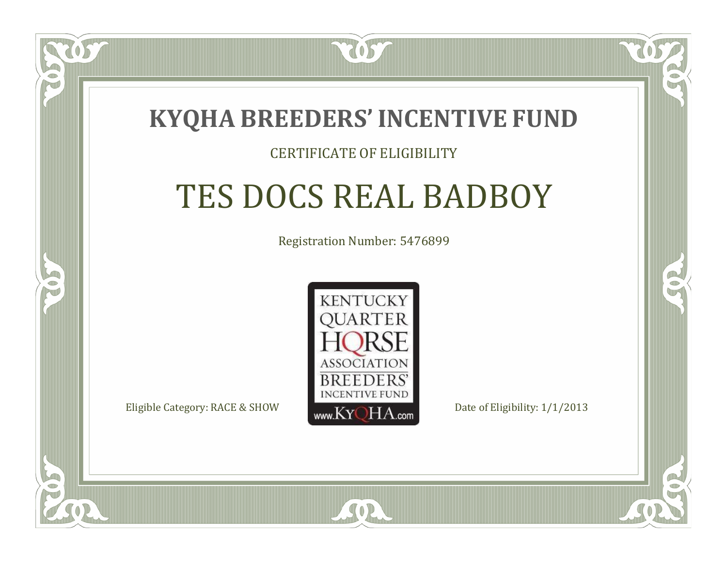

#### CERTIFICATE OF ELIGIBILITY

## TES DOCS REAL BADBOY

Registration Number: 5476899



SOR

RO

P.

 $\Box$ N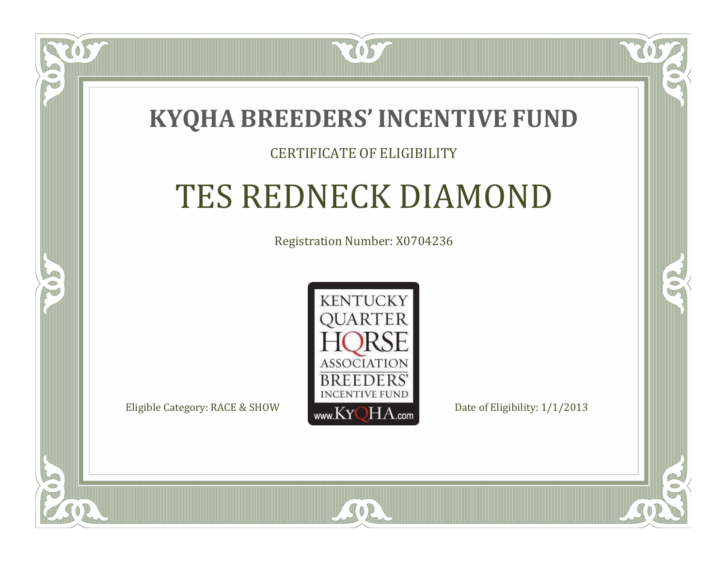

### CERTIFICATE OF ELIGIBILITY

# TES REDNECK DIAMOND

Registration Number: X0704236



SOR

RO

B)

 $\Box$ T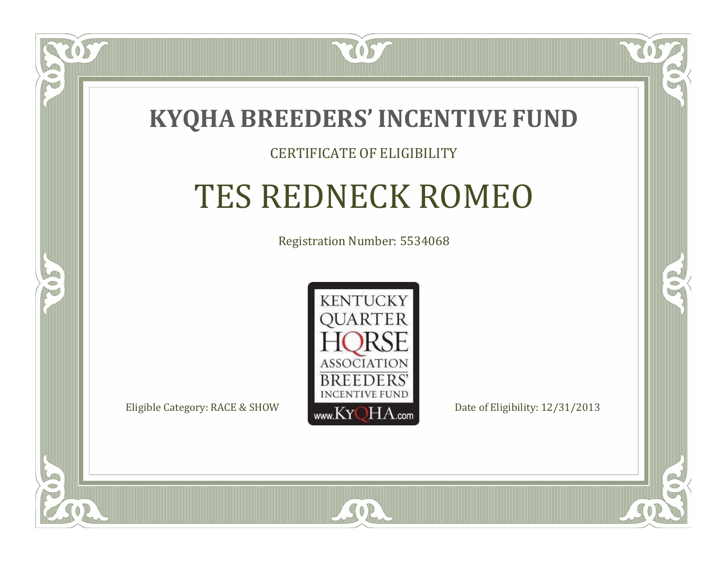

#### CERTIFICATE OF ELIGIBILITY

# TES REDNECK ROMEO

Registration Number: 5534068



SOR

RO

B)

 $\Box$ N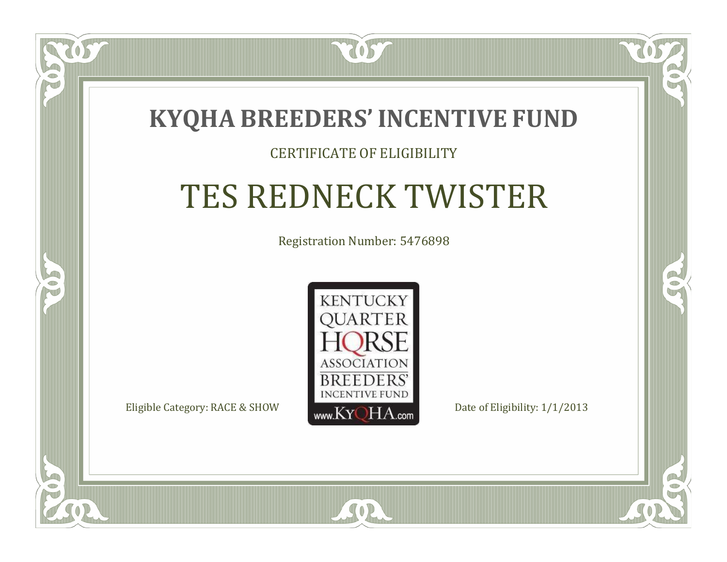### **KYQHA BREEDERS'INCENTIVE FUND**

2057

### CERTIFICATE OF ELIGIBILITY

# TES REDNECK TWISTER

Registration Number: 5476898



SOR

CO.

 $\rightarrow$ 

 $\Box$ N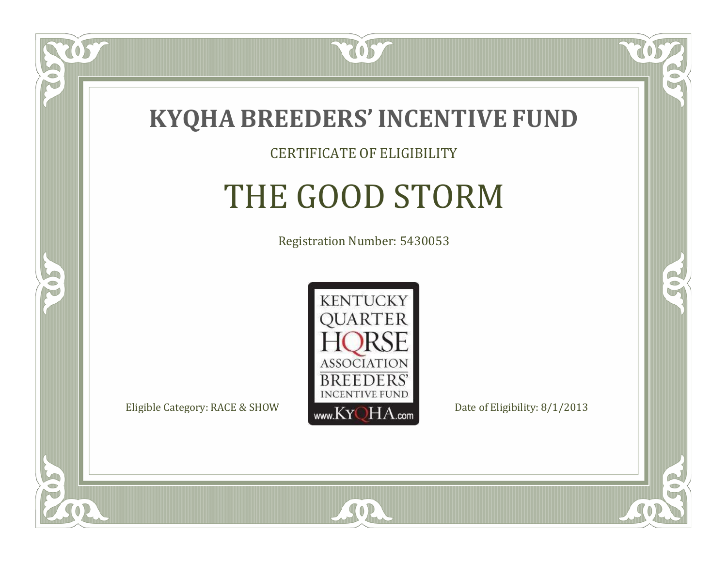

#### CERTIFICATE OF ELIGIBILITY

# THE GOOD STORM

Registration Number: 5430053



SOR

RO

B)

 $\Box$ NU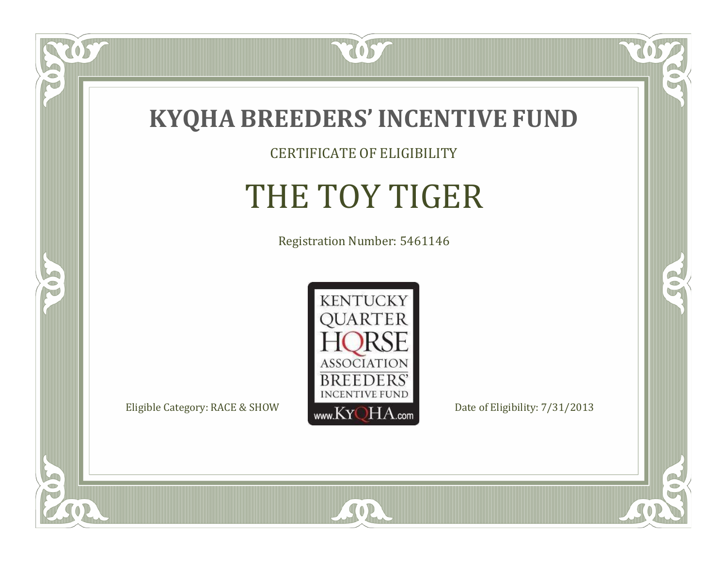

CERTIFICATE OF ELIGIBILITY

# THE TOY TIGER

Registration Number: 5461146



SOR

CO.

 $\rightarrow$ 

US

 $\bullet$ NU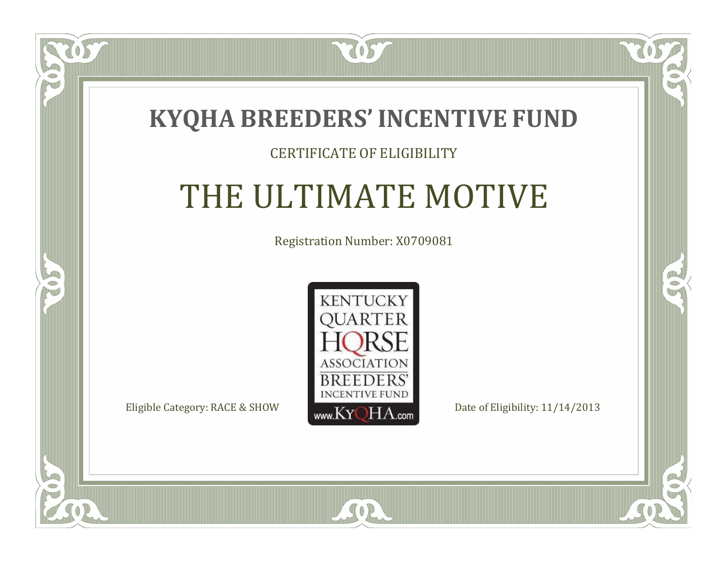

### CERTIFICATE OF ELIGIBILITY

# THE ULTIMATE MOTIVE

Registration Number: X0709081



SOR

CO.

 $\rightarrow$ 

 $\blacksquare$ N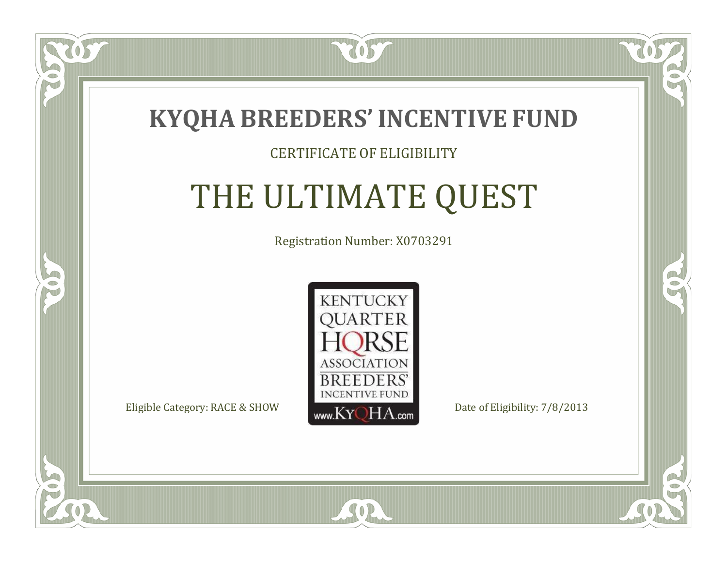

 $\Box$ N

5

### CERTIFICATE OF ELIGIBILITY

# THE ULTIMATE QUEST

Registration Number: X0703291



 $SO<sub>2</sub>$ 

RO

B.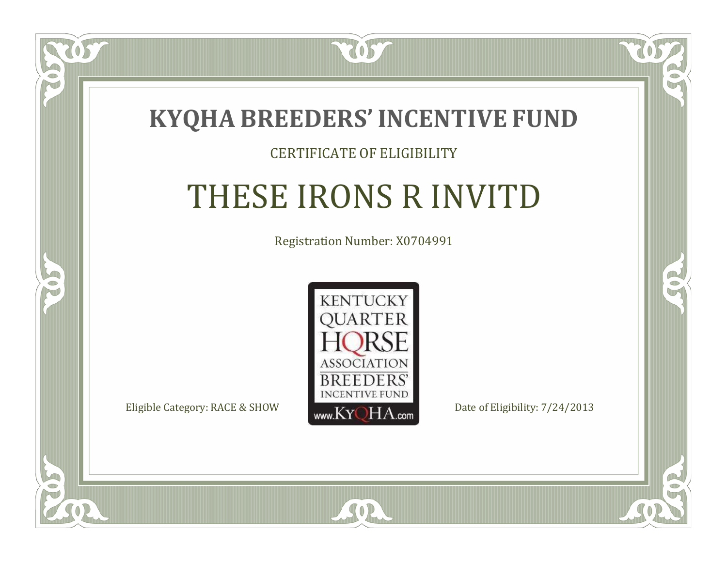

### CERTIFICATE OF ELIGIBILITY

# THESE IRONS R INVITD

Registration Number: X0704991



SOR

CO.

 $\rightarrow$ 

 $\Box$ N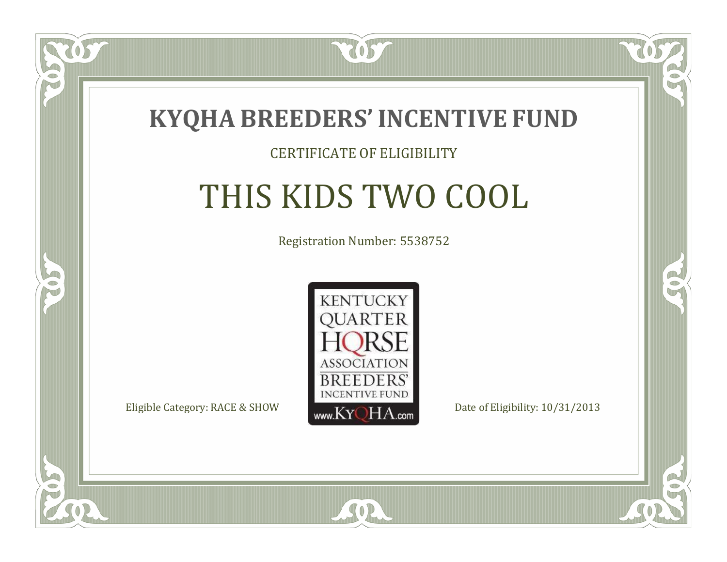

### CERTIFICATE OF ELIGIBILITY

# THIS KIDS TWO COOL

Registration Number: 5538752



SOR

RO

P.

 $\blacksquare$ N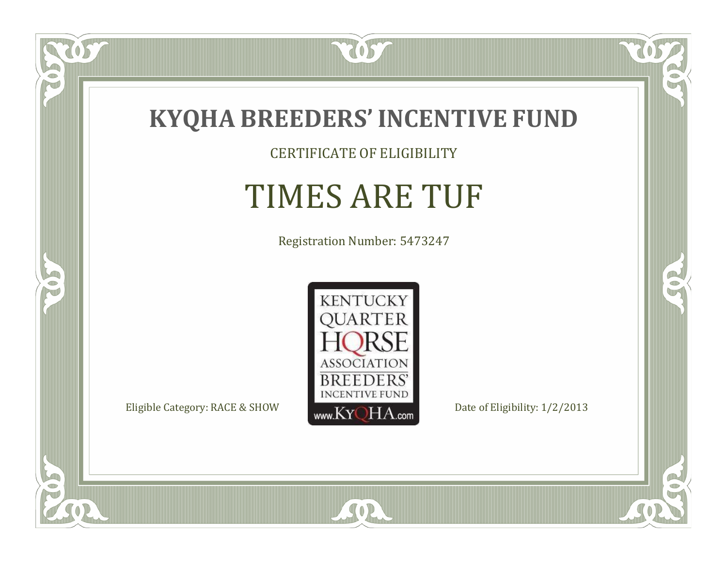

CERTIFICATE OF ELIGIBILITY

# TIMES ARE TUF

Registration Number: 5473247



SOR

 $\mathbb{R}$ 

 $\rightarrow$ 

057

 $\bullet$ NU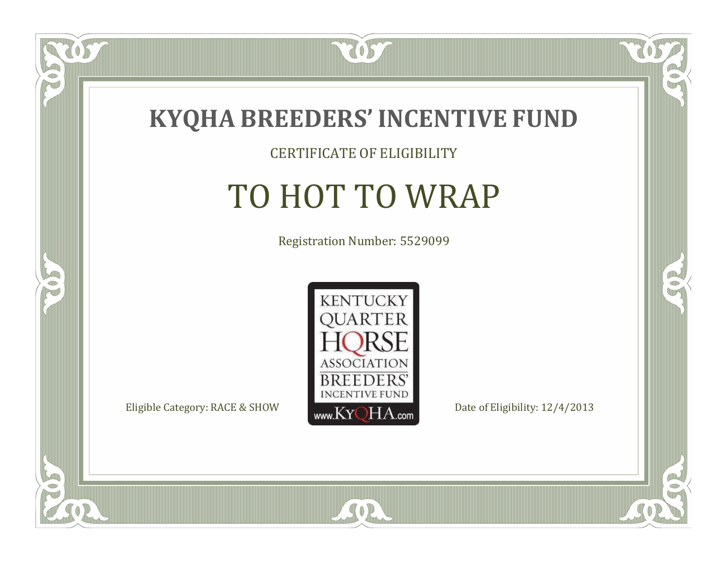

### CERTIFICATE OF ELIGIBILITY

# TO HOT TO WRAP

Registration Number: 5529099



SOR

CO.

 $\rightarrow$ 

US

 $\Box$ NU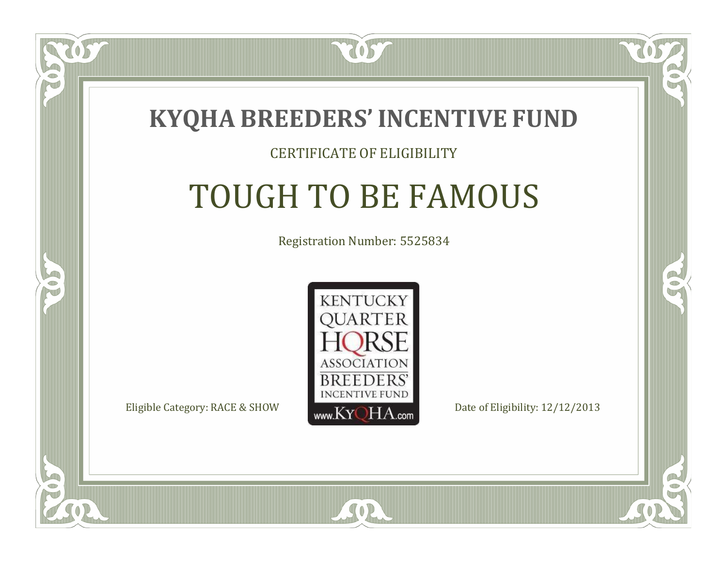

#### CERTIFICATE OF ELIGIBILITY

# TOUGH TO BE FAMOUS

Registration Number: 5525834



SOR

RO

P.

 $\Box$ N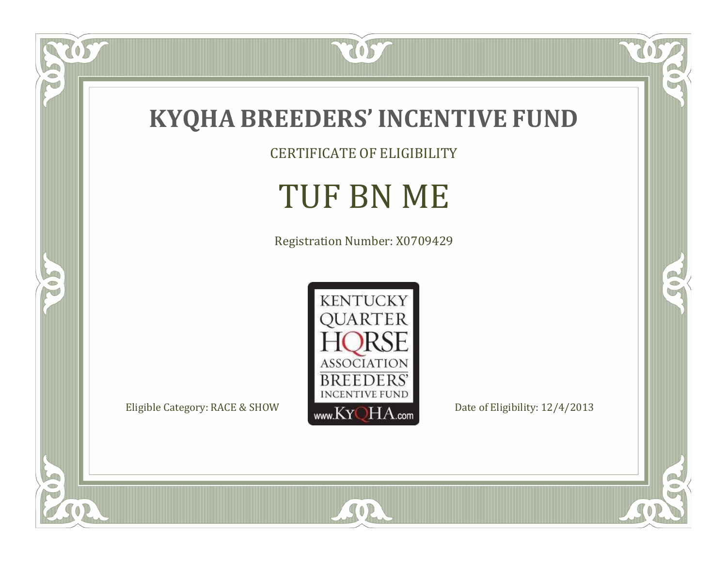

CERTIFICATE OF ELIGIBILITY

### TUF BN ME

Registration Number: X0709429



SOR

 $\mathbb{R}$ 

 $\mathbb{R}^2$ 

US.

P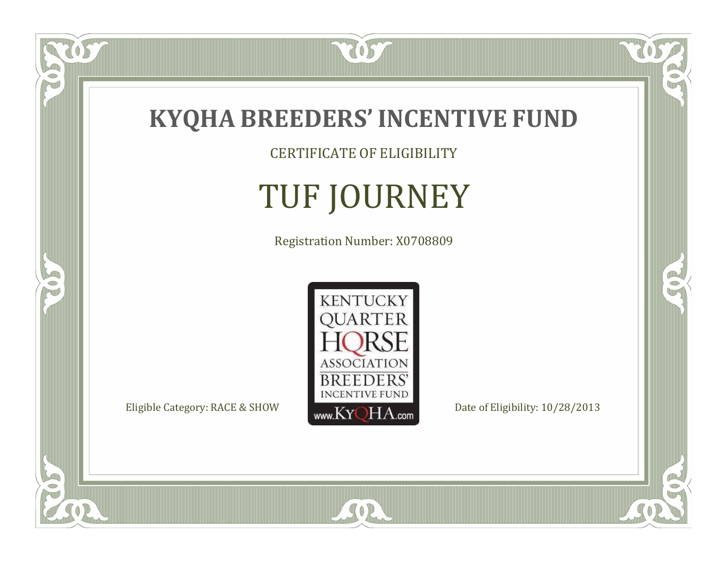

CERTIFICATE OF ELIGIBILITY

# TUF JOURNEY

Registration Number: X0708809



SOR

CO.

CO.

 $\overline{OS}$ 

 $\bullet$ NU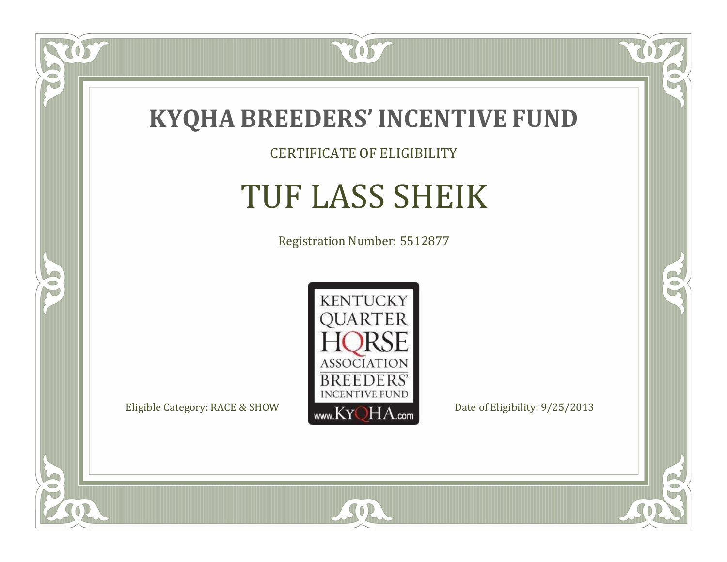

CERTIFICATE OF ELIGIBILITY

# TUF LASS SHEIK

Registration Number: 5512877



SOR

CO.

 $\rightarrow$ 

 $\delta S$ 

 $\bullet$ NU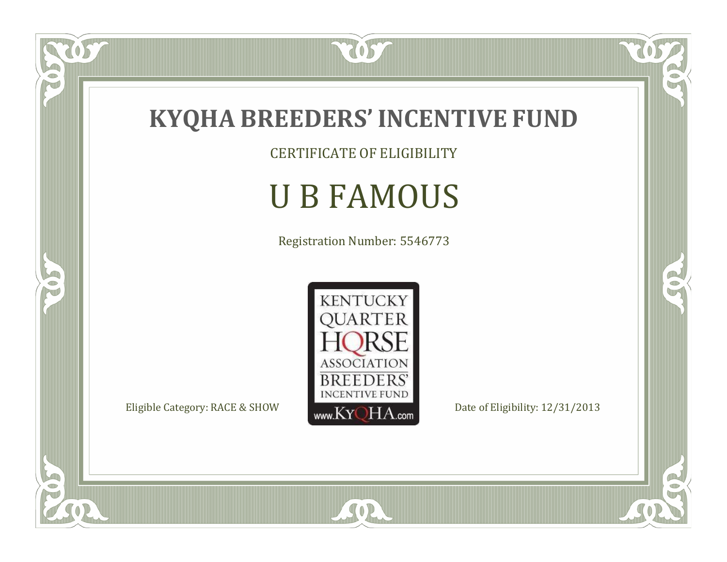

CERTIFICATE OF ELIGIBILITY

# U B FAMOUS

Registration Number: 5546773



SOR

 $\mathbb{R}$ 

 $\mathbb{R}^2$ 

US

 $\bullet$ N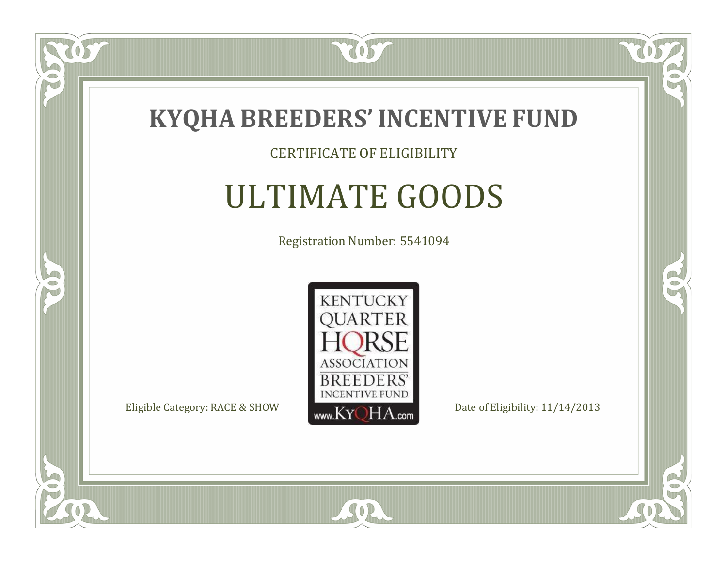

### CERTIFICATE OF ELIGIBILITY

# ULTIMATE GOODS

Registration Number: 5541094



SOR

CO.

B

 $\delta S$ 

 $\Box$ NU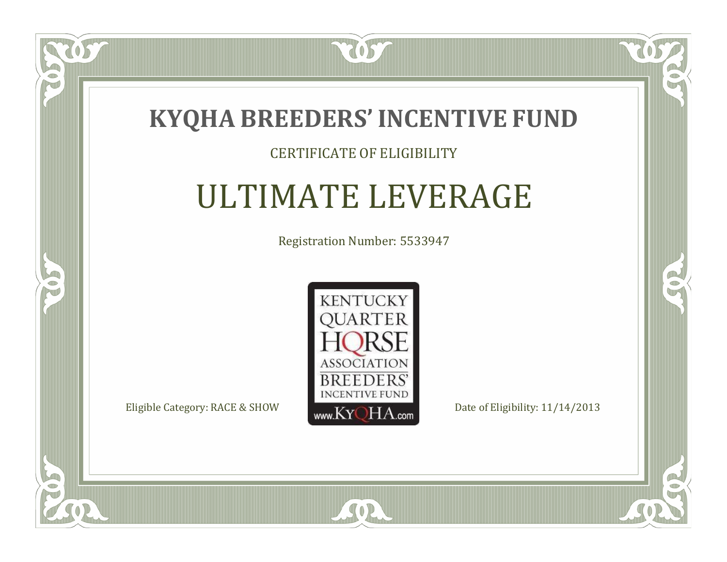

### CERTIFICATE OF ELIGIBILITY

## ULTIMATE LEVERAGE

Registration Number: 5533947



 $SO2$ 

CO.

 $\rightarrow$ 

 $\Box$ NU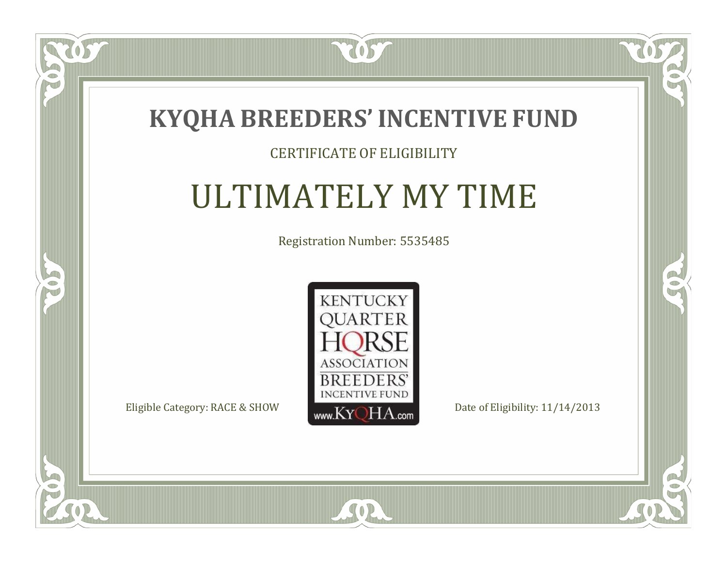

### CERTIFICATE OF ELIGIBILITY

## ULTIMATELY MY TIME

Registration Number: 5535485



 $SO2$ 

 $\mathbb{R}$ 

R

 $\delta S$ 

 $\bullet$ NU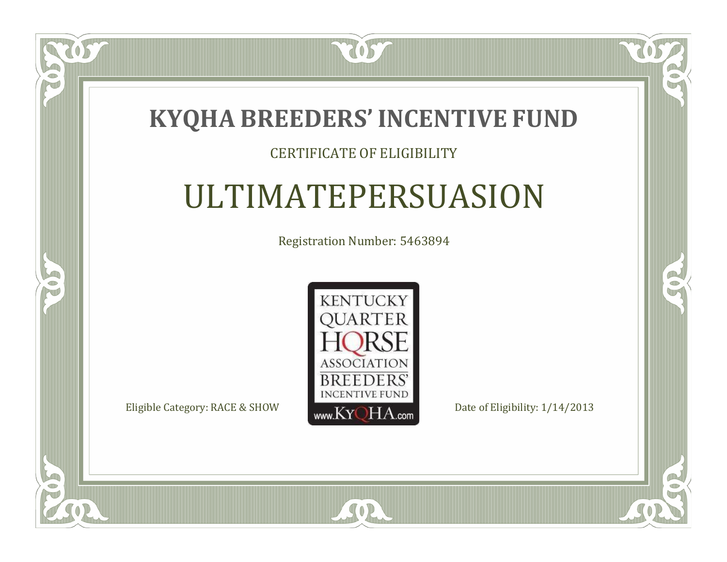

### CERTIFICATE OF ELIGIBILITY

# ULTIMATEPERSUASION

Registration Number: 5463894



SOR

CO.

 $\rightarrow$ 

US

 $\Box$ NU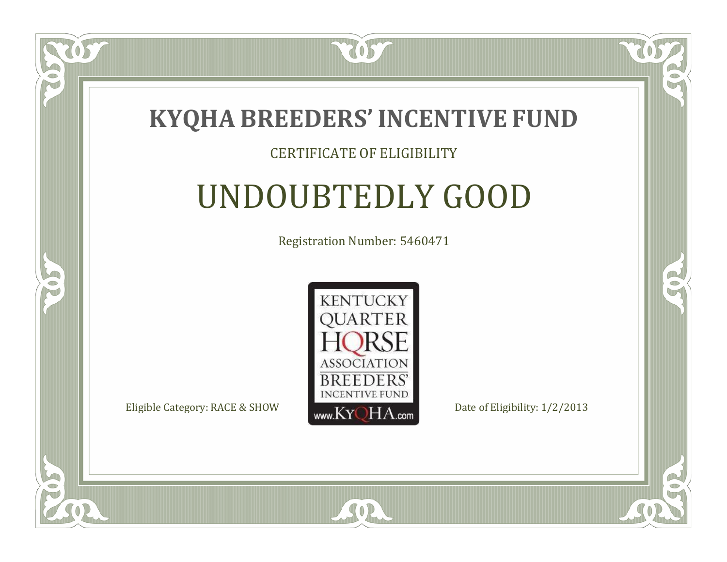

### CERTIFICATE OF ELIGIBILITY

# UNDOUBTEDLY GOOD

Registration Number: 5460471



SOR

CO.

 $\rightarrow$ 

US

 $\Box$ NU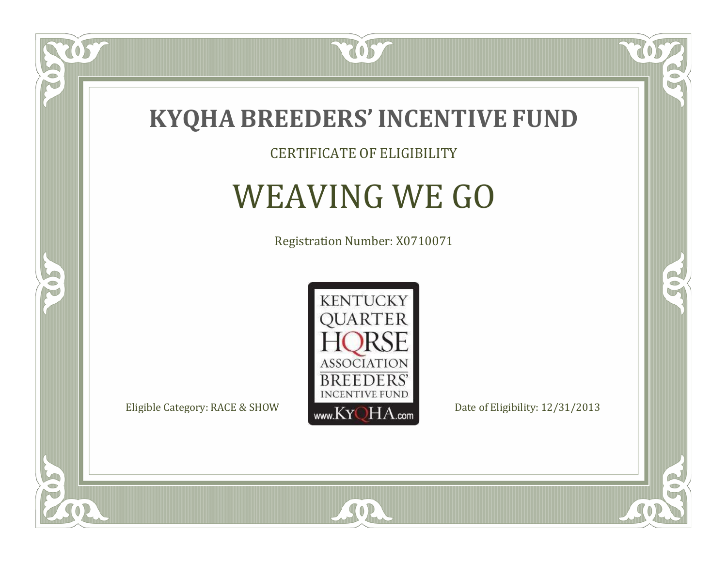

CERTIFICATE OF ELIGIBILITY

# WEAVING WE GO

Registration Number: X0710071



SOR

CO.

 $\rightarrow$ 

 $\delta S$ 

 $\Box$ NU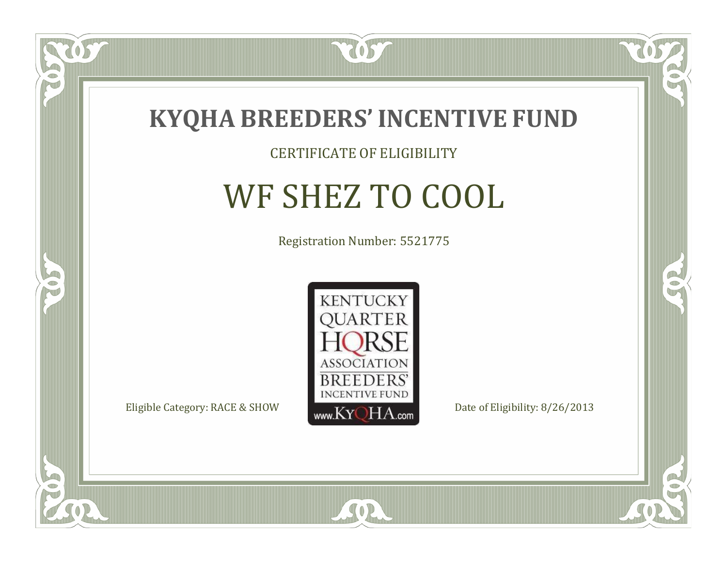

#### CERTIFICATE OF ELIGIBILITY

# WF SHEZ TO COOL

Registration Number: 5521775



SOR

CO.

B

 $\delta S$ 

 $\Box$ NU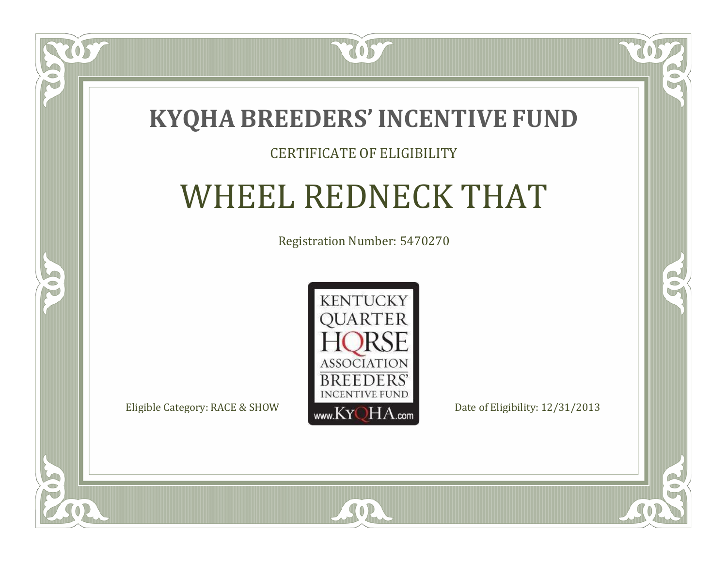

### CERTIFICATE OF ELIGIBILITY

## WHEEL REDNECK THAT

Registration Number: 5470270



 $SO2$ 

CO.

 $\rightarrow$ 

 $\blacksquare$ N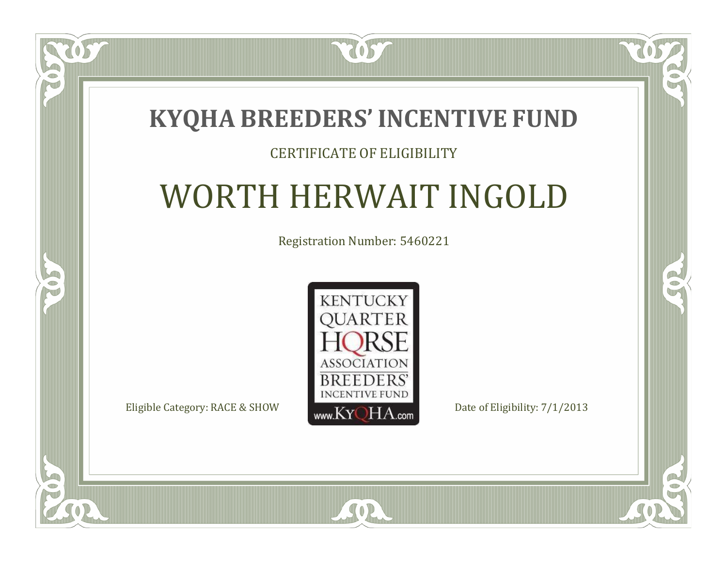### **KYQHA BREEDERS'INCENTIVE FUND**

7057

### CERTIFICATE OF ELIGIBILITY

# WORTH HERWAIT INGOLD

Registration Number: 5460221



 $SO2$ 

 $\mathbb{R}$ 

 $\rightarrow$ 

 $\blacksquare$ N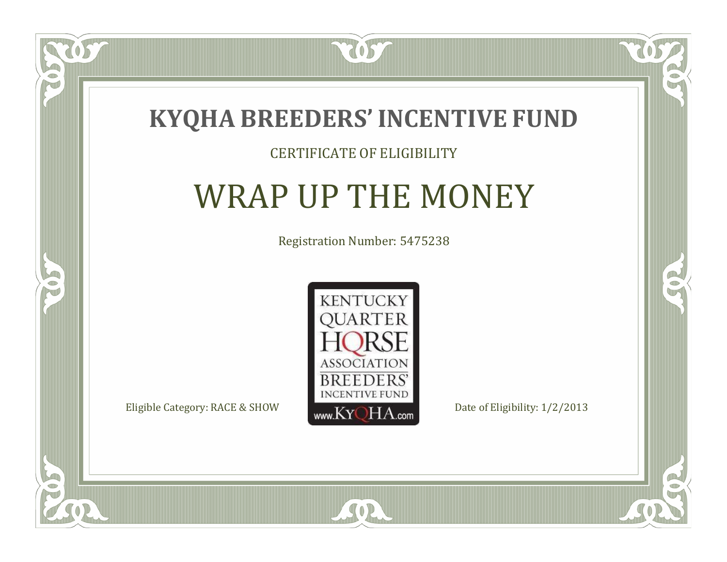

### CERTIFICATE OF ELIGIBILITY

# WRAP UP THE MONEY

Registration Number: 5475238



SOR

 $\mathbb{R}$ 

 $\rightarrow$ 

US

 $\Box$ NU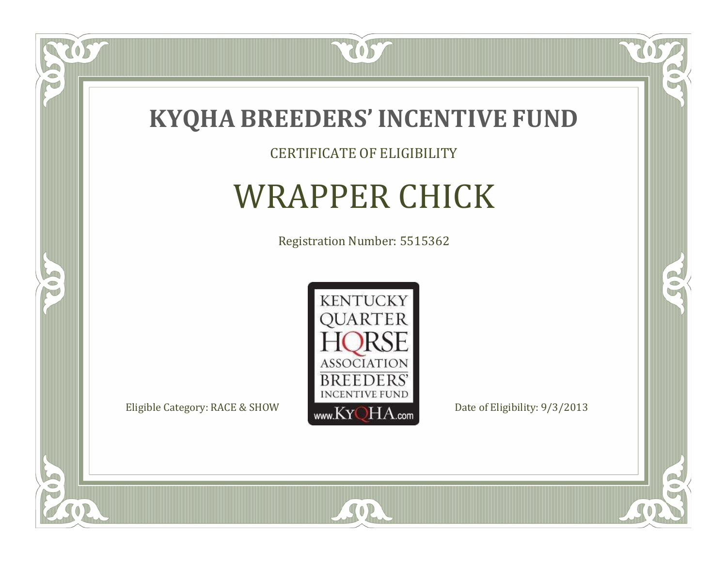

CERTIFICATE OF ELIGIBILITY

# WRAPPER CHICK

Registration Number: 5515362



SOR

 $\mathbb{R}$ 

 $\rightarrow$ 

057

 $\bullet$ NU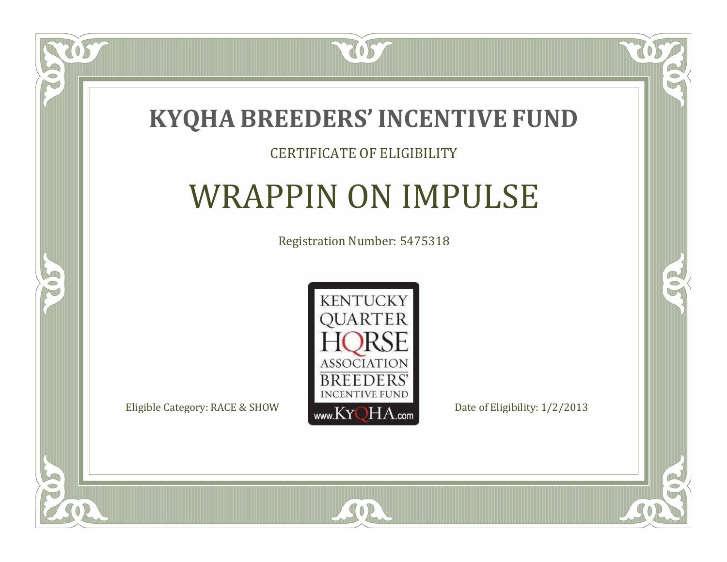

#### CERTIFICATE OF ELIGIBILITY

# WRAPPIN ON IMPULSE

Registration Number: 5475318



SOR

 $\mathbb{R}$ 

 $\rightarrow$ 

US

 $\Box$ NU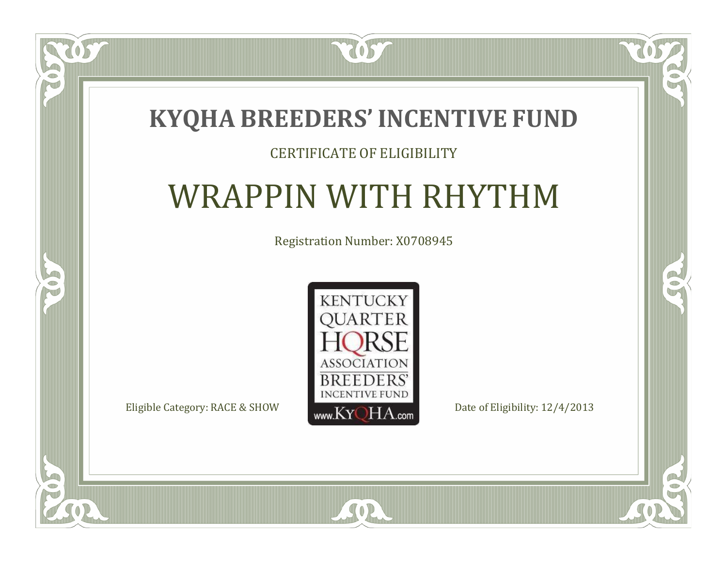### **KYQHA BREEDERS'INCENTIVE FUND**

7057

### CERTIFICATE OF ELIGIBILITY

# WRAPPIN WITH RHYTHM

Registration Number: X0708945



SOR

 $\mathbb{R}$ 

R

US

 $\bullet$ NU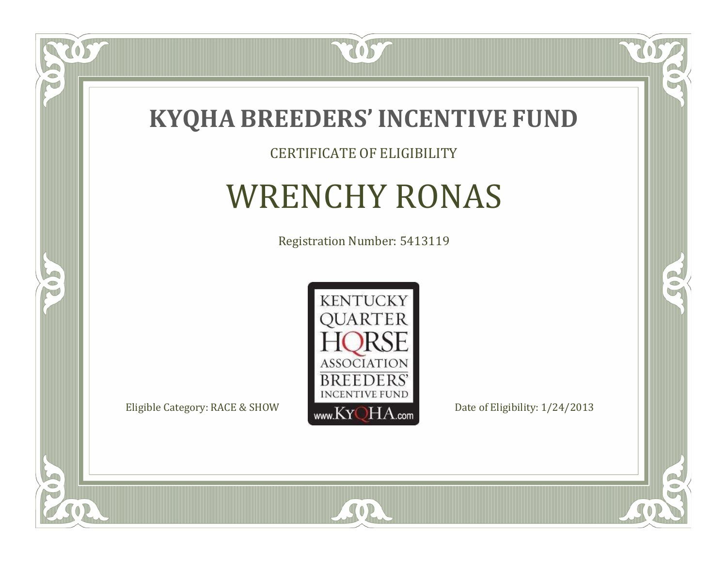

#### CERTIFICATE OF ELIGIBILITY

# WRENCHY RONAS

Registration Number: 5413119



SOR

 $\mathbb{R}$ 

 $\rightarrow$ 

US

 $\bullet$ NU